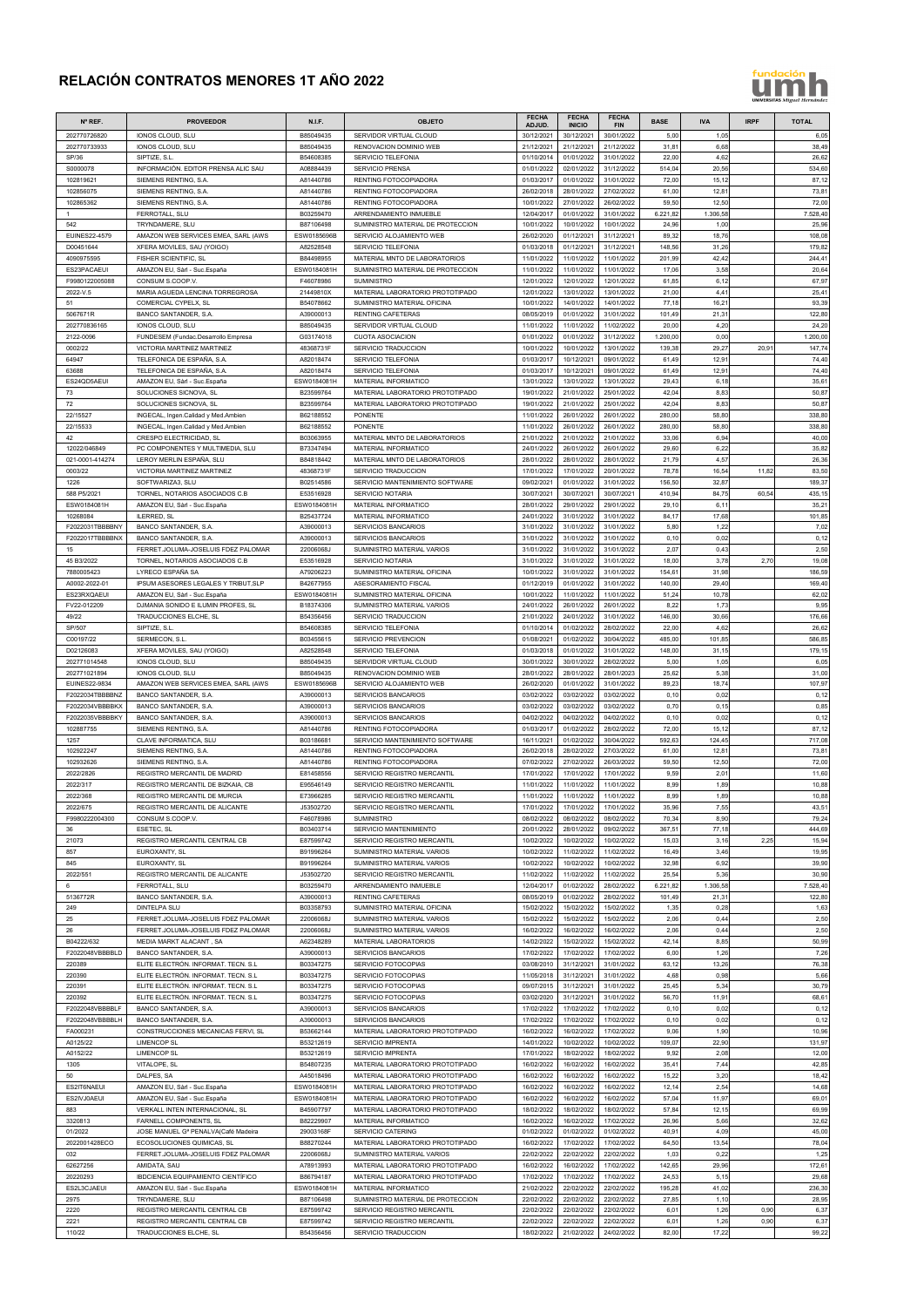## **RELACIÓN CONTRATOS MENORES 1T AÑO 2022**

## fundación h

| 202770726820<br>IONOS CLOUD, SLU<br>B85049435<br>SERVIDOR VIRTUAL CLOUD<br>30/12/2021<br>30/12/2021<br>30/01/2022<br>5,00<br>6,05<br>1,05<br>21/12/2021<br>31,81<br>38,49<br>202770733933<br>B85049435<br><b>RENOVACION DOMINIO WEB</b><br>21/12/2021<br>21/12/2022<br>6,68<br>IONOS CLOUD, SLU<br>SP/36<br>SIPTIZE, S.L.<br>B54608385<br>SERVICIO TELEFONIA<br>01/10/2014<br>01/01/2022<br>31/01/2022<br>22,00<br>4,62<br>26,62<br>20,56<br>534,60<br>S0000078<br>INFORMACIÓN. EDITOR PRENSA ALIC SAU<br>A08884439<br><b>SERVICIO PRENSA</b><br>01/01/2022<br>02/01/2022<br>31/12/2022<br>514,04<br>72,00<br>87,12<br>102819621<br>SIEMENS RENTING, S.A.<br>A81440786<br>RENTING FOTOCOPIADORA<br>01/03/2017<br>01/01/2022<br>31/01/2022<br>15,12<br>73,81<br>27/02/2022<br>12,81<br>102856075<br>SIEMENS RENTING, S.A.<br>A81440786<br>RENTING FOTOCOPIADORA<br>26/02/2018<br>28/01/2022<br>61,00<br>102865362<br>A81440786<br>72,00<br>SIEMENS RENTING, S.A.<br>RENTING FOTOCOPIADORA<br>10/01/2022<br>27/01/2022<br>26/02/2022<br>59,50<br>12,50<br>FERROTALL, SLU<br>B03259470<br>ARRENDAMIENTO INMUEBLE<br>12/04/2017<br>01/01/2022<br>31/01/2022<br>6.221,82<br>1.306,58<br>7.528,40<br>$\mathbf{1}$<br>1,00<br>25,96<br>542<br>TRYNDAMERE, SLU<br>B87106498<br>SUMINISTRO MATERIAL DE PROTECCION<br>10/01/2022<br>10/01/2022<br>10/01/2022<br>24,96<br>EUINES22-4579<br>AMAZON WEB SERVICES EMEA, SARL (AWS<br>ESW0185696B<br>SERVICIO ALOJAMIENTO WEB<br>26/02/2020<br>01/12/2021<br>31/12/2021<br>89,32<br>18,76<br>108,08<br>A82528548<br>01/12/2021<br>179,82<br>D00451644<br>XFERA MOVILES, SAU (YOIGO)<br><b>SERVICIO TELEFONIA</b><br>01/03/2018<br>31/12/2021<br>148,56<br>31,26<br>11/01/2022<br>11/01/2022<br>42,42<br>244,41<br>4090975595<br><b>FISHER SCIENTIFIC, SL</b><br>B84498955<br>MATERIAL MNTO DE LABORATORIOS<br>11/01/2022<br>201,99<br>3,58<br>ES23PACAEUI<br>AMAZON EU, Sàrl - Suc.España<br>ESW0184081H<br>SUMINISTRO MATERIAL DE PROTECCION<br>11/01/2022<br>11/01/2022<br>11/01/2022<br>17,06<br>20,64<br>67,97<br>F9980122005088<br>CONSUM S.COOP.V.<br>F46078986<br>12/01/2022<br>12/01/2022<br>12/01/2022<br>61,85<br>6,12<br><b>SUMINISTRO</b><br>25,41<br>2022-V.5<br>MARIA AGUEDA LENCINA TORREGROSA<br>21449810X<br>MATERIAL LABORATORIO PROTOTIPADO<br>12/01/2022<br>13/01/2022<br>13/01/2022<br>21,00<br>4,41<br>B54078662<br>10/01/2022<br>14/01/2022<br>77,18<br>16,21<br>93,39<br>51<br>COMERCIAL CYPELX, SL<br>SUMINISTRO MATERIAL OFICINA<br>14/01/2022<br>5067671R<br>BANCO SANTANDER, S.A.<br>A39000013<br>01/01/2022<br>21,31<br>122,80<br><b>RENTING CAFETERAS</b><br>08/05/2019<br>31/01/2022<br>101,49<br>202770836165<br>IONOS CLOUD, SLU<br>B85049435<br>SERVIDOR VIRTUAL CLOUD<br>11/01/2022<br>11/01/2022<br>11/02/2022<br>20,00<br>4,20<br>24,20<br>31/12/2022<br>0,00<br>1.200,00<br>2122-0096<br>G03174018<br><b>CUOTA ASOCIACION</b><br>01/01/2022<br>01/01/2022<br>1.200,00<br>FUNDESEM (Fundac.Desarrollo Empresa<br>0002/22<br>VICTORIA MARTINEZ MARTINEZ<br>48368731F<br>SERVICIO TRADUCCION<br>10/01/2022<br>10/01/2022<br>13/01/2022<br>139,38<br>29,27<br>20,91<br>147,74<br>TELEFONICA DE ESPAÑA, S.A.<br>10/12/2021<br>74,40<br>64947<br>A82018474<br><b>SERVICIO TELEFONIA</b><br>01/03/2017<br>09/01/2022<br>61,49<br>12,91<br>A82018474<br>01/03/2017<br>10/12/2021<br>12,91<br>74,40<br>63688<br>TELEFONICA DE ESPAÑA, S.A.<br>SERVICIO TELEFONIA<br>09/01/2022<br>61,49<br>35,61<br>ES24QD5AEUI<br>ESW0184081H<br>MATERIAL INFORMATICO<br>13/01/2022<br>13/01/2022<br>13/01/2022<br>29,43<br>6,18<br>AMAZON EU, Sàrl - Suc.España<br>8,83<br>50,87<br>73<br>SOLUCIONES SICNOVA, SL<br>B23599764<br>MATERIAL LABORATORIO PROTOTIPADO<br>19/01/2022<br>21/01/2022<br>25/01/2022<br>42,04<br>42,04<br>50,87<br>72<br>SOLUCIONES SICNOVA, SL<br>B23599764<br>MATERIAL LABORATORIO PROTOTIPADO<br>19/01/2022<br>21/01/2022<br>25/01/2022<br>8,83<br>338,80<br>22/15527<br>B62188552<br>26/01/2022<br>280,00<br>58,80<br><b>PONENTE</b><br>11/01/2022<br>26/01/2022<br>INGECAL, Ingen.Calidad y Med.Ambien<br>22/15533<br>B62188552<br>338,80<br>INGECAL, Ingen.Calidad y Med.Ambien<br><b>PONENTE</b><br>11/01/2022<br>26/01/2022<br>26/01/2022<br>280,00<br>58,80<br>42<br>CRESPO ELECTRICIDAD, SL<br>B03063955<br>MATERIAL MNTO DE LABORATORIOS<br>21/01/2022<br>21/01/2022<br>21/01/2022<br>33,06<br>6,94<br>40,00<br>6,22<br>29,60<br>35,82<br>12022/046849<br>PC COMPONENTES Y MULTIMEDIA, SLU<br>B73347494<br>MATERIAL INFORMATICO<br>24/01/2022<br>26/01/2022<br>26/01/2022<br>4,57<br>021-0001-414274<br>LEROY MERLIN ESPAÑA, SLU<br>B84818442<br>MATERIAL MNTO DE LABORATORIOS<br>28/01/2022<br>28/01/2022<br>28/01/2022<br>21,79<br>26,36<br>78,78<br>16,54<br>83,50<br>0003/22<br>VICTORIA MARTINEZ MARTINEZ<br>48368731F<br>SERVICIO TRADUCCION<br>17/01/2022<br>17/01/2022<br>20/01/2022<br>11,82<br>32,87<br>189,37<br>1226<br>SOFTWARIZA3, SLU<br>B02514586<br>SERVICIO MANTENIMIENTO SOFTWARE<br>09/02/2021<br>01/01/2022<br>31/01/2022<br>156,50<br>588 P5/2021<br>TORNEL, NOTARIOS ASOCIADOS C.B<br>E53516928<br>SERVICIO NOTARIA<br>30/07/2021<br>30/07/2021<br>30/07/2021<br>410,94<br>84,75<br>60,54<br>435,15<br>35,21<br>ESW0184081H<br>AMAZON EU, Sàrl - Suc.España<br>ESW0184081H<br>MATERIAL INFORMATICO<br>28/01/2022<br>29/01/2022<br>29/01/2022<br>29,10<br>6,11<br>10268084<br><b>ILERRED, SL</b><br>B25437724<br>MATERIAL INFORMATICO<br>24/01/2022<br>31/01/2022<br>31/01/2022<br>84,17<br>17,68<br>101,85<br>7,02<br>5,80<br>1,22<br>F2022031TBBBBNY<br>BANCO SANTANDER, S.A.<br>A39000013<br><b>SERVICIOS BANCARIOS</b><br>31/01/2022<br>31/01/2022<br>31/01/2022<br>F2022017TBBBBNX<br>0,12<br>BANCO SANTANDER, S.A.<br>A39000013<br><b>SERVICIOS BANCARIOS</b><br>31/01/2022<br>31/01/2022<br>31/01/2022<br>0,10<br>0,02<br>2,50<br>FERRET.JOLUMA-JOSELUIS FDEZ PALOMAR<br>22006068J<br>SUMINISTRO MATERIAL VARIOS<br>31/01/2022<br>31/01/2022<br>31/01/2022<br>2,07<br>0,43<br>15<br>E53516928<br>3,78<br>19,08<br>45 B3/2022<br>TORNEL, NOTARIOS ASOCIADOS C.B<br>SERVICIO NOTARIA<br>31/01/2022<br>31/01/2022<br>31/01/2022<br>18,00<br>2,70<br>7880005423<br>LYRECO ESPAÑA SA<br>A79206223<br>SUMINISTRO MATERIAL OFICINA<br>10/01/2022<br>31/01/2022<br>31/01/2022<br>154.6'<br>31,98<br>186,59<br>169,40<br>A0002-2022-01<br><b>IPSUM ASESORES LEGALES Y TRIBUT.SLP</b><br>B42677955<br>ASESORAMIENTO FISCAL<br>01/12/2019<br>01/01/2022<br>140,00<br>29,40<br>31/01/2022<br>10,78<br>62,02<br>ES23RXQAEUI<br>ESW0184081H<br>10/01/2022<br>11/01/2022<br>11/01/2022<br>51,24<br>AMAZON EU, Sàrl - Suc.España<br>SUMINISTRO MATERIAL OFICINA<br>DJMANIA SONIDO E ILUMIN PROFES, SL<br>B18374306<br>24/01/2022<br>26/01/2022<br>26/01/2022<br>8,22<br>1,73<br>9,95<br>FV22-012209<br>SUMINISTRO MATERIAL VARIOS<br>49/22<br>TRADUCCIONES ELCHE, SL<br>B54356456<br>SERVICIO TRADUCCION<br>21/01/2022<br>24/01/2022<br>31/01/2022<br>146,00<br>30,66<br>176,66<br>SP/507<br>SIPTIZE, S.L.<br>B54608385<br>SERVICIO TELEFONIA<br>01/02/2022<br>28/02/2022<br>22,00<br>4,62<br>26,62<br>01/10/2014<br>B03455615<br>01/02/2022<br>485,00<br>586,85<br>C00197/22<br>SERMECON, S.L.<br>SERVICIO PREVENCION<br>01/08/2021<br>30/04/2022<br>101,85<br>D02126083<br>A82528548<br>179,15<br>XFERA MOVILES, SAU (YOIGO)<br>SERVICIO TELEFONIA<br>01/03/2018<br>01/01/2022<br>31/01/2022<br>148,00<br>31,15<br>202771014548<br>IONOS CLOUD, SLU<br>B85049435<br>SERVIDOR VIRTUAL CLOUD<br>30/01/2022<br>30/01/2022<br>28/02/2022<br>5,00<br>1,05<br>6,05<br>25,62<br>5,38<br>31,00<br>202771021894<br>IONOS CLOUD, SLU<br>B85049435<br>RENOVACION DOMINIO WEB<br>28/01/2022<br>28/01/2022<br>28/01/2023<br><b>EUINES22-9834</b><br>AMAZON WEB SERVICES EMEA, SARL (AWS<br>ESW0185696B<br>SERVICIO ALOJAMIENTO WEB<br>26/02/2020<br>01/01/2022<br>31/01/2022<br>89,23<br>18,74<br>107,97<br>0,12<br>F2022034TBBBBNZ<br>BANCO SANTANDER, S.A.<br>A39000013<br>03/02/2022<br>03/02/2022<br>03/02/2022<br>0,10<br>0,02<br><b>SERVICIOS BANCARIOS</b><br>03/02/2022<br>03/02/2022<br>0,70<br>0, 15<br>0,85<br>F2022034VBBBBKX<br>BANCO SANTANDER, S.A.<br>A39000013<br>SERVICIOS BANCARIOS<br>03/02/2022<br>04/02/2022<br>F2022035VBBBBKY<br>BANCO SANTANDER, S.A.<br>A39000013<br>SERVICIOS BANCARIOS<br>04/02/2022<br>04/02/2022<br>0,10<br>0,02<br>0,12<br>72,00<br>87,12<br>102887755<br>SIEMENS RENTING, S.A.<br>A81440786<br>RENTING FOTOCOPIADORA<br>01/03/2017<br>01/02/2022<br>28/02/2022<br>15,12<br>717,08<br>1257<br>CLAVE INFORMATICA, SLU<br>B03186681<br>SERVICIO MANTENIMIENTO SOFTWARE<br>16/11/2021<br>01/02/2022<br>30/04/2022<br>592,63<br>124,45<br>73,81<br>102922247<br>26/02/2018<br>28/02/2022<br>27/03/2022<br>12,81<br>SIEMENS RENTING, S.A.<br>A81440786<br>RENTING FOTOCOPIADORA<br>61,00<br>102932626<br>07/02/2022<br>27/02/2022<br>12,50<br>72,00<br>SIEMENS RENTING, S.A.<br>A81440786<br>RENTING FOTOCOPIADORA<br>26/03/2022<br>59,50<br>2022/2826<br>REGISTRO MERCANTIL DE MADRID<br>E81458556<br>SERVICIO REGISTRO MERCANTIL<br>17/01/2022<br>17/01/2022<br>17/01/2022<br>9,59<br>2,01<br>11,60<br>1,89<br>10,88<br>2022/317<br>REGISTRO MERCANTIL DE BIZKAIA, CB<br>E95546149<br>SERVICIO REGISTRO MERCANTIL<br>11/01/2022<br>11/01/2022<br>11/01/2022<br>8,99<br>2022/368<br>REGISTRO MERCANTIL DE MURCIA<br>E73966285<br>SERVICIO REGISTRO MERCANTIL<br>11/01/2022<br>11/01/2022<br>11/01/2022<br>8,99<br>1,89<br>10,88<br>35,96<br>7,55<br>43,51<br>2022/675<br>REGISTRO MERCANTIL DE ALICANTE<br>J53502720<br>SERVICIO REGISTRO MERCANTIL<br>17/01/2022<br>17/01/2022<br>17/01/2022<br>79,24<br>08/02/2022<br>70,34<br>8,90<br>F9980222004300<br>CONSUM S.COOP.V.<br>F46078986<br>08/02/2022<br>08/02/2022<br><b>SUMINISTRO</b><br>36<br>ESETEC, SL<br>B03403714<br>SERVICIO MANTENIMIENTO<br>20/01/2022<br>28/01/2022<br>09/02/2022<br>367,5'<br>77,18<br>444,69<br>REGISTRO MERCANTIL CENTRAL CB<br>21073<br>E87599742<br>SERVICIO REGISTRO MERCANTIL<br>10/02/2022<br>10/02/2022<br>10/02/2022<br>15,03<br>3,16<br>2,25<br>15,94<br>857<br>EUROXANTY, SL<br>B91996264<br>SUMINISTRO MATERIAL VARIOS<br>10/02/2022<br>11/02/2022<br>11/02/2022<br>16,49<br>3,46<br>19,95<br>10/02/2022<br>10/02/2022<br>32,98<br>6,92<br>39,90<br>845<br>EUROXANTY, SL<br>B91996264<br>SUMINISTRO MATERIAL VARIOS<br>10/02/2022<br>2022/551<br>REGISTRO MERCANTIL DE ALICANTE<br>25,54<br>30,90<br>J53502720<br>SERVICIO REGISTRO MERCANTIL<br>11/02/2022<br>11/02/2022<br>11/02/2022<br>5,36<br>FERROTALL, SLU<br>B03259470<br>ARRENDAMIENTO INMUEBLE<br>12/04/2017<br>01/02/2022<br>28/02/2022<br>6.221,82<br>1.306,58<br>7.528,40<br>6<br>122,80<br>5136772R<br>BANCO SANTANDER, S.A.<br>A39000013<br>RENTING CAFETERAS<br>08/05/2019<br>01/02/2022<br>28/02/2022<br>101,49<br>21,31<br>1,63<br>249<br><b>DINTELPA SLU</b><br>B03358793<br>SUMINISTRO MATERIAL OFICINA<br>15/02/2022<br>15/02/2022<br>15/02/2022<br>1,35<br>0,28<br>2,50<br>25<br>FERRET.JOLUMA-JOSELUIS FDEZ PALOMAR<br>22006068J<br>SUMINISTRO MATERIAL VARIOS<br>15/02/2022<br>15/02/2022<br>15/02/2022<br>2,06<br>0,44<br>2,50<br>2,06<br>26<br>FERRET.JOLUMA-JOSELUIS FDEZ PALOMAR<br>16/02/2022<br>16/02/2022<br>16/02/2022<br>0,44<br>22006068J<br>SUMINISTRO MATERIAL VARIOS<br>B04222/632<br>MEDIA MARKT ALACANT, SA<br>A62348289<br>MATERIAL LABORATORIOS<br>14/02/2022<br>15/02/2022<br>15/02/2022<br>42,14<br>8,85<br>50,99<br>7,26<br>F2022048VBBBBLD<br>BANCO SANTANDER, S.A.<br>A39000013<br>SERVICIOS BANCARIOS<br>17/02/2022<br>17/02/2022<br>17/02/2022<br>6,00<br>1,26<br>76,38<br>220389<br>ELITE ELECTRÓN. INFORMAT. TECN. S.L<br>B03347275<br>SERVICIO FOTOCOPIAS<br>03/08/2010<br>31/12/2021<br>31/01/2022<br>63,12<br>13,26<br>5,66<br>220390<br>B03347275<br>31/12/2021<br>ELITE ELECTRÓN. INFORMAT. TECN. S.L<br>SERVICIO FOTOCOPIAS<br>11/05/2018<br>31/01/2022<br>4,68<br>0,98<br>220391<br>B03347275<br>30,79<br>ELITE ELECTRÓN, INFORMAT, TECN, S.L.<br>SERVICIO FOTOCOPIAS<br>09/07/2015<br>31/12/2021<br>25,45<br>5,34<br>31/01/2022<br>220392<br>ELITE ELECTRÓN, INFORMAT, TECN, S.L.<br>B03347275<br>SERVICIO FOTOCOPIAS<br>03/02/2020<br>31/12/2021<br>31/01/2022<br>56,70<br>11,91<br>68,61<br>0,02<br>0,12<br>F2022048VBBBBLF<br>BANCO SANTANDER, S.A.<br>A39000013<br>SERVICIOS BANCARIOS<br>17/02/2022<br>17/02/2022<br>17/02/2022<br>0,10<br>F2022048VBBBBLH<br><b>BANCO SANTANDER, S.A.</b><br>A39000013<br><b>SERVICIOS BANCARIOS</b><br>17/02/2022<br>17/02/2022<br>17/02/2022<br>0,10<br>0,02<br>0,12<br>10,96<br>FA000231<br>CONSTRUCCIONES MECANICAS FERVI. SL<br>B53662144<br>MATERIAL LABORATORIO PROTOTIPADO<br>16/02/2022<br>16/02/2022<br>17/02/2022<br>9,06<br>1,90<br>10/02/2022<br>109,07<br>22,90<br>131,97<br>A0125/22<br><b>LIMENCOP SL</b><br>B53212619<br><b>SERVICIO IMPRENTA</b><br>14/01/2022<br>10/02/2022<br>A0152/22<br><b>LIMENCOP SL</b><br>B53212619<br><b>SERVICIO IMPRENTA</b><br>17/01/2022<br>18/02/2022<br>18/02/2022<br>9,92<br>2,08<br>12,00<br>42,85<br>1305<br>VITALOPE, SL<br>B54807235<br>MATERIAL LABORATORIO PROTOTIPADO<br>16/02/2022<br>16/02/2022<br>16/02/2022<br>35,4'<br>7,44<br>50<br>DALPES, SA<br>A45018496<br>MATERIAL LABORATORIO PROTOTIPADO<br>16/02/2022<br>16/02/2022<br>16/02/2022<br>15,22<br>3,20<br>18,42<br>2,54<br>14,68<br>MATERIAL LABORATORIO PROTOTIPADO<br>16/02/2022<br>16/02/2022<br>16/02/2022<br>12,14<br>ES2IT6NAEUI<br>AMAZON EU, Sàrl - Suc. España<br>ESW0184081H<br>16/02/2022<br>16/02/2022<br>57,04<br>11,97<br>69,01<br>ES2IVJ0AEUI<br>AMAZON EU, Sàrl - Suc.España<br>ESW0184081H<br>MATERIAL LABORATORIO PROTOTIPADO<br>16/02/2022<br>883<br>VERKALL INTEN INTERNACIONAL, SL<br>B45907797<br>MATERIAL LABORATORIO PROTOTIPADO<br>18/02/2022<br>18/02/2022<br>18/02/2022<br>57,84<br>12,15<br>69,99<br>5,66<br>3320813<br>FARNELL COMPONENTS, SL<br>B82229907<br>MATERIAL INFORMATICO<br>16/02/2022<br>16/02/2022<br>17/02/2022<br>26,96<br>32,62<br>01/2022<br>JOSE MANUEL G <sup>a</sup> PENALVA(Café Madeira<br>29003168F<br><b>SERVICIO CATERING</b><br>01/02/2022<br>01/02/2022<br>01/02/2022<br>40,91<br>4,09<br>45,00<br>64,50<br>13,54<br>78,04<br>2022001428ECO<br>ECOSOLUCIONES QUIMICAS, SL<br>B88270244<br>MATERIAL LABORATORIO PROTOTIPADO<br>16/02/2022<br>17/02/2022<br>17/02/2022<br>22/02/2022<br>22/02/2022<br>0,22<br>1,25<br>032<br>FERRET.JOLUMA-JOSELUIS FDEZ PALOMAR<br>22006068J<br>SUMINISTRO MATERIAL VARIOS<br>22/02/2022<br>1,03<br>172,61<br>62627256<br>AMIDATA, SAU<br>A78913993<br>MATERIAL LABORATORIO PROTOTIPADO<br>16/02/2022<br>16/02/2022<br>17/02/2022<br>142,65<br>29,96<br>20220293<br><b>IBDCIENCIA EQUIPAMIENTO CIENTÍFICO</b><br>B86794187<br>MATERIAL LABORATORIO PROTOTIPADO<br>17/02/2022<br>17/02/2022<br>17/02/2022<br>24,53<br>29,68<br>5,15<br>ES2L3CJAEUI<br>AMAZON EU, Sàrl - Suc.España<br>ESW0184081H<br><b>MATERIAL INFORMATICO</b><br>21/02/2022<br>22/02/2022<br>22/02/2022<br>195,28<br>41,02<br>236,30<br>22/02/2022<br>22/02/2022<br>22/02/2022<br>27,85<br>1,10<br>28,95<br>2975<br>TRYNDAMERE, SLU<br>B87106498<br>SUMINISTRO MATERIAL DE PROTECCION<br>2220<br>E87599742<br>22/02/2022<br>1,26<br>0,90<br>REGISTRO MERCANTIL CENTRAL CB<br>22/02/2022<br>22/02/2022<br>6,01<br>6,37<br>SERVICIO REGISTRO MERCANTIL<br>2221<br>REGISTRO MERCANTIL CENTRAL CB<br>E87599742<br>SERVICIO REGISTRO MERCANTIL<br>22/02/2022<br>22/02/2022<br>22/02/2022<br>6,01<br>1,26<br>0,90<br>6,37 | Nº REF. | <b>PROVEEDOR</b>       | <b>N.I.F.</b> | <b>OBJETO</b>       | <b>FECHA</b><br>ADJUD. | <b>FECHA</b><br><b>INICIO</b> | <b>FECHA</b><br><b>FIN</b> | <b>BASE</b> | <b>IVA</b> | <b>IRPF</b> | <b>TOTAL</b> |
|-------------------------------------------------------------------------------------------------------------------------------------------------------------------------------------------------------------------------------------------------------------------------------------------------------------------------------------------------------------------------------------------------------------------------------------------------------------------------------------------------------------------------------------------------------------------------------------------------------------------------------------------------------------------------------------------------------------------------------------------------------------------------------------------------------------------------------------------------------------------------------------------------------------------------------------------------------------------------------------------------------------------------------------------------------------------------------------------------------------------------------------------------------------------------------------------------------------------------------------------------------------------------------------------------------------------------------------------------------------------------------------------------------------------------------------------------------------------------------------------------------------------------------------------------------------------------------------------------------------------------------------------------------------------------------------------------------------------------------------------------------------------------------------------------------------------------------------------------------------------------------------------------------------------------------------------------------------------------------------------------------------------------------------------------------------------------------------------------------------------------------------------------------------------------------------------------------------------------------------------------------------------------------------------------------------------------------------------------------------------------------------------------------------------------------------------------------------------------------------------------------------------------------------------------------------------------------------------------------------------------------------------------------------------------------------------------------------------------------------------------------------------------------------------------------------------------------------------------------------------------------------------------------------------------------------------------------------------------------------------------------------------------------------------------------------------------------------------------------------------------------------------------------------------------------------------------------------------------------------------------------------------------------------------------------------------------------------------------------------------------------------------------------------------------------------------------------------------------------------------------------------------------------------------------------------------------------------------------------------------------------------------------------------------------------------------------------------------------------------------------------------------------------------------------------------------------------------------------------------------------------------------------------------------------------------------------------------------------------------------------------------------------------------------------------------------------------------------------------------------------------------------------------------------------------------------------------------------------------------------------------------------------------------------------------------------------------------------------------------------------------------------------------------------------------------------------------------------------------------------------------------------------------------------------------------------------------------------------------------------------------------------------------------------------------------------------------------------------------------------------------------------------------------------------------------------------------------------------------------------------------------------------------------------------------------------------------------------------------------------------------------------------------------------------------------------------------------------------------------------------------------------------------------------------------------------------------------------------------------------------------------------------------------------------------------------------------------------------------------------------------------------------------------------------------------------------------------------------------------------------------------------------------------------------------------------------------------------------------------------------------------------------------------------------------------------------------------------------------------------------------------------------------------------------------------------------------------------------------------------------------------------------------------------------------------------------------------------------------------------------------------------------------------------------------------------------------------------------------------------------------------------------------------------------------------------------------------------------------------------------------------------------------------------------------------------------------------------------------------------------------------------------------------------------------------------------------------------------------------------------------------------------------------------------------------------------------------------------------------------------------------------------------------------------------------------------------------------------------------------------------------------------------------------------------------------------------------------------------------------------------------------------------------------------------------------------------------------------------------------------------------------------------------------------------------------------------------------------------------------------------------------------------------------------------------------------------------------------------------------------------------------------------------------------------------------------------------------------------------------------------------------------------------------------------------------------------------------------------------------------------------------------------------------------------------------------------------------------------------------------------------------------------------------------------------------------------------------------------------------------------------------------------------------------------------------------------------------------------------------------------------------------------------------------------------------------------------------------------------------------------------------------------------------------------------------------------------------------------------------------------------------------------------------------------------------------------------------------------------------------------------------------------------------------------------------------------------------------------------------------------------------------------------------------------------------------------------------------------------------------------------------------------------------------------------------------------------------------------------------------------------------------------------------------------------------------------------------------------------------------------------------------------------------------------------------------------------------------------------------------------------------------------------------------------------------------------------------------------------------------------------------------------------------------------------------------------------------------------------------------------------------------------------------------------------------------------------------------------------------------------------------------------------------------------------------------------------------------------------------------------------------------------------------------------------------------------------------------------------------------------------------------------------------------------------------------------------------------------------------------------------------------------------------------------------------------------------------------------------------------------------------------------------------------------------------------------------------------------------------------------------------------------------------------------------------------------------------------------------------------------------------------------------------------------------------------------------------------------------------------------------------------------------------------------------------------------------------------------------------------------------------------------------------------------------------------------------------------------------------------------------------------------------------------------------------------------------------------------------------------------------------------------------------------------------------------------------------------------------------------------------------------------------------------------------------------------------------------------------------------------------------------------------------------------------------------------------------------------------------------------------------------------------------------------------------------------------------------------------------------------------------------------------------------------------------------------------------------------------------------------------------------------------------------------------------------------------------------------------------------------------------------------------------------------------------------------------------------------------------------------------------------------------------------------------------------------------------------------------------------------------------------------------------------------------------------------------------------------------------------------------------------------------------------------------------------------------------------------------------------------------------------------------------------------------------------------------------------------------------------------------------------------------------------------------------------------------------------------------------------------------------------------------------------------------------------------------------------------------------------------------------------------------------------------------------------------------------------------------------------------------------------------------------------------------------------------------------------------------------------------------------------------------------------------------------------------------------------------------------------------------------------------------------------------------------------------------------------------------------------------------------------------------------------------------------------------------------------------------------------------------------------------------------------------------------------------------------------------------------------------------------------------------------------------------------------------------------------------------------------------------------------------------------------------------------------------------------------------------------------------------------------------------------------------------------------------------------------------------------------------------------------------------------------------------------------------------------------------------------------------------------------------------------------------------------------------------------------------------------------------------------------------------------------------------------------------------------------------------------------------------------------------------------------------------------------------------------------------------------------------------------------------------------------------------------------------------------------------------------------------------------------------------------------------------------------------------------------------------------------------------------------------------------------------------------------------------------------------------------------------------------------------------------------------------------------------------------------------------------------------------------------------------------------------------------------------------------------------------------------------------------------------------------------------------------------------------------------------------------------------------------------------------------------------------------------------------------------------------------------------------------------------------------------------------------------------------------------------------------------------------------------------------------------------------------------------------------------------------------------------------------------------------------------------------------------------------------------------------------------------------------------------------------------------------------------------------------------------------------------------------------------------------------------------------------------------------------------------------------------------------------------------------------------------------------------------------------------------------------------------------------------------------------------------------------------------------------------|---------|------------------------|---------------|---------------------|------------------------|-------------------------------|----------------------------|-------------|------------|-------------|--------------|
|                                                                                                                                                                                                                                                                                                                                                                                                                                                                                                                                                                                                                                                                                                                                                                                                                                                                                                                                                                                                                                                                                                                                                                                                                                                                                                                                                                                                                                                                                                                                                                                                                                                                                                                                                                                                                                                                                                                                                                                                                                                                                                                                                                                                                                                                                                                                                                                                                                                                                                                                                                                                                                                                                                                                                                                                                                                                                                                                                                                                                                                                                                                                                                                                                                                                                                                                                                                                                                                                                                                                                                                                                                                                                                                                                                                                                                                                                                                                                                                                                                                                                                                                                                                                                                                                                                                                                                                                                                                                                                                                                                                                                                                                                                                                                                                                                                                                                                                                                                                                                                                                                                                                                                                                                                                                                                                                                                                                                                                                                                                                                                                                                                                                                                                                                                                                                                                                                                                                                                                                                                                                                                                                                                                                                                                                                                                                                                                                                                                                                                                                                                                                                                                                                                                                                                                                                                                                                                                                                                                                                                                                                                                                                                                                                                                                                                                                                                                                                                                                                                                                                                                                                                                                                                                                                                                                                                                                                                                                                                                                                                                                                                                                                                                                                                                                                                                                                                                                                                                                                                                                                                                                                                                                                                                                                                                                                                                                                                                                                                                                                                                                                                                                                                                                                                                                                                                                                                                                                                                                                                                                                                                                                                                                                                                                                                                                                                                                                                                                                                                                                                                                                                                                                                                                                                                                                                                                                                                                                                                                                                                                                                                                                                                                                                                                                                                                                                                                                                                                                                                                                                                                                                                                                                                                                                                                                                                                                                                                                                                                                                                                                                                                                                                                                                                                                                                                                                                                                                                                                                                                                                                                                                                                                                                                                                                                                                                                                                                                                                                                                                                                                                                                                                                                                                                                                                                                                                                                                                                                                                                                                                                                                                                                                                                                                                                                                                                                                                                                                                                                                                                                                                                                                                                                                                                                                                                                                                                                                                                                                                                                                                                                                                                                                                                                                                                                                                                                                                                                                                                                                                                                                                                                                                                                                                                                                                                                                                                                                                                                                                                                                                                                                                                                                                                                                                                                                                                                                                                                                                                                         |         |                        |               |                     |                        |                               |                            |             |            |             |              |
|                                                                                                                                                                                                                                                                                                                                                                                                                                                                                                                                                                                                                                                                                                                                                                                                                                                                                                                                                                                                                                                                                                                                                                                                                                                                                                                                                                                                                                                                                                                                                                                                                                                                                                                                                                                                                                                                                                                                                                                                                                                                                                                                                                                                                                                                                                                                                                                                                                                                                                                                                                                                                                                                                                                                                                                                                                                                                                                                                                                                                                                                                                                                                                                                                                                                                                                                                                                                                                                                                                                                                                                                                                                                                                                                                                                                                                                                                                                                                                                                                                                                                                                                                                                                                                                                                                                                                                                                                                                                                                                                                                                                                                                                                                                                                                                                                                                                                                                                                                                                                                                                                                                                                                                                                                                                                                                                                                                                                                                                                                                                                                                                                                                                                                                                                                                                                                                                                                                                                                                                                                                                                                                                                                                                                                                                                                                                                                                                                                                                                                                                                                                                                                                                                                                                                                                                                                                                                                                                                                                                                                                                                                                                                                                                                                                                                                                                                                                                                                                                                                                                                                                                                                                                                                                                                                                                                                                                                                                                                                                                                                                                                                                                                                                                                                                                                                                                                                                                                                                                                                                                                                                                                                                                                                                                                                                                                                                                                                                                                                                                                                                                                                                                                                                                                                                                                                                                                                                                                                                                                                                                                                                                                                                                                                                                                                                                                                                                                                                                                                                                                                                                                                                                                                                                                                                                                                                                                                                                                                                                                                                                                                                                                                                                                                                                                                                                                                                                                                                                                                                                                                                                                                                                                                                                                                                                                                                                                                                                                                                                                                                                                                                                                                                                                                                                                                                                                                                                                                                                                                                                                                                                                                                                                                                                                                                                                                                                                                                                                                                                                                                                                                                                                                                                                                                                                                                                                                                                                                                                                                                                                                                                                                                                                                                                                                                                                                                                                                                                                                                                                                                                                                                                                                                                                                                                                                                                                                                                                                                                                                                                                                                                                                                                                                                                                                                                                                                                                                                                                                                                                                                                                                                                                                                                                                                                                                                                                                                                                                                                                                                                                                                                                                                                                                                                                                                                                                                                                                                                                                                                         |         |                        |               |                     |                        |                               |                            |             |            |             |              |
|                                                                                                                                                                                                                                                                                                                                                                                                                                                                                                                                                                                                                                                                                                                                                                                                                                                                                                                                                                                                                                                                                                                                                                                                                                                                                                                                                                                                                                                                                                                                                                                                                                                                                                                                                                                                                                                                                                                                                                                                                                                                                                                                                                                                                                                                                                                                                                                                                                                                                                                                                                                                                                                                                                                                                                                                                                                                                                                                                                                                                                                                                                                                                                                                                                                                                                                                                                                                                                                                                                                                                                                                                                                                                                                                                                                                                                                                                                                                                                                                                                                                                                                                                                                                                                                                                                                                                                                                                                                                                                                                                                                                                                                                                                                                                                                                                                                                                                                                                                                                                                                                                                                                                                                                                                                                                                                                                                                                                                                                                                                                                                                                                                                                                                                                                                                                                                                                                                                                                                                                                                                                                                                                                                                                                                                                                                                                                                                                                                                                                                                                                                                                                                                                                                                                                                                                                                                                                                                                                                                                                                                                                                                                                                                                                                                                                                                                                                                                                                                                                                                                                                                                                                                                                                                                                                                                                                                                                                                                                                                                                                                                                                                                                                                                                                                                                                                                                                                                                                                                                                                                                                                                                                                                                                                                                                                                                                                                                                                                                                                                                                                                                                                                                                                                                                                                                                                                                                                                                                                                                                                                                                                                                                                                                                                                                                                                                                                                                                                                                                                                                                                                                                                                                                                                                                                                                                                                                                                                                                                                                                                                                                                                                                                                                                                                                                                                                                                                                                                                                                                                                                                                                                                                                                                                                                                                                                                                                                                                                                                                                                                                                                                                                                                                                                                                                                                                                                                                                                                                                                                                                                                                                                                                                                                                                                                                                                                                                                                                                                                                                                                                                                                                                                                                                                                                                                                                                                                                                                                                                                                                                                                                                                                                                                                                                                                                                                                                                                                                                                                                                                                                                                                                                                                                                                                                                                                                                                                                                                                                                                                                                                                                                                                                                                                                                                                                                                                                                                                                                                                                                                                                                                                                                                                                                                                                                                                                                                                                                                                                                                                                                                                                                                                                                                                                                                                                                                                                                                                                                                                                         |         |                        |               |                     |                        |                               |                            |             |            |             |              |
|                                                                                                                                                                                                                                                                                                                                                                                                                                                                                                                                                                                                                                                                                                                                                                                                                                                                                                                                                                                                                                                                                                                                                                                                                                                                                                                                                                                                                                                                                                                                                                                                                                                                                                                                                                                                                                                                                                                                                                                                                                                                                                                                                                                                                                                                                                                                                                                                                                                                                                                                                                                                                                                                                                                                                                                                                                                                                                                                                                                                                                                                                                                                                                                                                                                                                                                                                                                                                                                                                                                                                                                                                                                                                                                                                                                                                                                                                                                                                                                                                                                                                                                                                                                                                                                                                                                                                                                                                                                                                                                                                                                                                                                                                                                                                                                                                                                                                                                                                                                                                                                                                                                                                                                                                                                                                                                                                                                                                                                                                                                                                                                                                                                                                                                                                                                                                                                                                                                                                                                                                                                                                                                                                                                                                                                                                                                                                                                                                                                                                                                                                                                                                                                                                                                                                                                                                                                                                                                                                                                                                                                                                                                                                                                                                                                                                                                                                                                                                                                                                                                                                                                                                                                                                                                                                                                                                                                                                                                                                                                                                                                                                                                                                                                                                                                                                                                                                                                                                                                                                                                                                                                                                                                                                                                                                                                                                                                                                                                                                                                                                                                                                                                                                                                                                                                                                                                                                                                                                                                                                                                                                                                                                                                                                                                                                                                                                                                                                                                                                                                                                                                                                                                                                                                                                                                                                                                                                                                                                                                                                                                                                                                                                                                                                                                                                                                                                                                                                                                                                                                                                                                                                                                                                                                                                                                                                                                                                                                                                                                                                                                                                                                                                                                                                                                                                                                                                                                                                                                                                                                                                                                                                                                                                                                                                                                                                                                                                                                                                                                                                                                                                                                                                                                                                                                                                                                                                                                                                                                                                                                                                                                                                                                                                                                                                                                                                                                                                                                                                                                                                                                                                                                                                                                                                                                                                                                                                                                                                                                                                                                                                                                                                                                                                                                                                                                                                                                                                                                                                                                                                                                                                                                                                                                                                                                                                                                                                                                                                                                                                                                                                                                                                                                                                                                                                                                                                                                                                                                                                                                                         |         |                        |               |                     |                        |                               |                            |             |            |             |              |
|                                                                                                                                                                                                                                                                                                                                                                                                                                                                                                                                                                                                                                                                                                                                                                                                                                                                                                                                                                                                                                                                                                                                                                                                                                                                                                                                                                                                                                                                                                                                                                                                                                                                                                                                                                                                                                                                                                                                                                                                                                                                                                                                                                                                                                                                                                                                                                                                                                                                                                                                                                                                                                                                                                                                                                                                                                                                                                                                                                                                                                                                                                                                                                                                                                                                                                                                                                                                                                                                                                                                                                                                                                                                                                                                                                                                                                                                                                                                                                                                                                                                                                                                                                                                                                                                                                                                                                                                                                                                                                                                                                                                                                                                                                                                                                                                                                                                                                                                                                                                                                                                                                                                                                                                                                                                                                                                                                                                                                                                                                                                                                                                                                                                                                                                                                                                                                                                                                                                                                                                                                                                                                                                                                                                                                                                                                                                                                                                                                                                                                                                                                                                                                                                                                                                                                                                                                                                                                                                                                                                                                                                                                                                                                                                                                                                                                                                                                                                                                                                                                                                                                                                                                                                                                                                                                                                                                                                                                                                                                                                                                                                                                                                                                                                                                                                                                                                                                                                                                                                                                                                                                                                                                                                                                                                                                                                                                                                                                                                                                                                                                                                                                                                                                                                                                                                                                                                                                                                                                                                                                                                                                                                                                                                                                                                                                                                                                                                                                                                                                                                                                                                                                                                                                                                                                                                                                                                                                                                                                                                                                                                                                                                                                                                                                                                                                                                                                                                                                                                                                                                                                                                                                                                                                                                                                                                                                                                                                                                                                                                                                                                                                                                                                                                                                                                                                                                                                                                                                                                                                                                                                                                                                                                                                                                                                                                                                                                                                                                                                                                                                                                                                                                                                                                                                                                                                                                                                                                                                                                                                                                                                                                                                                                                                                                                                                                                                                                                                                                                                                                                                                                                                                                                                                                                                                                                                                                                                                                                                                                                                                                                                                                                                                                                                                                                                                                                                                                                                                                                                                                                                                                                                                                                                                                                                                                                                                                                                                                                                                                                                                                                                                                                                                                                                                                                                                                                                                                                                                                                                                                         |         |                        |               |                     |                        |                               |                            |             |            |             |              |
|                                                                                                                                                                                                                                                                                                                                                                                                                                                                                                                                                                                                                                                                                                                                                                                                                                                                                                                                                                                                                                                                                                                                                                                                                                                                                                                                                                                                                                                                                                                                                                                                                                                                                                                                                                                                                                                                                                                                                                                                                                                                                                                                                                                                                                                                                                                                                                                                                                                                                                                                                                                                                                                                                                                                                                                                                                                                                                                                                                                                                                                                                                                                                                                                                                                                                                                                                                                                                                                                                                                                                                                                                                                                                                                                                                                                                                                                                                                                                                                                                                                                                                                                                                                                                                                                                                                                                                                                                                                                                                                                                                                                                                                                                                                                                                                                                                                                                                                                                                                                                                                                                                                                                                                                                                                                                                                                                                                                                                                                                                                                                                                                                                                                                                                                                                                                                                                                                                                                                                                                                                                                                                                                                                                                                                                                                                                                                                                                                                                                                                                                                                                                                                                                                                                                                                                                                                                                                                                                                                                                                                                                                                                                                                                                                                                                                                                                                                                                                                                                                                                                                                                                                                                                                                                                                                                                                                                                                                                                                                                                                                                                                                                                                                                                                                                                                                                                                                                                                                                                                                                                                                                                                                                                                                                                                                                                                                                                                                                                                                                                                                                                                                                                                                                                                                                                                                                                                                                                                                                                                                                                                                                                                                                                                                                                                                                                                                                                                                                                                                                                                                                                                                                                                                                                                                                                                                                                                                                                                                                                                                                                                                                                                                                                                                                                                                                                                                                                                                                                                                                                                                                                                                                                                                                                                                                                                                                                                                                                                                                                                                                                                                                                                                                                                                                                                                                                                                                                                                                                                                                                                                                                                                                                                                                                                                                                                                                                                                                                                                                                                                                                                                                                                                                                                                                                                                                                                                                                                                                                                                                                                                                                                                                                                                                                                                                                                                                                                                                                                                                                                                                                                                                                                                                                                                                                                                                                                                                                                                                                                                                                                                                                                                                                                                                                                                                                                                                                                                                                                                                                                                                                                                                                                                                                                                                                                                                                                                                                                                                                                                                                                                                                                                                                                                                                                                                                                                                                                                                                                                                                         |         |                        |               |                     |                        |                               |                            |             |            |             |              |
|                                                                                                                                                                                                                                                                                                                                                                                                                                                                                                                                                                                                                                                                                                                                                                                                                                                                                                                                                                                                                                                                                                                                                                                                                                                                                                                                                                                                                                                                                                                                                                                                                                                                                                                                                                                                                                                                                                                                                                                                                                                                                                                                                                                                                                                                                                                                                                                                                                                                                                                                                                                                                                                                                                                                                                                                                                                                                                                                                                                                                                                                                                                                                                                                                                                                                                                                                                                                                                                                                                                                                                                                                                                                                                                                                                                                                                                                                                                                                                                                                                                                                                                                                                                                                                                                                                                                                                                                                                                                                                                                                                                                                                                                                                                                                                                                                                                                                                                                                                                                                                                                                                                                                                                                                                                                                                                                                                                                                                                                                                                                                                                                                                                                                                                                                                                                                                                                                                                                                                                                                                                                                                                                                                                                                                                                                                                                                                                                                                                                                                                                                                                                                                                                                                                                                                                                                                                                                                                                                                                                                                                                                                                                                                                                                                                                                                                                                                                                                                                                                                                                                                                                                                                                                                                                                                                                                                                                                                                                                                                                                                                                                                                                                                                                                                                                                                                                                                                                                                                                                                                                                                                                                                                                                                                                                                                                                                                                                                                                                                                                                                                                                                                                                                                                                                                                                                                                                                                                                                                                                                                                                                                                                                                                                                                                                                                                                                                                                                                                                                                                                                                                                                                                                                                                                                                                                                                                                                                                                                                                                                                                                                                                                                                                                                                                                                                                                                                                                                                                                                                                                                                                                                                                                                                                                                                                                                                                                                                                                                                                                                                                                                                                                                                                                                                                                                                                                                                                                                                                                                                                                                                                                                                                                                                                                                                                                                                                                                                                                                                                                                                                                                                                                                                                                                                                                                                                                                                                                                                                                                                                                                                                                                                                                                                                                                                                                                                                                                                                                                                                                                                                                                                                                                                                                                                                                                                                                                                                                                                                                                                                                                                                                                                                                                                                                                                                                                                                                                                                                                                                                                                                                                                                                                                                                                                                                                                                                                                                                                                                                                                                                                                                                                                                                                                                                                                                                                                                                                                                                                                                         |         |                        |               |                     |                        |                               |                            |             |            |             |              |
|                                                                                                                                                                                                                                                                                                                                                                                                                                                                                                                                                                                                                                                                                                                                                                                                                                                                                                                                                                                                                                                                                                                                                                                                                                                                                                                                                                                                                                                                                                                                                                                                                                                                                                                                                                                                                                                                                                                                                                                                                                                                                                                                                                                                                                                                                                                                                                                                                                                                                                                                                                                                                                                                                                                                                                                                                                                                                                                                                                                                                                                                                                                                                                                                                                                                                                                                                                                                                                                                                                                                                                                                                                                                                                                                                                                                                                                                                                                                                                                                                                                                                                                                                                                                                                                                                                                                                                                                                                                                                                                                                                                                                                                                                                                                                                                                                                                                                                                                                                                                                                                                                                                                                                                                                                                                                                                                                                                                                                                                                                                                                                                                                                                                                                                                                                                                                                                                                                                                                                                                                                                                                                                                                                                                                                                                                                                                                                                                                                                                                                                                                                                                                                                                                                                                                                                                                                                                                                                                                                                                                                                                                                                                                                                                                                                                                                                                                                                                                                                                                                                                                                                                                                                                                                                                                                                                                                                                                                                                                                                                                                                                                                                                                                                                                                                                                                                                                                                                                                                                                                                                                                                                                                                                                                                                                                                                                                                                                                                                                                                                                                                                                                                                                                                                                                                                                                                                                                                                                                                                                                                                                                                                                                                                                                                                                                                                                                                                                                                                                                                                                                                                                                                                                                                                                                                                                                                                                                                                                                                                                                                                                                                                                                                                                                                                                                                                                                                                                                                                                                                                                                                                                                                                                                                                                                                                                                                                                                                                                                                                                                                                                                                                                                                                                                                                                                                                                                                                                                                                                                                                                                                                                                                                                                                                                                                                                                                                                                                                                                                                                                                                                                                                                                                                                                                                                                                                                                                                                                                                                                                                                                                                                                                                                                                                                                                                                                                                                                                                                                                                                                                                                                                                                                                                                                                                                                                                                                                                                                                                                                                                                                                                                                                                                                                                                                                                                                                                                                                                                                                                                                                                                                                                                                                                                                                                                                                                                                                                                                                                                                                                                                                                                                                                                                                                                                                                                                                                                                                                                                                                         |         |                        |               |                     |                        |                               |                            |             |            |             |              |
|                                                                                                                                                                                                                                                                                                                                                                                                                                                                                                                                                                                                                                                                                                                                                                                                                                                                                                                                                                                                                                                                                                                                                                                                                                                                                                                                                                                                                                                                                                                                                                                                                                                                                                                                                                                                                                                                                                                                                                                                                                                                                                                                                                                                                                                                                                                                                                                                                                                                                                                                                                                                                                                                                                                                                                                                                                                                                                                                                                                                                                                                                                                                                                                                                                                                                                                                                                                                                                                                                                                                                                                                                                                                                                                                                                                                                                                                                                                                                                                                                                                                                                                                                                                                                                                                                                                                                                                                                                                                                                                                                                                                                                                                                                                                                                                                                                                                                                                                                                                                                                                                                                                                                                                                                                                                                                                                                                                                                                                                                                                                                                                                                                                                                                                                                                                                                                                                                                                                                                                                                                                                                                                                                                                                                                                                                                                                                                                                                                                                                                                                                                                                                                                                                                                                                                                                                                                                                                                                                                                                                                                                                                                                                                                                                                                                                                                                                                                                                                                                                                                                                                                                                                                                                                                                                                                                                                                                                                                                                                                                                                                                                                                                                                                                                                                                                                                                                                                                                                                                                                                                                                                                                                                                                                                                                                                                                                                                                                                                                                                                                                                                                                                                                                                                                                                                                                                                                                                                                                                                                                                                                                                                                                                                                                                                                                                                                                                                                                                                                                                                                                                                                                                                                                                                                                                                                                                                                                                                                                                                                                                                                                                                                                                                                                                                                                                                                                                                                                                                                                                                                                                                                                                                                                                                                                                                                                                                                                                                                                                                                                                                                                                                                                                                                                                                                                                                                                                                                                                                                                                                                                                                                                                                                                                                                                                                                                                                                                                                                                                                                                                                                                                                                                                                                                                                                                                                                                                                                                                                                                                                                                                                                                                                                                                                                                                                                                                                                                                                                                                                                                                                                                                                                                                                                                                                                                                                                                                                                                                                                                                                                                                                                                                                                                                                                                                                                                                                                                                                                                                                                                                                                                                                                                                                                                                                                                                                                                                                                                                                                                                                                                                                                                                                                                                                                                                                                                                                                                                                                                                                         |         |                        |               |                     |                        |                               |                            |             |            |             |              |
|                                                                                                                                                                                                                                                                                                                                                                                                                                                                                                                                                                                                                                                                                                                                                                                                                                                                                                                                                                                                                                                                                                                                                                                                                                                                                                                                                                                                                                                                                                                                                                                                                                                                                                                                                                                                                                                                                                                                                                                                                                                                                                                                                                                                                                                                                                                                                                                                                                                                                                                                                                                                                                                                                                                                                                                                                                                                                                                                                                                                                                                                                                                                                                                                                                                                                                                                                                                                                                                                                                                                                                                                                                                                                                                                                                                                                                                                                                                                                                                                                                                                                                                                                                                                                                                                                                                                                                                                                                                                                                                                                                                                                                                                                                                                                                                                                                                                                                                                                                                                                                                                                                                                                                                                                                                                                                                                                                                                                                                                                                                                                                                                                                                                                                                                                                                                                                                                                                                                                                                                                                                                                                                                                                                                                                                                                                                                                                                                                                                                                                                                                                                                                                                                                                                                                                                                                                                                                                                                                                                                                                                                                                                                                                                                                                                                                                                                                                                                                                                                                                                                                                                                                                                                                                                                                                                                                                                                                                                                                                                                                                                                                                                                                                                                                                                                                                                                                                                                                                                                                                                                                                                                                                                                                                                                                                                                                                                                                                                                                                                                                                                                                                                                                                                                                                                                                                                                                                                                                                                                                                                                                                                                                                                                                                                                                                                                                                                                                                                                                                                                                                                                                                                                                                                                                                                                                                                                                                                                                                                                                                                                                                                                                                                                                                                                                                                                                                                                                                                                                                                                                                                                                                                                                                                                                                                                                                                                                                                                                                                                                                                                                                                                                                                                                                                                                                                                                                                                                                                                                                                                                                                                                                                                                                                                                                                                                                                                                                                                                                                                                                                                                                                                                                                                                                                                                                                                                                                                                                                                                                                                                                                                                                                                                                                                                                                                                                                                                                                                                                                                                                                                                                                                                                                                                                                                                                                                                                                                                                                                                                                                                                                                                                                                                                                                                                                                                                                                                                                                                                                                                                                                                                                                                                                                                                                                                                                                                                                                                                                                                                                                                                                                                                                                                                                                                                                                                                                                                                                                                                                                         |         |                        |               |                     |                        |                               |                            |             |            |             |              |
|                                                                                                                                                                                                                                                                                                                                                                                                                                                                                                                                                                                                                                                                                                                                                                                                                                                                                                                                                                                                                                                                                                                                                                                                                                                                                                                                                                                                                                                                                                                                                                                                                                                                                                                                                                                                                                                                                                                                                                                                                                                                                                                                                                                                                                                                                                                                                                                                                                                                                                                                                                                                                                                                                                                                                                                                                                                                                                                                                                                                                                                                                                                                                                                                                                                                                                                                                                                                                                                                                                                                                                                                                                                                                                                                                                                                                                                                                                                                                                                                                                                                                                                                                                                                                                                                                                                                                                                                                                                                                                                                                                                                                                                                                                                                                                                                                                                                                                                                                                                                                                                                                                                                                                                                                                                                                                                                                                                                                                                                                                                                                                                                                                                                                                                                                                                                                                                                                                                                                                                                                                                                                                                                                                                                                                                                                                                                                                                                                                                                                                                                                                                                                                                                                                                                                                                                                                                                                                                                                                                                                                                                                                                                                                                                                                                                                                                                                                                                                                                                                                                                                                                                                                                                                                                                                                                                                                                                                                                                                                                                                                                                                                                                                                                                                                                                                                                                                                                                                                                                                                                                                                                                                                                                                                                                                                                                                                                                                                                                                                                                                                                                                                                                                                                                                                                                                                                                                                                                                                                                                                                                                                                                                                                                                                                                                                                                                                                                                                                                                                                                                                                                                                                                                                                                                                                                                                                                                                                                                                                                                                                                                                                                                                                                                                                                                                                                                                                                                                                                                                                                                                                                                                                                                                                                                                                                                                                                                                                                                                                                                                                                                                                                                                                                                                                                                                                                                                                                                                                                                                                                                                                                                                                                                                                                                                                                                                                                                                                                                                                                                                                                                                                                                                                                                                                                                                                                                                                                                                                                                                                                                                                                                                                                                                                                                                                                                                                                                                                                                                                                                                                                                                                                                                                                                                                                                                                                                                                                                                                                                                                                                                                                                                                                                                                                                                                                                                                                                                                                                                                                                                                                                                                                                                                                                                                                                                                                                                                                                                                                                                                                                                                                                                                                                                                                                                                                                                                                                                                                                                                                         |         |                        |               |                     |                        |                               |                            |             |            |             |              |
|                                                                                                                                                                                                                                                                                                                                                                                                                                                                                                                                                                                                                                                                                                                                                                                                                                                                                                                                                                                                                                                                                                                                                                                                                                                                                                                                                                                                                                                                                                                                                                                                                                                                                                                                                                                                                                                                                                                                                                                                                                                                                                                                                                                                                                                                                                                                                                                                                                                                                                                                                                                                                                                                                                                                                                                                                                                                                                                                                                                                                                                                                                                                                                                                                                                                                                                                                                                                                                                                                                                                                                                                                                                                                                                                                                                                                                                                                                                                                                                                                                                                                                                                                                                                                                                                                                                                                                                                                                                                                                                                                                                                                                                                                                                                                                                                                                                                                                                                                                                                                                                                                                                                                                                                                                                                                                                                                                                                                                                                                                                                                                                                                                                                                                                                                                                                                                                                                                                                                                                                                                                                                                                                                                                                                                                                                                                                                                                                                                                                                                                                                                                                                                                                                                                                                                                                                                                                                                                                                                                                                                                                                                                                                                                                                                                                                                                                                                                                                                                                                                                                                                                                                                                                                                                                                                                                                                                                                                                                                                                                                                                                                                                                                                                                                                                                                                                                                                                                                                                                                                                                                                                                                                                                                                                                                                                                                                                                                                                                                                                                                                                                                                                                                                                                                                                                                                                                                                                                                                                                                                                                                                                                                                                                                                                                                                                                                                                                                                                                                                                                                                                                                                                                                                                                                                                                                                                                                                                                                                                                                                                                                                                                                                                                                                                                                                                                                                                                                                                                                                                                                                                                                                                                                                                                                                                                                                                                                                                                                                                                                                                                                                                                                                                                                                                                                                                                                                                                                                                                                                                                                                                                                                                                                                                                                                                                                                                                                                                                                                                                                                                                                                                                                                                                                                                                                                                                                                                                                                                                                                                                                                                                                                                                                                                                                                                                                                                                                                                                                                                                                                                                                                                                                                                                                                                                                                                                                                                                                                                                                                                                                                                                                                                                                                                                                                                                                                                                                                                                                                                                                                                                                                                                                                                                                                                                                                                                                                                                                                                                                                                                                                                                                                                                                                                                                                                                                                                                                                                                                                                                         |         |                        |               |                     |                        |                               |                            |             |            |             |              |
|                                                                                                                                                                                                                                                                                                                                                                                                                                                                                                                                                                                                                                                                                                                                                                                                                                                                                                                                                                                                                                                                                                                                                                                                                                                                                                                                                                                                                                                                                                                                                                                                                                                                                                                                                                                                                                                                                                                                                                                                                                                                                                                                                                                                                                                                                                                                                                                                                                                                                                                                                                                                                                                                                                                                                                                                                                                                                                                                                                                                                                                                                                                                                                                                                                                                                                                                                                                                                                                                                                                                                                                                                                                                                                                                                                                                                                                                                                                                                                                                                                                                                                                                                                                                                                                                                                                                                                                                                                                                                                                                                                                                                                                                                                                                                                                                                                                                                                                                                                                                                                                                                                                                                                                                                                                                                                                                                                                                                                                                                                                                                                                                                                                                                                                                                                                                                                                                                                                                                                                                                                                                                                                                                                                                                                                                                                                                                                                                                                                                                                                                                                                                                                                                                                                                                                                                                                                                                                                                                                                                                                                                                                                                                                                                                                                                                                                                                                                                                                                                                                                                                                                                                                                                                                                                                                                                                                                                                                                                                                                                                                                                                                                                                                                                                                                                                                                                                                                                                                                                                                                                                                                                                                                                                                                                                                                                                                                                                                                                                                                                                                                                                                                                                                                                                                                                                                                                                                                                                                                                                                                                                                                                                                                                                                                                                                                                                                                                                                                                                                                                                                                                                                                                                                                                                                                                                                                                                                                                                                                                                                                                                                                                                                                                                                                                                                                                                                                                                                                                                                                                                                                                                                                                                                                                                                                                                                                                                                                                                                                                                                                                                                                                                                                                                                                                                                                                                                                                                                                                                                                                                                                                                                                                                                                                                                                                                                                                                                                                                                                                                                                                                                                                                                                                                                                                                                                                                                                                                                                                                                                                                                                                                                                                                                                                                                                                                                                                                                                                                                                                                                                                                                                                                                                                                                                                                                                                                                                                                                                                                                                                                                                                                                                                                                                                                                                                                                                                                                                                                                                                                                                                                                                                                                                                                                                                                                                                                                                                                                                                                                                                                                                                                                                                                                                                                                                                                                                                                                                                                                                                         |         |                        |               |                     |                        |                               |                            |             |            |             |              |
|                                                                                                                                                                                                                                                                                                                                                                                                                                                                                                                                                                                                                                                                                                                                                                                                                                                                                                                                                                                                                                                                                                                                                                                                                                                                                                                                                                                                                                                                                                                                                                                                                                                                                                                                                                                                                                                                                                                                                                                                                                                                                                                                                                                                                                                                                                                                                                                                                                                                                                                                                                                                                                                                                                                                                                                                                                                                                                                                                                                                                                                                                                                                                                                                                                                                                                                                                                                                                                                                                                                                                                                                                                                                                                                                                                                                                                                                                                                                                                                                                                                                                                                                                                                                                                                                                                                                                                                                                                                                                                                                                                                                                                                                                                                                                                                                                                                                                                                                                                                                                                                                                                                                                                                                                                                                                                                                                                                                                                                                                                                                                                                                                                                                                                                                                                                                                                                                                                                                                                                                                                                                                                                                                                                                                                                                                                                                                                                                                                                                                                                                                                                                                                                                                                                                                                                                                                                                                                                                                                                                                                                                                                                                                                                                                                                                                                                                                                                                                                                                                                                                                                                                                                                                                                                                                                                                                                                                                                                                                                                                                                                                                                                                                                                                                                                                                                                                                                                                                                                                                                                                                                                                                                                                                                                                                                                                                                                                                                                                                                                                                                                                                                                                                                                                                                                                                                                                                                                                                                                                                                                                                                                                                                                                                                                                                                                                                                                                                                                                                                                                                                                                                                                                                                                                                                                                                                                                                                                                                                                                                                                                                                                                                                                                                                                                                                                                                                                                                                                                                                                                                                                                                                                                                                                                                                                                                                                                                                                                                                                                                                                                                                                                                                                                                                                                                                                                                                                                                                                                                                                                                                                                                                                                                                                                                                                                                                                                                                                                                                                                                                                                                                                                                                                                                                                                                                                                                                                                                                                                                                                                                                                                                                                                                                                                                                                                                                                                                                                                                                                                                                                                                                                                                                                                                                                                                                                                                                                                                                                                                                                                                                                                                                                                                                                                                                                                                                                                                                                                                                                                                                                                                                                                                                                                                                                                                                                                                                                                                                                                                                                                                                                                                                                                                                                                                                                                                                                                                                                                                                                                         |         |                        |               |                     |                        |                               |                            |             |            |             |              |
|                                                                                                                                                                                                                                                                                                                                                                                                                                                                                                                                                                                                                                                                                                                                                                                                                                                                                                                                                                                                                                                                                                                                                                                                                                                                                                                                                                                                                                                                                                                                                                                                                                                                                                                                                                                                                                                                                                                                                                                                                                                                                                                                                                                                                                                                                                                                                                                                                                                                                                                                                                                                                                                                                                                                                                                                                                                                                                                                                                                                                                                                                                                                                                                                                                                                                                                                                                                                                                                                                                                                                                                                                                                                                                                                                                                                                                                                                                                                                                                                                                                                                                                                                                                                                                                                                                                                                                                                                                                                                                                                                                                                                                                                                                                                                                                                                                                                                                                                                                                                                                                                                                                                                                                                                                                                                                                                                                                                                                                                                                                                                                                                                                                                                                                                                                                                                                                                                                                                                                                                                                                                                                                                                                                                                                                                                                                                                                                                                                                                                                                                                                                                                                                                                                                                                                                                                                                                                                                                                                                                                                                                                                                                                                                                                                                                                                                                                                                                                                                                                                                                                                                                                                                                                                                                                                                                                                                                                                                                                                                                                                                                                                                                                                                                                                                                                                                                                                                                                                                                                                                                                                                                                                                                                                                                                                                                                                                                                                                                                                                                                                                                                                                                                                                                                                                                                                                                                                                                                                                                                                                                                                                                                                                                                                                                                                                                                                                                                                                                                                                                                                                                                                                                                                                                                                                                                                                                                                                                                                                                                                                                                                                                                                                                                                                                                                                                                                                                                                                                                                                                                                                                                                                                                                                                                                                                                                                                                                                                                                                                                                                                                                                                                                                                                                                                                                                                                                                                                                                                                                                                                                                                                                                                                                                                                                                                                                                                                                                                                                                                                                                                                                                                                                                                                                                                                                                                                                                                                                                                                                                                                                                                                                                                                                                                                                                                                                                                                                                                                                                                                                                                                                                                                                                                                                                                                                                                                                                                                                                                                                                                                                                                                                                                                                                                                                                                                                                                                                                                                                                                                                                                                                                                                                                                                                                                                                                                                                                                                                                                                                                                                                                                                                                                                                                                                                                                                                                                                                                                                                                                         |         |                        |               |                     |                        |                               |                            |             |            |             |              |
|                                                                                                                                                                                                                                                                                                                                                                                                                                                                                                                                                                                                                                                                                                                                                                                                                                                                                                                                                                                                                                                                                                                                                                                                                                                                                                                                                                                                                                                                                                                                                                                                                                                                                                                                                                                                                                                                                                                                                                                                                                                                                                                                                                                                                                                                                                                                                                                                                                                                                                                                                                                                                                                                                                                                                                                                                                                                                                                                                                                                                                                                                                                                                                                                                                                                                                                                                                                                                                                                                                                                                                                                                                                                                                                                                                                                                                                                                                                                                                                                                                                                                                                                                                                                                                                                                                                                                                                                                                                                                                                                                                                                                                                                                                                                                                                                                                                                                                                                                                                                                                                                                                                                                                                                                                                                                                                                                                                                                                                                                                                                                                                                                                                                                                                                                                                                                                                                                                                                                                                                                                                                                                                                                                                                                                                                                                                                                                                                                                                                                                                                                                                                                                                                                                                                                                                                                                                                                                                                                                                                                                                                                                                                                                                                                                                                                                                                                                                                                                                                                                                                                                                                                                                                                                                                                                                                                                                                                                                                                                                                                                                                                                                                                                                                                                                                                                                                                                                                                                                                                                                                                                                                                                                                                                                                                                                                                                                                                                                                                                                                                                                                                                                                                                                                                                                                                                                                                                                                                                                                                                                                                                                                                                                                                                                                                                                                                                                                                                                                                                                                                                                                                                                                                                                                                                                                                                                                                                                                                                                                                                                                                                                                                                                                                                                                                                                                                                                                                                                                                                                                                                                                                                                                                                                                                                                                                                                                                                                                                                                                                                                                                                                                                                                                                                                                                                                                                                                                                                                                                                                                                                                                                                                                                                                                                                                                                                                                                                                                                                                                                                                                                                                                                                                                                                                                                                                                                                                                                                                                                                                                                                                                                                                                                                                                                                                                                                                                                                                                                                                                                                                                                                                                                                                                                                                                                                                                                                                                                                                                                                                                                                                                                                                                                                                                                                                                                                                                                                                                                                                                                                                                                                                                                                                                                                                                                                                                                                                                                                                                                                                                                                                                                                                                                                                                                                                                                                                                                                                                                                                                         |         |                        |               |                     |                        |                               |                            |             |            |             |              |
|                                                                                                                                                                                                                                                                                                                                                                                                                                                                                                                                                                                                                                                                                                                                                                                                                                                                                                                                                                                                                                                                                                                                                                                                                                                                                                                                                                                                                                                                                                                                                                                                                                                                                                                                                                                                                                                                                                                                                                                                                                                                                                                                                                                                                                                                                                                                                                                                                                                                                                                                                                                                                                                                                                                                                                                                                                                                                                                                                                                                                                                                                                                                                                                                                                                                                                                                                                                                                                                                                                                                                                                                                                                                                                                                                                                                                                                                                                                                                                                                                                                                                                                                                                                                                                                                                                                                                                                                                                                                                                                                                                                                                                                                                                                                                                                                                                                                                                                                                                                                                                                                                                                                                                                                                                                                                                                                                                                                                                                                                                                                                                                                                                                                                                                                                                                                                                                                                                                                                                                                                                                                                                                                                                                                                                                                                                                                                                                                                                                                                                                                                                                                                                                                                                                                                                                                                                                                                                                                                                                                                                                                                                                                                                                                                                                                                                                                                                                                                                                                                                                                                                                                                                                                                                                                                                                                                                                                                                                                                                                                                                                                                                                                                                                                                                                                                                                                                                                                                                                                                                                                                                                                                                                                                                                                                                                                                                                                                                                                                                                                                                                                                                                                                                                                                                                                                                                                                                                                                                                                                                                                                                                                                                                                                                                                                                                                                                                                                                                                                                                                                                                                                                                                                                                                                                                                                                                                                                                                                                                                                                                                                                                                                                                                                                                                                                                                                                                                                                                                                                                                                                                                                                                                                                                                                                                                                                                                                                                                                                                                                                                                                                                                                                                                                                                                                                                                                                                                                                                                                                                                                                                                                                                                                                                                                                                                                                                                                                                                                                                                                                                                                                                                                                                                                                                                                                                                                                                                                                                                                                                                                                                                                                                                                                                                                                                                                                                                                                                                                                                                                                                                                                                                                                                                                                                                                                                                                                                                                                                                                                                                                                                                                                                                                                                                                                                                                                                                                                                                                                                                                                                                                                                                                                                                                                                                                                                                                                                                                                                                                                                                                                                                                                                                                                                                                                                                                                                                                                                                                                                                         |         |                        |               |                     |                        |                               |                            |             |            |             |              |
|                                                                                                                                                                                                                                                                                                                                                                                                                                                                                                                                                                                                                                                                                                                                                                                                                                                                                                                                                                                                                                                                                                                                                                                                                                                                                                                                                                                                                                                                                                                                                                                                                                                                                                                                                                                                                                                                                                                                                                                                                                                                                                                                                                                                                                                                                                                                                                                                                                                                                                                                                                                                                                                                                                                                                                                                                                                                                                                                                                                                                                                                                                                                                                                                                                                                                                                                                                                                                                                                                                                                                                                                                                                                                                                                                                                                                                                                                                                                                                                                                                                                                                                                                                                                                                                                                                                                                                                                                                                                                                                                                                                                                                                                                                                                                                                                                                                                                                                                                                                                                                                                                                                                                                                                                                                                                                                                                                                                                                                                                                                                                                                                                                                                                                                                                                                                                                                                                                                                                                                                                                                                                                                                                                                                                                                                                                                                                                                                                                                                                                                                                                                                                                                                                                                                                                                                                                                                                                                                                                                                                                                                                                                                                                                                                                                                                                                                                                                                                                                                                                                                                                                                                                                                                                                                                                                                                                                                                                                                                                                                                                                                                                                                                                                                                                                                                                                                                                                                                                                                                                                                                                                                                                                                                                                                                                                                                                                                                                                                                                                                                                                                                                                                                                                                                                                                                                                                                                                                                                                                                                                                                                                                                                                                                                                                                                                                                                                                                                                                                                                                                                                                                                                                                                                                                                                                                                                                                                                                                                                                                                                                                                                                                                                                                                                                                                                                                                                                                                                                                                                                                                                                                                                                                                                                                                                                                                                                                                                                                                                                                                                                                                                                                                                                                                                                                                                                                                                                                                                                                                                                                                                                                                                                                                                                                                                                                                                                                                                                                                                                                                                                                                                                                                                                                                                                                                                                                                                                                                                                                                                                                                                                                                                                                                                                                                                                                                                                                                                                                                                                                                                                                                                                                                                                                                                                                                                                                                                                                                                                                                                                                                                                                                                                                                                                                                                                                                                                                                                                                                                                                                                                                                                                                                                                                                                                                                                                                                                                                                                                                                                                                                                                                                                                                                                                                                                                                                                                                                                                                                                                         |         |                        |               |                     |                        |                               |                            |             |            |             |              |
|                                                                                                                                                                                                                                                                                                                                                                                                                                                                                                                                                                                                                                                                                                                                                                                                                                                                                                                                                                                                                                                                                                                                                                                                                                                                                                                                                                                                                                                                                                                                                                                                                                                                                                                                                                                                                                                                                                                                                                                                                                                                                                                                                                                                                                                                                                                                                                                                                                                                                                                                                                                                                                                                                                                                                                                                                                                                                                                                                                                                                                                                                                                                                                                                                                                                                                                                                                                                                                                                                                                                                                                                                                                                                                                                                                                                                                                                                                                                                                                                                                                                                                                                                                                                                                                                                                                                                                                                                                                                                                                                                                                                                                                                                                                                                                                                                                                                                                                                                                                                                                                                                                                                                                                                                                                                                                                                                                                                                                                                                                                                                                                                                                                                                                                                                                                                                                                                                                                                                                                                                                                                                                                                                                                                                                                                                                                                                                                                                                                                                                                                                                                                                                                                                                                                                                                                                                                                                                                                                                                                                                                                                                                                                                                                                                                                                                                                                                                                                                                                                                                                                                                                                                                                                                                                                                                                                                                                                                                                                                                                                                                                                                                                                                                                                                                                                                                                                                                                                                                                                                                                                                                                                                                                                                                                                                                                                                                                                                                                                                                                                                                                                                                                                                                                                                                                                                                                                                                                                                                                                                                                                                                                                                                                                                                                                                                                                                                                                                                                                                                                                                                                                                                                                                                                                                                                                                                                                                                                                                                                                                                                                                                                                                                                                                                                                                                                                                                                                                                                                                                                                                                                                                                                                                                                                                                                                                                                                                                                                                                                                                                                                                                                                                                                                                                                                                                                                                                                                                                                                                                                                                                                                                                                                                                                                                                                                                                                                                                                                                                                                                                                                                                                                                                                                                                                                                                                                                                                                                                                                                                                                                                                                                                                                                                                                                                                                                                                                                                                                                                                                                                                                                                                                                                                                                                                                                                                                                                                                                                                                                                                                                                                                                                                                                                                                                                                                                                                                                                                                                                                                                                                                                                                                                                                                                                                                                                                                                                                                                                                                                                                                                                                                                                                                                                                                                                                                                                                                                                                                                                                         |         |                        |               |                     |                        |                               |                            |             |            |             |              |
|                                                                                                                                                                                                                                                                                                                                                                                                                                                                                                                                                                                                                                                                                                                                                                                                                                                                                                                                                                                                                                                                                                                                                                                                                                                                                                                                                                                                                                                                                                                                                                                                                                                                                                                                                                                                                                                                                                                                                                                                                                                                                                                                                                                                                                                                                                                                                                                                                                                                                                                                                                                                                                                                                                                                                                                                                                                                                                                                                                                                                                                                                                                                                                                                                                                                                                                                                                                                                                                                                                                                                                                                                                                                                                                                                                                                                                                                                                                                                                                                                                                                                                                                                                                                                                                                                                                                                                                                                                                                                                                                                                                                                                                                                                                                                                                                                                                                                                                                                                                                                                                                                                                                                                                                                                                                                                                                                                                                                                                                                                                                                                                                                                                                                                                                                                                                                                                                                                                                                                                                                                                                                                                                                                                                                                                                                                                                                                                                                                                                                                                                                                                                                                                                                                                                                                                                                                                                                                                                                                                                                                                                                                                                                                                                                                                                                                                                                                                                                                                                                                                                                                                                                                                                                                                                                                                                                                                                                                                                                                                                                                                                                                                                                                                                                                                                                                                                                                                                                                                                                                                                                                                                                                                                                                                                                                                                                                                                                                                                                                                                                                                                                                                                                                                                                                                                                                                                                                                                                                                                                                                                                                                                                                                                                                                                                                                                                                                                                                                                                                                                                                                                                                                                                                                                                                                                                                                                                                                                                                                                                                                                                                                                                                                                                                                                                                                                                                                                                                                                                                                                                                                                                                                                                                                                                                                                                                                                                                                                                                                                                                                                                                                                                                                                                                                                                                                                                                                                                                                                                                                                                                                                                                                                                                                                                                                                                                                                                                                                                                                                                                                                                                                                                                                                                                                                                                                                                                                                                                                                                                                                                                                                                                                                                                                                                                                                                                                                                                                                                                                                                                                                                                                                                                                                                                                                                                                                                                                                                                                                                                                                                                                                                                                                                                                                                                                                                                                                                                                                                                                                                                                                                                                                                                                                                                                                                                                                                                                                                                                                                                                                                                                                                                                                                                                                                                                                                                                                                                                                                                                                         |         |                        |               |                     |                        |                               |                            |             |            |             |              |
|                                                                                                                                                                                                                                                                                                                                                                                                                                                                                                                                                                                                                                                                                                                                                                                                                                                                                                                                                                                                                                                                                                                                                                                                                                                                                                                                                                                                                                                                                                                                                                                                                                                                                                                                                                                                                                                                                                                                                                                                                                                                                                                                                                                                                                                                                                                                                                                                                                                                                                                                                                                                                                                                                                                                                                                                                                                                                                                                                                                                                                                                                                                                                                                                                                                                                                                                                                                                                                                                                                                                                                                                                                                                                                                                                                                                                                                                                                                                                                                                                                                                                                                                                                                                                                                                                                                                                                                                                                                                                                                                                                                                                                                                                                                                                                                                                                                                                                                                                                                                                                                                                                                                                                                                                                                                                                                                                                                                                                                                                                                                                                                                                                                                                                                                                                                                                                                                                                                                                                                                                                                                                                                                                                                                                                                                                                                                                                                                                                                                                                                                                                                                                                                                                                                                                                                                                                                                                                                                                                                                                                                                                                                                                                                                                                                                                                                                                                                                                                                                                                                                                                                                                                                                                                                                                                                                                                                                                                                                                                                                                                                                                                                                                                                                                                                                                                                                                                                                                                                                                                                                                                                                                                                                                                                                                                                                                                                                                                                                                                                                                                                                                                                                                                                                                                                                                                                                                                                                                                                                                                                                                                                                                                                                                                                                                                                                                                                                                                                                                                                                                                                                                                                                                                                                                                                                                                                                                                                                                                                                                                                                                                                                                                                                                                                                                                                                                                                                                                                                                                                                                                                                                                                                                                                                                                                                                                                                                                                                                                                                                                                                                                                                                                                                                                                                                                                                                                                                                                                                                                                                                                                                                                                                                                                                                                                                                                                                                                                                                                                                                                                                                                                                                                                                                                                                                                                                                                                                                                                                                                                                                                                                                                                                                                                                                                                                                                                                                                                                                                                                                                                                                                                                                                                                                                                                                                                                                                                                                                                                                                                                                                                                                                                                                                                                                                                                                                                                                                                                                                                                                                                                                                                                                                                                                                                                                                                                                                                                                                                                                                                                                                                                                                                                                                                                                                                                                                                                                                                                                                                                         |         |                        |               |                     |                        |                               |                            |             |            |             |              |
|                                                                                                                                                                                                                                                                                                                                                                                                                                                                                                                                                                                                                                                                                                                                                                                                                                                                                                                                                                                                                                                                                                                                                                                                                                                                                                                                                                                                                                                                                                                                                                                                                                                                                                                                                                                                                                                                                                                                                                                                                                                                                                                                                                                                                                                                                                                                                                                                                                                                                                                                                                                                                                                                                                                                                                                                                                                                                                                                                                                                                                                                                                                                                                                                                                                                                                                                                                                                                                                                                                                                                                                                                                                                                                                                                                                                                                                                                                                                                                                                                                                                                                                                                                                                                                                                                                                                                                                                                                                                                                                                                                                                                                                                                                                                                                                                                                                                                                                                                                                                                                                                                                                                                                                                                                                                                                                                                                                                                                                                                                                                                                                                                                                                                                                                                                                                                                                                                                                                                                                                                                                                                                                                                                                                                                                                                                                                                                                                                                                                                                                                                                                                                                                                                                                                                                                                                                                                                                                                                                                                                                                                                                                                                                                                                                                                                                                                                                                                                                                                                                                                                                                                                                                                                                                                                                                                                                                                                                                                                                                                                                                                                                                                                                                                                                                                                                                                                                                                                                                                                                                                                                                                                                                                                                                                                                                                                                                                                                                                                                                                                                                                                                                                                                                                                                                                                                                                                                                                                                                                                                                                                                                                                                                                                                                                                                                                                                                                                                                                                                                                                                                                                                                                                                                                                                                                                                                                                                                                                                                                                                                                                                                                                                                                                                                                                                                                                                                                                                                                                                                                                                                                                                                                                                                                                                                                                                                                                                                                                                                                                                                                                                                                                                                                                                                                                                                                                                                                                                                                                                                                                                                                                                                                                                                                                                                                                                                                                                                                                                                                                                                                                                                                                                                                                                                                                                                                                                                                                                                                                                                                                                                                                                                                                                                                                                                                                                                                                                                                                                                                                                                                                                                                                                                                                                                                                                                                                                                                                                                                                                                                                                                                                                                                                                                                                                                                                                                                                                                                                                                                                                                                                                                                                                                                                                                                                                                                                                                                                                                                                                                                                                                                                                                                                                                                                                                                                                                                                                                                                                                                         |         |                        |               |                     |                        |                               |                            |             |            |             |              |
|                                                                                                                                                                                                                                                                                                                                                                                                                                                                                                                                                                                                                                                                                                                                                                                                                                                                                                                                                                                                                                                                                                                                                                                                                                                                                                                                                                                                                                                                                                                                                                                                                                                                                                                                                                                                                                                                                                                                                                                                                                                                                                                                                                                                                                                                                                                                                                                                                                                                                                                                                                                                                                                                                                                                                                                                                                                                                                                                                                                                                                                                                                                                                                                                                                                                                                                                                                                                                                                                                                                                                                                                                                                                                                                                                                                                                                                                                                                                                                                                                                                                                                                                                                                                                                                                                                                                                                                                                                                                                                                                                                                                                                                                                                                                                                                                                                                                                                                                                                                                                                                                                                                                                                                                                                                                                                                                                                                                                                                                                                                                                                                                                                                                                                                                                                                                                                                                                                                                                                                                                                                                                                                                                                                                                                                                                                                                                                                                                                                                                                                                                                                                                                                                                                                                                                                                                                                                                                                                                                                                                                                                                                                                                                                                                                                                                                                                                                                                                                                                                                                                                                                                                                                                                                                                                                                                                                                                                                                                                                                                                                                                                                                                                                                                                                                                                                                                                                                                                                                                                                                                                                                                                                                                                                                                                                                                                                                                                                                                                                                                                                                                                                                                                                                                                                                                                                                                                                                                                                                                                                                                                                                                                                                                                                                                                                                                                                                                                                                                                                                                                                                                                                                                                                                                                                                                                                                                                                                                                                                                                                                                                                                                                                                                                                                                                                                                                                                                                                                                                                                                                                                                                                                                                                                                                                                                                                                                                                                                                                                                                                                                                                                                                                                                                                                                                                                                                                                                                                                                                                                                                                                                                                                                                                                                                                                                                                                                                                                                                                                                                                                                                                                                                                                                                                                                                                                                                                                                                                                                                                                                                                                                                                                                                                                                                                                                                                                                                                                                                                                                                                                                                                                                                                                                                                                                                                                                                                                                                                                                                                                                                                                                                                                                                                                                                                                                                                                                                                                                                                                                                                                                                                                                                                                                                                                                                                                                                                                                                                                                                                                                                                                                                                                                                                                                                                                                                                                                                                                                                                                                         |         |                        |               |                     |                        |                               |                            |             |            |             |              |
|                                                                                                                                                                                                                                                                                                                                                                                                                                                                                                                                                                                                                                                                                                                                                                                                                                                                                                                                                                                                                                                                                                                                                                                                                                                                                                                                                                                                                                                                                                                                                                                                                                                                                                                                                                                                                                                                                                                                                                                                                                                                                                                                                                                                                                                                                                                                                                                                                                                                                                                                                                                                                                                                                                                                                                                                                                                                                                                                                                                                                                                                                                                                                                                                                                                                                                                                                                                                                                                                                                                                                                                                                                                                                                                                                                                                                                                                                                                                                                                                                                                                                                                                                                                                                                                                                                                                                                                                                                                                                                                                                                                                                                                                                                                                                                                                                                                                                                                                                                                                                                                                                                                                                                                                                                                                                                                                                                                                                                                                                                                                                                                                                                                                                                                                                                                                                                                                                                                                                                                                                                                                                                                                                                                                                                                                                                                                                                                                                                                                                                                                                                                                                                                                                                                                                                                                                                                                                                                                                                                                                                                                                                                                                                                                                                                                                                                                                                                                                                                                                                                                                                                                                                                                                                                                                                                                                                                                                                                                                                                                                                                                                                                                                                                                                                                                                                                                                                                                                                                                                                                                                                                                                                                                                                                                                                                                                                                                                                                                                                                                                                                                                                                                                                                                                                                                                                                                                                                                                                                                                                                                                                                                                                                                                                                                                                                                                                                                                                                                                                                                                                                                                                                                                                                                                                                                                                                                                                                                                                                                                                                                                                                                                                                                                                                                                                                                                                                                                                                                                                                                                                                                                                                                                                                                                                                                                                                                                                                                                                                                                                                                                                                                                                                                                                                                                                                                                                                                                                                                                                                                                                                                                                                                                                                                                                                                                                                                                                                                                                                                                                                                                                                                                                                                                                                                                                                                                                                                                                                                                                                                                                                                                                                                                                                                                                                                                                                                                                                                                                                                                                                                                                                                                                                                                                                                                                                                                                                                                                                                                                                                                                                                                                                                                                                                                                                                                                                                                                                                                                                                                                                                                                                                                                                                                                                                                                                                                                                                                                                                                                                                                                                                                                                                                                                                                                                                                                                                                                                                                                                                         |         |                        |               |                     |                        |                               |                            |             |            |             |              |
|                                                                                                                                                                                                                                                                                                                                                                                                                                                                                                                                                                                                                                                                                                                                                                                                                                                                                                                                                                                                                                                                                                                                                                                                                                                                                                                                                                                                                                                                                                                                                                                                                                                                                                                                                                                                                                                                                                                                                                                                                                                                                                                                                                                                                                                                                                                                                                                                                                                                                                                                                                                                                                                                                                                                                                                                                                                                                                                                                                                                                                                                                                                                                                                                                                                                                                                                                                                                                                                                                                                                                                                                                                                                                                                                                                                                                                                                                                                                                                                                                                                                                                                                                                                                                                                                                                                                                                                                                                                                                                                                                                                                                                                                                                                                                                                                                                                                                                                                                                                                                                                                                                                                                                                                                                                                                                                                                                                                                                                                                                                                                                                                                                                                                                                                                                                                                                                                                                                                                                                                                                                                                                                                                                                                                                                                                                                                                                                                                                                                                                                                                                                                                                                                                                                                                                                                                                                                                                                                                                                                                                                                                                                                                                                                                                                                                                                                                                                                                                                                                                                                                                                                                                                                                                                                                                                                                                                                                                                                                                                                                                                                                                                                                                                                                                                                                                                                                                                                                                                                                                                                                                                                                                                                                                                                                                                                                                                                                                                                                                                                                                                                                                                                                                                                                                                                                                                                                                                                                                                                                                                                                                                                                                                                                                                                                                                                                                                                                                                                                                                                                                                                                                                                                                                                                                                                                                                                                                                                                                                                                                                                                                                                                                                                                                                                                                                                                                                                                                                                                                                                                                                                                                                                                                                                                                                                                                                                                                                                                                                                                                                                                                                                                                                                                                                                                                                                                                                                                                                                                                                                                                                                                                                                                                                                                                                                                                                                                                                                                                                                                                                                                                                                                                                                                                                                                                                                                                                                                                                                                                                                                                                                                                                                                                                                                                                                                                                                                                                                                                                                                                                                                                                                                                                                                                                                                                                                                                                                                                                                                                                                                                                                                                                                                                                                                                                                                                                                                                                                                                                                                                                                                                                                                                                                                                                                                                                                                                                                                                                                                                                                                                                                                                                                                                                                                                                                                                                                                                                                                                                                         |         |                        |               |                     |                        |                               |                            |             |            |             |              |
|                                                                                                                                                                                                                                                                                                                                                                                                                                                                                                                                                                                                                                                                                                                                                                                                                                                                                                                                                                                                                                                                                                                                                                                                                                                                                                                                                                                                                                                                                                                                                                                                                                                                                                                                                                                                                                                                                                                                                                                                                                                                                                                                                                                                                                                                                                                                                                                                                                                                                                                                                                                                                                                                                                                                                                                                                                                                                                                                                                                                                                                                                                                                                                                                                                                                                                                                                                                                                                                                                                                                                                                                                                                                                                                                                                                                                                                                                                                                                                                                                                                                                                                                                                                                                                                                                                                                                                                                                                                                                                                                                                                                                                                                                                                                                                                                                                                                                                                                                                                                                                                                                                                                                                                                                                                                                                                                                                                                                                                                                                                                                                                                                                                                                                                                                                                                                                                                                                                                                                                                                                                                                                                                                                                                                                                                                                                                                                                                                                                                                                                                                                                                                                                                                                                                                                                                                                                                                                                                                                                                                                                                                                                                                                                                                                                                                                                                                                                                                                                                                                                                                                                                                                                                                                                                                                                                                                                                                                                                                                                                                                                                                                                                                                                                                                                                                                                                                                                                                                                                                                                                                                                                                                                                                                                                                                                                                                                                                                                                                                                                                                                                                                                                                                                                                                                                                                                                                                                                                                                                                                                                                                                                                                                                                                                                                                                                                                                                                                                                                                                                                                                                                                                                                                                                                                                                                                                                                                                                                                                                                                                                                                                                                                                                                                                                                                                                                                                                                                                                                                                                                                                                                                                                                                                                                                                                                                                                                                                                                                                                                                                                                                                                                                                                                                                                                                                                                                                                                                                                                                                                                                                                                                                                                                                                                                                                                                                                                                                                                                                                                                                                                                                                                                                                                                                                                                                                                                                                                                                                                                                                                                                                                                                                                                                                                                                                                                                                                                                                                                                                                                                                                                                                                                                                                                                                                                                                                                                                                                                                                                                                                                                                                                                                                                                                                                                                                                                                                                                                                                                                                                                                                                                                                                                                                                                                                                                                                                                                                                                                                                                                                                                                                                                                                                                                                                                                                                                                                                                                                                                                         |         |                        |               |                     |                        |                               |                            |             |            |             |              |
|                                                                                                                                                                                                                                                                                                                                                                                                                                                                                                                                                                                                                                                                                                                                                                                                                                                                                                                                                                                                                                                                                                                                                                                                                                                                                                                                                                                                                                                                                                                                                                                                                                                                                                                                                                                                                                                                                                                                                                                                                                                                                                                                                                                                                                                                                                                                                                                                                                                                                                                                                                                                                                                                                                                                                                                                                                                                                                                                                                                                                                                                                                                                                                                                                                                                                                                                                                                                                                                                                                                                                                                                                                                                                                                                                                                                                                                                                                                                                                                                                                                                                                                                                                                                                                                                                                                                                                                                                                                                                                                                                                                                                                                                                                                                                                                                                                                                                                                                                                                                                                                                                                                                                                                                                                                                                                                                                                                                                                                                                                                                                                                                                                                                                                                                                                                                                                                                                                                                                                                                                                                                                                                                                                                                                                                                                                                                                                                                                                                                                                                                                                                                                                                                                                                                                                                                                                                                                                                                                                                                                                                                                                                                                                                                                                                                                                                                                                                                                                                                                                                                                                                                                                                                                                                                                                                                                                                                                                                                                                                                                                                                                                                                                                                                                                                                                                                                                                                                                                                                                                                                                                                                                                                                                                                                                                                                                                                                                                                                                                                                                                                                                                                                                                                                                                                                                                                                                                                                                                                                                                                                                                                                                                                                                                                                                                                                                                                                                                                                                                                                                                                                                                                                                                                                                                                                                                                                                                                                                                                                                                                                                                                                                                                                                                                                                                                                                                                                                                                                                                                                                                                                                                                                                                                                                                                                                                                                                                                                                                                                                                                                                                                                                                                                                                                                                                                                                                                                                                                                                                                                                                                                                                                                                                                                                                                                                                                                                                                                                                                                                                                                                                                                                                                                                                                                                                                                                                                                                                                                                                                                                                                                                                                                                                                                                                                                                                                                                                                                                                                                                                                                                                                                                                                                                                                                                                                                                                                                                                                                                                                                                                                                                                                                                                                                                                                                                                                                                                                                                                                                                                                                                                                                                                                                                                                                                                                                                                                                                                                                                                                                                                                                                                                                                                                                                                                                                                                                                                                                                                                                         |         |                        |               |                     |                        |                               |                            |             |            |             |              |
|                                                                                                                                                                                                                                                                                                                                                                                                                                                                                                                                                                                                                                                                                                                                                                                                                                                                                                                                                                                                                                                                                                                                                                                                                                                                                                                                                                                                                                                                                                                                                                                                                                                                                                                                                                                                                                                                                                                                                                                                                                                                                                                                                                                                                                                                                                                                                                                                                                                                                                                                                                                                                                                                                                                                                                                                                                                                                                                                                                                                                                                                                                                                                                                                                                                                                                                                                                                                                                                                                                                                                                                                                                                                                                                                                                                                                                                                                                                                                                                                                                                                                                                                                                                                                                                                                                                                                                                                                                                                                                                                                                                                                                                                                                                                                                                                                                                                                                                                                                                                                                                                                                                                                                                                                                                                                                                                                                                                                                                                                                                                                                                                                                                                                                                                                                                                                                                                                                                                                                                                                                                                                                                                                                                                                                                                                                                                                                                                                                                                                                                                                                                                                                                                                                                                                                                                                                                                                                                                                                                                                                                                                                                                                                                                                                                                                                                                                                                                                                                                                                                                                                                                                                                                                                                                                                                                                                                                                                                                                                                                                                                                                                                                                                                                                                                                                                                                                                                                                                                                                                                                                                                                                                                                                                                                                                                                                                                                                                                                                                                                                                                                                                                                                                                                                                                                                                                                                                                                                                                                                                                                                                                                                                                                                                                                                                                                                                                                                                                                                                                                                                                                                                                                                                                                                                                                                                                                                                                                                                                                                                                                                                                                                                                                                                                                                                                                                                                                                                                                                                                                                                                                                                                                                                                                                                                                                                                                                                                                                                                                                                                                                                                                                                                                                                                                                                                                                                                                                                                                                                                                                                                                                                                                                                                                                                                                                                                                                                                                                                                                                                                                                                                                                                                                                                                                                                                                                                                                                                                                                                                                                                                                                                                                                                                                                                                                                                                                                                                                                                                                                                                                                                                                                                                                                                                                                                                                                                                                                                                                                                                                                                                                                                                                                                                                                                                                                                                                                                                                                                                                                                                                                                                                                                                                                                                                                                                                                                                                                                                                                                                                                                                                                                                                                                                                                                                                                                                                                                                                                                                                         |         |                        |               |                     |                        |                               |                            |             |            |             |              |
|                                                                                                                                                                                                                                                                                                                                                                                                                                                                                                                                                                                                                                                                                                                                                                                                                                                                                                                                                                                                                                                                                                                                                                                                                                                                                                                                                                                                                                                                                                                                                                                                                                                                                                                                                                                                                                                                                                                                                                                                                                                                                                                                                                                                                                                                                                                                                                                                                                                                                                                                                                                                                                                                                                                                                                                                                                                                                                                                                                                                                                                                                                                                                                                                                                                                                                                                                                                                                                                                                                                                                                                                                                                                                                                                                                                                                                                                                                                                                                                                                                                                                                                                                                                                                                                                                                                                                                                                                                                                                                                                                                                                                                                                                                                                                                                                                                                                                                                                                                                                                                                                                                                                                                                                                                                                                                                                                                                                                                                                                                                                                                                                                                                                                                                                                                                                                                                                                                                                                                                                                                                                                                                                                                                                                                                                                                                                                                                                                                                                                                                                                                                                                                                                                                                                                                                                                                                                                                                                                                                                                                                                                                                                                                                                                                                                                                                                                                                                                                                                                                                                                                                                                                                                                                                                                                                                                                                                                                                                                                                                                                                                                                                                                                                                                                                                                                                                                                                                                                                                                                                                                                                                                                                                                                                                                                                                                                                                                                                                                                                                                                                                                                                                                                                                                                                                                                                                                                                                                                                                                                                                                                                                                                                                                                                                                                                                                                                                                                                                                                                                                                                                                                                                                                                                                                                                                                                                                                                                                                                                                                                                                                                                                                                                                                                                                                                                                                                                                                                                                                                                                                                                                                                                                                                                                                                                                                                                                                                                                                                                                                                                                                                                                                                                                                                                                                                                                                                                                                                                                                                                                                                                                                                                                                                                                                                                                                                                                                                                                                                                                                                                                                                                                                                                                                                                                                                                                                                                                                                                                                                                                                                                                                                                                                                                                                                                                                                                                                                                                                                                                                                                                                                                                                                                                                                                                                                                                                                                                                                                                                                                                                                                                                                                                                                                                                                                                                                                                                                                                                                                                                                                                                                                                                                                                                                                                                                                                                                                                                                                                                                                                                                                                                                                                                                                                                                                                                                                                                                                                                                                         |         |                        |               |                     |                        |                               |                            |             |            |             |              |
|                                                                                                                                                                                                                                                                                                                                                                                                                                                                                                                                                                                                                                                                                                                                                                                                                                                                                                                                                                                                                                                                                                                                                                                                                                                                                                                                                                                                                                                                                                                                                                                                                                                                                                                                                                                                                                                                                                                                                                                                                                                                                                                                                                                                                                                                                                                                                                                                                                                                                                                                                                                                                                                                                                                                                                                                                                                                                                                                                                                                                                                                                                                                                                                                                                                                                                                                                                                                                                                                                                                                                                                                                                                                                                                                                                                                                                                                                                                                                                                                                                                                                                                                                                                                                                                                                                                                                                                                                                                                                                                                                                                                                                                                                                                                                                                                                                                                                                                                                                                                                                                                                                                                                                                                                                                                                                                                                                                                                                                                                                                                                                                                                                                                                                                                                                                                                                                                                                                                                                                                                                                                                                                                                                                                                                                                                                                                                                                                                                                                                                                                                                                                                                                                                                                                                                                                                                                                                                                                                                                                                                                                                                                                                                                                                                                                                                                                                                                                                                                                                                                                                                                                                                                                                                                                                                                                                                                                                                                                                                                                                                                                                                                                                                                                                                                                                                                                                                                                                                                                                                                                                                                                                                                                                                                                                                                                                                                                                                                                                                                                                                                                                                                                                                                                                                                                                                                                                                                                                                                                                                                                                                                                                                                                                                                                                                                                                                                                                                                                                                                                                                                                                                                                                                                                                                                                                                                                                                                                                                                                                                                                                                                                                                                                                                                                                                                                                                                                                                                                                                                                                                                                                                                                                                                                                                                                                                                                                                                                                                                                                                                                                                                                                                                                                                                                                                                                                                                                                                                                                                                                                                                                                                                                                                                                                                                                                                                                                                                                                                                                                                                                                                                                                                                                                                                                                                                                                                                                                                                                                                                                                                                                                                                                                                                                                                                                                                                                                                                                                                                                                                                                                                                                                                                                                                                                                                                                                                                                                                                                                                                                                                                                                                                                                                                                                                                                                                                                                                                                                                                                                                                                                                                                                                                                                                                                                                                                                                                                                                                                                                                                                                                                                                                                                                                                                                                                                                                                                                                                                                                                         |         |                        |               |                     |                        |                               |                            |             |            |             |              |
|                                                                                                                                                                                                                                                                                                                                                                                                                                                                                                                                                                                                                                                                                                                                                                                                                                                                                                                                                                                                                                                                                                                                                                                                                                                                                                                                                                                                                                                                                                                                                                                                                                                                                                                                                                                                                                                                                                                                                                                                                                                                                                                                                                                                                                                                                                                                                                                                                                                                                                                                                                                                                                                                                                                                                                                                                                                                                                                                                                                                                                                                                                                                                                                                                                                                                                                                                                                                                                                                                                                                                                                                                                                                                                                                                                                                                                                                                                                                                                                                                                                                                                                                                                                                                                                                                                                                                                                                                                                                                                                                                                                                                                                                                                                                                                                                                                                                                                                                                                                                                                                                                                                                                                                                                                                                                                                                                                                                                                                                                                                                                                                                                                                                                                                                                                                                                                                                                                                                                                                                                                                                                                                                                                                                                                                                                                                                                                                                                                                                                                                                                                                                                                                                                                                                                                                                                                                                                                                                                                                                                                                                                                                                                                                                                                                                                                                                                                                                                                                                                                                                                                                                                                                                                                                                                                                                                                                                                                                                                                                                                                                                                                                                                                                                                                                                                                                                                                                                                                                                                                                                                                                                                                                                                                                                                                                                                                                                                                                                                                                                                                                                                                                                                                                                                                                                                                                                                                                                                                                                                                                                                                                                                                                                                                                                                                                                                                                                                                                                                                                                                                                                                                                                                                                                                                                                                                                                                                                                                                                                                                                                                                                                                                                                                                                                                                                                                                                                                                                                                                                                                                                                                                                                                                                                                                                                                                                                                                                                                                                                                                                                                                                                                                                                                                                                                                                                                                                                                                                                                                                                                                                                                                                                                                                                                                                                                                                                                                                                                                                                                                                                                                                                                                                                                                                                                                                                                                                                                                                                                                                                                                                                                                                                                                                                                                                                                                                                                                                                                                                                                                                                                                                                                                                                                                                                                                                                                                                                                                                                                                                                                                                                                                                                                                                                                                                                                                                                                                                                                                                                                                                                                                                                                                                                                                                                                                                                                                                                                                                                                                                                                                                                                                                                                                                                                                                                                                                                                                                                                                                                         |         |                        |               |                     |                        |                               |                            |             |            |             |              |
|                                                                                                                                                                                                                                                                                                                                                                                                                                                                                                                                                                                                                                                                                                                                                                                                                                                                                                                                                                                                                                                                                                                                                                                                                                                                                                                                                                                                                                                                                                                                                                                                                                                                                                                                                                                                                                                                                                                                                                                                                                                                                                                                                                                                                                                                                                                                                                                                                                                                                                                                                                                                                                                                                                                                                                                                                                                                                                                                                                                                                                                                                                                                                                                                                                                                                                                                                                                                                                                                                                                                                                                                                                                                                                                                                                                                                                                                                                                                                                                                                                                                                                                                                                                                                                                                                                                                                                                                                                                                                                                                                                                                                                                                                                                                                                                                                                                                                                                                                                                                                                                                                                                                                                                                                                                                                                                                                                                                                                                                                                                                                                                                                                                                                                                                                                                                                                                                                                                                                                                                                                                                                                                                                                                                                                                                                                                                                                                                                                                                                                                                                                                                                                                                                                                                                                                                                                                                                                                                                                                                                                                                                                                                                                                                                                                                                                                                                                                                                                                                                                                                                                                                                                                                                                                                                                                                                                                                                                                                                                                                                                                                                                                                                                                                                                                                                                                                                                                                                                                                                                                                                                                                                                                                                                                                                                                                                                                                                                                                                                                                                                                                                                                                                                                                                                                                                                                                                                                                                                                                                                                                                                                                                                                                                                                                                                                                                                                                                                                                                                                                                                                                                                                                                                                                                                                                                                                                                                                                                                                                                                                                                                                                                                                                                                                                                                                                                                                                                                                                                                                                                                                                                                                                                                                                                                                                                                                                                                                                                                                                                                                                                                                                                                                                                                                                                                                                                                                                                                                                                                                                                                                                                                                                                                                                                                                                                                                                                                                                                                                                                                                                                                                                                                                                                                                                                                                                                                                                                                                                                                                                                                                                                                                                                                                                                                                                                                                                                                                                                                                                                                                                                                                                                                                                                                                                                                                                                                                                                                                                                                                                                                                                                                                                                                                                                                                                                                                                                                                                                                                                                                                                                                                                                                                                                                                                                                                                                                                                                                                                                                                                                                                                                                                                                                                                                                                                                                                                                                                                                                                                         |         |                        |               |                     |                        |                               |                            |             |            |             |              |
|                                                                                                                                                                                                                                                                                                                                                                                                                                                                                                                                                                                                                                                                                                                                                                                                                                                                                                                                                                                                                                                                                                                                                                                                                                                                                                                                                                                                                                                                                                                                                                                                                                                                                                                                                                                                                                                                                                                                                                                                                                                                                                                                                                                                                                                                                                                                                                                                                                                                                                                                                                                                                                                                                                                                                                                                                                                                                                                                                                                                                                                                                                                                                                                                                                                                                                                                                                                                                                                                                                                                                                                                                                                                                                                                                                                                                                                                                                                                                                                                                                                                                                                                                                                                                                                                                                                                                                                                                                                                                                                                                                                                                                                                                                                                                                                                                                                                                                                                                                                                                                                                                                                                                                                                                                                                                                                                                                                                                                                                                                                                                                                                                                                                                                                                                                                                                                                                                                                                                                                                                                                                                                                                                                                                                                                                                                                                                                                                                                                                                                                                                                                                                                                                                                                                                                                                                                                                                                                                                                                                                                                                                                                                                                                                                                                                                                                                                                                                                                                                                                                                                                                                                                                                                                                                                                                                                                                                                                                                                                                                                                                                                                                                                                                                                                                                                                                                                                                                                                                                                                                                                                                                                                                                                                                                                                                                                                                                                                                                                                                                                                                                                                                                                                                                                                                                                                                                                                                                                                                                                                                                                                                                                                                                                                                                                                                                                                                                                                                                                                                                                                                                                                                                                                                                                                                                                                                                                                                                                                                                                                                                                                                                                                                                                                                                                                                                                                                                                                                                                                                                                                                                                                                                                                                                                                                                                                                                                                                                                                                                                                                                                                                                                                                                                                                                                                                                                                                                                                                                                                                                                                                                                                                                                                                                                                                                                                                                                                                                                                                                                                                                                                                                                                                                                                                                                                                                                                                                                                                                                                                                                                                                                                                                                                                                                                                                                                                                                                                                                                                                                                                                                                                                                                                                                                                                                                                                                                                                                                                                                                                                                                                                                                                                                                                                                                                                                                                                                                                                                                                                                                                                                                                                                                                                                                                                                                                                                                                                                                                                                                                                                                                                                                                                                                                                                                                                                                                                                                                                                                                                         |         |                        |               |                     |                        |                               |                            |             |            |             |              |
|                                                                                                                                                                                                                                                                                                                                                                                                                                                                                                                                                                                                                                                                                                                                                                                                                                                                                                                                                                                                                                                                                                                                                                                                                                                                                                                                                                                                                                                                                                                                                                                                                                                                                                                                                                                                                                                                                                                                                                                                                                                                                                                                                                                                                                                                                                                                                                                                                                                                                                                                                                                                                                                                                                                                                                                                                                                                                                                                                                                                                                                                                                                                                                                                                                                                                                                                                                                                                                                                                                                                                                                                                                                                                                                                                                                                                                                                                                                                                                                                                                                                                                                                                                                                                                                                                                                                                                                                                                                                                                                                                                                                                                                                                                                                                                                                                                                                                                                                                                                                                                                                                                                                                                                                                                                                                                                                                                                                                                                                                                                                                                                                                                                                                                                                                                                                                                                                                                                                                                                                                                                                                                                                                                                                                                                                                                                                                                                                                                                                                                                                                                                                                                                                                                                                                                                                                                                                                                                                                                                                                                                                                                                                                                                                                                                                                                                                                                                                                                                                                                                                                                                                                                                                                                                                                                                                                                                                                                                                                                                                                                                                                                                                                                                                                                                                                                                                                                                                                                                                                                                                                                                                                                                                                                                                                                                                                                                                                                                                                                                                                                                                                                                                                                                                                                                                                                                                                                                                                                                                                                                                                                                                                                                                                                                                                                                                                                                                                                                                                                                                                                                                                                                                                                                                                                                                                                                                                                                                                                                                                                                                                                                                                                                                                                                                                                                                                                                                                                                                                                                                                                                                                                                                                                                                                                                                                                                                                                                                                                                                                                                                                                                                                                                                                                                                                                                                                                                                                                                                                                                                                                                                                                                                                                                                                                                                                                                                                                                                                                                                                                                                                                                                                                                                                                                                                                                                                                                                                                                                                                                                                                                                                                                                                                                                                                                                                                                                                                                                                                                                                                                                                                                                                                                                                                                                                                                                                                                                                                                                                                                                                                                                                                                                                                                                                                                                                                                                                                                                                                                                                                                                                                                                                                                                                                                                                                                                                                                                                                                                                                                                                                                                                                                                                                                                                                                                                                                                                                                                                                                                         |         |                        |               |                     |                        |                               |                            |             |            |             |              |
|                                                                                                                                                                                                                                                                                                                                                                                                                                                                                                                                                                                                                                                                                                                                                                                                                                                                                                                                                                                                                                                                                                                                                                                                                                                                                                                                                                                                                                                                                                                                                                                                                                                                                                                                                                                                                                                                                                                                                                                                                                                                                                                                                                                                                                                                                                                                                                                                                                                                                                                                                                                                                                                                                                                                                                                                                                                                                                                                                                                                                                                                                                                                                                                                                                                                                                                                                                                                                                                                                                                                                                                                                                                                                                                                                                                                                                                                                                                                                                                                                                                                                                                                                                                                                                                                                                                                                                                                                                                                                                                                                                                                                                                                                                                                                                                                                                                                                                                                                                                                                                                                                                                                                                                                                                                                                                                                                                                                                                                                                                                                                                                                                                                                                                                                                                                                                                                                                                                                                                                                                                                                                                                                                                                                                                                                                                                                                                                                                                                                                                                                                                                                                                                                                                                                                                                                                                                                                                                                                                                                                                                                                                                                                                                                                                                                                                                                                                                                                                                                                                                                                                                                                                                                                                                                                                                                                                                                                                                                                                                                                                                                                                                                                                                                                                                                                                                                                                                                                                                                                                                                                                                                                                                                                                                                                                                                                                                                                                                                                                                                                                                                                                                                                                                                                                                                                                                                                                                                                                                                                                                                                                                                                                                                                                                                                                                                                                                                                                                                                                                                                                                                                                                                                                                                                                                                                                                                                                                                                                                                                                                                                                                                                                                                                                                                                                                                                                                                                                                                                                                                                                                                                                                                                                                                                                                                                                                                                                                                                                                                                                                                                                                                                                                                                                                                                                                                                                                                                                                                                                                                                                                                                                                                                                                                                                                                                                                                                                                                                                                                                                                                                                                                                                                                                                                                                                                                                                                                                                                                                                                                                                                                                                                                                                                                                                                                                                                                                                                                                                                                                                                                                                                                                                                                                                                                                                                                                                                                                                                                                                                                                                                                                                                                                                                                                                                                                                                                                                                                                                                                                                                                                                                                                                                                                                                                                                                                                                                                                                                                                                                                                                                                                                                                                                                                                                                                                                                                                                                                                                                                         |         |                        |               |                     |                        |                               |                            |             |            |             |              |
|                                                                                                                                                                                                                                                                                                                                                                                                                                                                                                                                                                                                                                                                                                                                                                                                                                                                                                                                                                                                                                                                                                                                                                                                                                                                                                                                                                                                                                                                                                                                                                                                                                                                                                                                                                                                                                                                                                                                                                                                                                                                                                                                                                                                                                                                                                                                                                                                                                                                                                                                                                                                                                                                                                                                                                                                                                                                                                                                                                                                                                                                                                                                                                                                                                                                                                                                                                                                                                                                                                                                                                                                                                                                                                                                                                                                                                                                                                                                                                                                                                                                                                                                                                                                                                                                                                                                                                                                                                                                                                                                                                                                                                                                                                                                                                                                                                                                                                                                                                                                                                                                                                                                                                                                                                                                                                                                                                                                                                                                                                                                                                                                                                                                                                                                                                                                                                                                                                                                                                                                                                                                                                                                                                                                                                                                                                                                                                                                                                                                                                                                                                                                                                                                                                                                                                                                                                                                                                                                                                                                                                                                                                                                                                                                                                                                                                                                                                                                                                                                                                                                                                                                                                                                                                                                                                                                                                                                                                                                                                                                                                                                                                                                                                                                                                                                                                                                                                                                                                                                                                                                                                                                                                                                                                                                                                                                                                                                                                                                                                                                                                                                                                                                                                                                                                                                                                                                                                                                                                                                                                                                                                                                                                                                                                                                                                                                                                                                                                                                                                                                                                                                                                                                                                                                                                                                                                                                                                                                                                                                                                                                                                                                                                                                                                                                                                                                                                                                                                                                                                                                                                                                                                                                                                                                                                                                                                                                                                                                                                                                                                                                                                                                                                                                                                                                                                                                                                                                                                                                                                                                                                                                                                                                                                                                                                                                                                                                                                                                                                                                                                                                                                                                                                                                                                                                                                                                                                                                                                                                                                                                                                                                                                                                                                                                                                                                                                                                                                                                                                                                                                                                                                                                                                                                                                                                                                                                                                                                                                                                                                                                                                                                                                                                                                                                                                                                                                                                                                                                                                                                                                                                                                                                                                                                                                                                                                                                                                                                                                                                                                                                                                                                                                                                                                                                                                                                                                                                                                                                                                                                         |         |                        |               |                     |                        |                               |                            |             |            |             |              |
|                                                                                                                                                                                                                                                                                                                                                                                                                                                                                                                                                                                                                                                                                                                                                                                                                                                                                                                                                                                                                                                                                                                                                                                                                                                                                                                                                                                                                                                                                                                                                                                                                                                                                                                                                                                                                                                                                                                                                                                                                                                                                                                                                                                                                                                                                                                                                                                                                                                                                                                                                                                                                                                                                                                                                                                                                                                                                                                                                                                                                                                                                                                                                                                                                                                                                                                                                                                                                                                                                                                                                                                                                                                                                                                                                                                                                                                                                                                                                                                                                                                                                                                                                                                                                                                                                                                                                                                                                                                                                                                                                                                                                                                                                                                                                                                                                                                                                                                                                                                                                                                                                                                                                                                                                                                                                                                                                                                                                                                                                                                                                                                                                                                                                                                                                                                                                                                                                                                                                                                                                                                                                                                                                                                                                                                                                                                                                                                                                                                                                                                                                                                                                                                                                                                                                                                                                                                                                                                                                                                                                                                                                                                                                                                                                                                                                                                                                                                                                                                                                                                                                                                                                                                                                                                                                                                                                                                                                                                                                                                                                                                                                                                                                                                                                                                                                                                                                                                                                                                                                                                                                                                                                                                                                                                                                                                                                                                                                                                                                                                                                                                                                                                                                                                                                                                                                                                                                                                                                                                                                                                                                                                                                                                                                                                                                                                                                                                                                                                                                                                                                                                                                                                                                                                                                                                                                                                                                                                                                                                                                                                                                                                                                                                                                                                                                                                                                                                                                                                                                                                                                                                                                                                                                                                                                                                                                                                                                                                                                                                                                                                                                                                                                                                                                                                                                                                                                                                                                                                                                                                                                                                                                                                                                                                                                                                                                                                                                                                                                                                                                                                                                                                                                                                                                                                                                                                                                                                                                                                                                                                                                                                                                                                                                                                                                                                                                                                                                                                                                                                                                                                                                                                                                                                                                                                                                                                                                                                                                                                                                                                                                                                                                                                                                                                                                                                                                                                                                                                                                                                                                                                                                                                                                                                                                                                                                                                                                                                                                                                                                                                                                                                                                                                                                                                                                                                                                                                                                                                                                                                                         |         |                        |               |                     |                        |                               |                            |             |            |             |              |
|                                                                                                                                                                                                                                                                                                                                                                                                                                                                                                                                                                                                                                                                                                                                                                                                                                                                                                                                                                                                                                                                                                                                                                                                                                                                                                                                                                                                                                                                                                                                                                                                                                                                                                                                                                                                                                                                                                                                                                                                                                                                                                                                                                                                                                                                                                                                                                                                                                                                                                                                                                                                                                                                                                                                                                                                                                                                                                                                                                                                                                                                                                                                                                                                                                                                                                                                                                                                                                                                                                                                                                                                                                                                                                                                                                                                                                                                                                                                                                                                                                                                                                                                                                                                                                                                                                                                                                                                                                                                                                                                                                                                                                                                                                                                                                                                                                                                                                                                                                                                                                                                                                                                                                                                                                                                                                                                                                                                                                                                                                                                                                                                                                                                                                                                                                                                                                                                                                                                                                                                                                                                                                                                                                                                                                                                                                                                                                                                                                                                                                                                                                                                                                                                                                                                                                                                                                                                                                                                                                                                                                                                                                                                                                                                                                                                                                                                                                                                                                                                                                                                                                                                                                                                                                                                                                                                                                                                                                                                                                                                                                                                                                                                                                                                                                                                                                                                                                                                                                                                                                                                                                                                                                                                                                                                                                                                                                                                                                                                                                                                                                                                                                                                                                                                                                                                                                                                                                                                                                                                                                                                                                                                                                                                                                                                                                                                                                                                                                                                                                                                                                                                                                                                                                                                                                                                                                                                                                                                                                                                                                                                                                                                                                                                                                                                                                                                                                                                                                                                                                                                                                                                                                                                                                                                                                                                                                                                                                                                                                                                                                                                                                                                                                                                                                                                                                                                                                                                                                                                                                                                                                                                                                                                                                                                                                                                                                                                                                                                                                                                                                                                                                                                                                                                                                                                                                                                                                                                                                                                                                                                                                                                                                                                                                                                                                                                                                                                                                                                                                                                                                                                                                                                                                                                                                                                                                                                                                                                                                                                                                                                                                                                                                                                                                                                                                                                                                                                                                                                                                                                                                                                                                                                                                                                                                                                                                                                                                                                                                                                                                                                                                                                                                                                                                                                                                                                                                                                                                                                                                                                         |         |                        |               |                     |                        |                               |                            |             |            |             |              |
|                                                                                                                                                                                                                                                                                                                                                                                                                                                                                                                                                                                                                                                                                                                                                                                                                                                                                                                                                                                                                                                                                                                                                                                                                                                                                                                                                                                                                                                                                                                                                                                                                                                                                                                                                                                                                                                                                                                                                                                                                                                                                                                                                                                                                                                                                                                                                                                                                                                                                                                                                                                                                                                                                                                                                                                                                                                                                                                                                                                                                                                                                                                                                                                                                                                                                                                                                                                                                                                                                                                                                                                                                                                                                                                                                                                                                                                                                                                                                                                                                                                                                                                                                                                                                                                                                                                                                                                                                                                                                                                                                                                                                                                                                                                                                                                                                                                                                                                                                                                                                                                                                                                                                                                                                                                                                                                                                                                                                                                                                                                                                                                                                                                                                                                                                                                                                                                                                                                                                                                                                                                                                                                                                                                                                                                                                                                                                                                                                                                                                                                                                                                                                                                                                                                                                                                                                                                                                                                                                                                                                                                                                                                                                                                                                                                                                                                                                                                                                                                                                                                                                                                                                                                                                                                                                                                                                                                                                                                                                                                                                                                                                                                                                                                                                                                                                                                                                                                                                                                                                                                                                                                                                                                                                                                                                                                                                                                                                                                                                                                                                                                                                                                                                                                                                                                                                                                                                                                                                                                                                                                                                                                                                                                                                                                                                                                                                                                                                                                                                                                                                                                                                                                                                                                                                                                                                                                                                                                                                                                                                                                                                                                                                                                                                                                                                                                                                                                                                                                                                                                                                                                                                                                                                                                                                                                                                                                                                                                                                                                                                                                                                                                                                                                                                                                                                                                                                                                                                                                                                                                                                                                                                                                                                                                                                                                                                                                                                                                                                                                                                                                                                                                                                                                                                                                                                                                                                                                                                                                                                                                                                                                                                                                                                                                                                                                                                                                                                                                                                                                                                                                                                                                                                                                                                                                                                                                                                                                                                                                                                                                                                                                                                                                                                                                                                                                                                                                                                                                                                                                                                                                                                                                                                                                                                                                                                                                                                                                                                                                                                                                                                                                                                                                                                                                                                                                                                                                                                                                                                                                                         |         |                        |               |                     |                        |                               |                            |             |            |             |              |
|                                                                                                                                                                                                                                                                                                                                                                                                                                                                                                                                                                                                                                                                                                                                                                                                                                                                                                                                                                                                                                                                                                                                                                                                                                                                                                                                                                                                                                                                                                                                                                                                                                                                                                                                                                                                                                                                                                                                                                                                                                                                                                                                                                                                                                                                                                                                                                                                                                                                                                                                                                                                                                                                                                                                                                                                                                                                                                                                                                                                                                                                                                                                                                                                                                                                                                                                                                                                                                                                                                                                                                                                                                                                                                                                                                                                                                                                                                                                                                                                                                                                                                                                                                                                                                                                                                                                                                                                                                                                                                                                                                                                                                                                                                                                                                                                                                                                                                                                                                                                                                                                                                                                                                                                                                                                                                                                                                                                                                                                                                                                                                                                                                                                                                                                                                                                                                                                                                                                                                                                                                                                                                                                                                                                                                                                                                                                                                                                                                                                                                                                                                                                                                                                                                                                                                                                                                                                                                                                                                                                                                                                                                                                                                                                                                                                                                                                                                                                                                                                                                                                                                                                                                                                                                                                                                                                                                                                                                                                                                                                                                                                                                                                                                                                                                                                                                                                                                                                                                                                                                                                                                                                                                                                                                                                                                                                                                                                                                                                                                                                                                                                                                                                                                                                                                                                                                                                                                                                                                                                                                                                                                                                                                                                                                                                                                                                                                                                                                                                                                                                                                                                                                                                                                                                                                                                                                                                                                                                                                                                                                                                                                                                                                                                                                                                                                                                                                                                                                                                                                                                                                                                                                                                                                                                                                                                                                                                                                                                                                                                                                                                                                                                                                                                                                                                                                                                                                                                                                                                                                                                                                                                                                                                                                                                                                                                                                                                                                                                                                                                                                                                                                                                                                                                                                                                                                                                                                                                                                                                                                                                                                                                                                                                                                                                                                                                                                                                                                                                                                                                                                                                                                                                                                                                                                                                                                                                                                                                                                                                                                                                                                                                                                                                                                                                                                                                                                                                                                                                                                                                                                                                                                                                                                                                                                                                                                                                                                                                                                                                                                                                                                                                                                                                                                                                                                                                                                                                                                                                                                                                         |         |                        |               |                     |                        |                               |                            |             |            |             |              |
|                                                                                                                                                                                                                                                                                                                                                                                                                                                                                                                                                                                                                                                                                                                                                                                                                                                                                                                                                                                                                                                                                                                                                                                                                                                                                                                                                                                                                                                                                                                                                                                                                                                                                                                                                                                                                                                                                                                                                                                                                                                                                                                                                                                                                                                                                                                                                                                                                                                                                                                                                                                                                                                                                                                                                                                                                                                                                                                                                                                                                                                                                                                                                                                                                                                                                                                                                                                                                                                                                                                                                                                                                                                                                                                                                                                                                                                                                                                                                                                                                                                                                                                                                                                                                                                                                                                                                                                                                                                                                                                                                                                                                                                                                                                                                                                                                                                                                                                                                                                                                                                                                                                                                                                                                                                                                                                                                                                                                                                                                                                                                                                                                                                                                                                                                                                                                                                                                                                                                                                                                                                                                                                                                                                                                                                                                                                                                                                                                                                                                                                                                                                                                                                                                                                                                                                                                                                                                                                                                                                                                                                                                                                                                                                                                                                                                                                                                                                                                                                                                                                                                                                                                                                                                                                                                                                                                                                                                                                                                                                                                                                                                                                                                                                                                                                                                                                                                                                                                                                                                                                                                                                                                                                                                                                                                                                                                                                                                                                                                                                                                                                                                                                                                                                                                                                                                                                                                                                                                                                                                                                                                                                                                                                                                                                                                                                                                                                                                                                                                                                                                                                                                                                                                                                                                                                                                                                                                                                                                                                                                                                                                                                                                                                                                                                                                                                                                                                                                                                                                                                                                                                                                                                                                                                                                                                                                                                                                                                                                                                                                                                                                                                                                                                                                                                                                                                                                                                                                                                                                                                                                                                                                                                                                                                                                                                                                                                                                                                                                                                                                                                                                                                                                                                                                                                                                                                                                                                                                                                                                                                                                                                                                                                                                                                                                                                                                                                                                                                                                                                                                                                                                                                                                                                                                                                                                                                                                                                                                                                                                                                                                                                                                                                                                                                                                                                                                                                                                                                                                                                                                                                                                                                                                                                                                                                                                                                                                                                                                                                                                                                                                                                                                                                                                                                                                                                                                                                                                                                                                                                                         |         |                        |               |                     |                        |                               |                            |             |            |             |              |
|                                                                                                                                                                                                                                                                                                                                                                                                                                                                                                                                                                                                                                                                                                                                                                                                                                                                                                                                                                                                                                                                                                                                                                                                                                                                                                                                                                                                                                                                                                                                                                                                                                                                                                                                                                                                                                                                                                                                                                                                                                                                                                                                                                                                                                                                                                                                                                                                                                                                                                                                                                                                                                                                                                                                                                                                                                                                                                                                                                                                                                                                                                                                                                                                                                                                                                                                                                                                                                                                                                                                                                                                                                                                                                                                                                                                                                                                                                                                                                                                                                                                                                                                                                                                                                                                                                                                                                                                                                                                                                                                                                                                                                                                                                                                                                                                                                                                                                                                                                                                                                                                                                                                                                                                                                                                                                                                                                                                                                                                                                                                                                                                                                                                                                                                                                                                                                                                                                                                                                                                                                                                                                                                                                                                                                                                                                                                                                                                                                                                                                                                                                                                                                                                                                                                                                                                                                                                                                                                                                                                                                                                                                                                                                                                                                                                                                                                                                                                                                                                                                                                                                                                                                                                                                                                                                                                                                                                                                                                                                                                                                                                                                                                                                                                                                                                                                                                                                                                                                                                                                                                                                                                                                                                                                                                                                                                                                                                                                                                                                                                                                                                                                                                                                                                                                                                                                                                                                                                                                                                                                                                                                                                                                                                                                                                                                                                                                                                                                                                                                                                                                                                                                                                                                                                                                                                                                                                                                                                                                                                                                                                                                                                                                                                                                                                                                                                                                                                                                                                                                                                                                                                                                                                                                                                                                                                                                                                                                                                                                                                                                                                                                                                                                                                                                                                                                                                                                                                                                                                                                                                                                                                                                                                                                                                                                                                                                                                                                                                                                                                                                                                                                                                                                                                                                                                                                                                                                                                                                                                                                                                                                                                                                                                                                                                                                                                                                                                                                                                                                                                                                                                                                                                                                                                                                                                                                                                                                                                                                                                                                                                                                                                                                                                                                                                                                                                                                                                                                                                                                                                                                                                                                                                                                                                                                                                                                                                                                                                                                                                                                                                                                                                                                                                                                                                                                                                                                                                                                                                                                                                         |         |                        |               |                     |                        |                               |                            |             |            |             |              |
|                                                                                                                                                                                                                                                                                                                                                                                                                                                                                                                                                                                                                                                                                                                                                                                                                                                                                                                                                                                                                                                                                                                                                                                                                                                                                                                                                                                                                                                                                                                                                                                                                                                                                                                                                                                                                                                                                                                                                                                                                                                                                                                                                                                                                                                                                                                                                                                                                                                                                                                                                                                                                                                                                                                                                                                                                                                                                                                                                                                                                                                                                                                                                                                                                                                                                                                                                                                                                                                                                                                                                                                                                                                                                                                                                                                                                                                                                                                                                                                                                                                                                                                                                                                                                                                                                                                                                                                                                                                                                                                                                                                                                                                                                                                                                                                                                                                                                                                                                                                                                                                                                                                                                                                                                                                                                                                                                                                                                                                                                                                                                                                                                                                                                                                                                                                                                                                                                                                                                                                                                                                                                                                                                                                                                                                                                                                                                                                                                                                                                                                                                                                                                                                                                                                                                                                                                                                                                                                                                                                                                                                                                                                                                                                                                                                                                                                                                                                                                                                                                                                                                                                                                                                                                                                                                                                                                                                                                                                                                                                                                                                                                                                                                                                                                                                                                                                                                                                                                                                                                                                                                                                                                                                                                                                                                                                                                                                                                                                                                                                                                                                                                                                                                                                                                                                                                                                                                                                                                                                                                                                                                                                                                                                                                                                                                                                                                                                                                                                                                                                                                                                                                                                                                                                                                                                                                                                                                                                                                                                                                                                                                                                                                                                                                                                                                                                                                                                                                                                                                                                                                                                                                                                                                                                                                                                                                                                                                                                                                                                                                                                                                                                                                                                                                                                                                                                                                                                                                                                                                                                                                                                                                                                                                                                                                                                                                                                                                                                                                                                                                                                                                                                                                                                                                                                                                                                                                                                                                                                                                                                                                                                                                                                                                                                                                                                                                                                                                                                                                                                                                                                                                                                                                                                                                                                                                                                                                                                                                                                                                                                                                                                                                                                                                                                                                                                                                                                                                                                                                                                                                                                                                                                                                                                                                                                                                                                                                                                                                                                                                                                                                                                                                                                                                                                                                                                                                                                                                                                                                                                                         |         |                        |               |                     |                        |                               |                            |             |            |             |              |
|                                                                                                                                                                                                                                                                                                                                                                                                                                                                                                                                                                                                                                                                                                                                                                                                                                                                                                                                                                                                                                                                                                                                                                                                                                                                                                                                                                                                                                                                                                                                                                                                                                                                                                                                                                                                                                                                                                                                                                                                                                                                                                                                                                                                                                                                                                                                                                                                                                                                                                                                                                                                                                                                                                                                                                                                                                                                                                                                                                                                                                                                                                                                                                                                                                                                                                                                                                                                                                                                                                                                                                                                                                                                                                                                                                                                                                                                                                                                                                                                                                                                                                                                                                                                                                                                                                                                                                                                                                                                                                                                                                                                                                                                                                                                                                                                                                                                                                                                                                                                                                                                                                                                                                                                                                                                                                                                                                                                                                                                                                                                                                                                                                                                                                                                                                                                                                                                                                                                                                                                                                                                                                                                                                                                                                                                                                                                                                                                                                                                                                                                                                                                                                                                                                                                                                                                                                                                                                                                                                                                                                                                                                                                                                                                                                                                                                                                                                                                                                                                                                                                                                                                                                                                                                                                                                                                                                                                                                                                                                                                                                                                                                                                                                                                                                                                                                                                                                                                                                                                                                                                                                                                                                                                                                                                                                                                                                                                                                                                                                                                                                                                                                                                                                                                                                                                                                                                                                                                                                                                                                                                                                                                                                                                                                                                                                                                                                                                                                                                                                                                                                                                                                                                                                                                                                                                                                                                                                                                                                                                                                                                                                                                                                                                                                                                                                                                                                                                                                                                                                                                                                                                                                                                                                                                                                                                                                                                                                                                                                                                                                                                                                                                                                                                                                                                                                                                                                                                                                                                                                                                                                                                                                                                                                                                                                                                                                                                                                                                                                                                                                                                                                                                                                                                                                                                                                                                                                                                                                                                                                                                                                                                                                                                                                                                                                                                                                                                                                                                                                                                                                                                                                                                                                                                                                                                                                                                                                                                                                                                                                                                                                                                                                                                                                                                                                                                                                                                                                                                                                                                                                                                                                                                                                                                                                                                                                                                                                                                                                                                                                                                                                                                                                                                                                                                                                                                                                                                                                                                                                                                         |         |                        |               |                     |                        |                               |                            |             |            |             |              |
|                                                                                                                                                                                                                                                                                                                                                                                                                                                                                                                                                                                                                                                                                                                                                                                                                                                                                                                                                                                                                                                                                                                                                                                                                                                                                                                                                                                                                                                                                                                                                                                                                                                                                                                                                                                                                                                                                                                                                                                                                                                                                                                                                                                                                                                                                                                                                                                                                                                                                                                                                                                                                                                                                                                                                                                                                                                                                                                                                                                                                                                                                                                                                                                                                                                                                                                                                                                                                                                                                                                                                                                                                                                                                                                                                                                                                                                                                                                                                                                                                                                                                                                                                                                                                                                                                                                                                                                                                                                                                                                                                                                                                                                                                                                                                                                                                                                                                                                                                                                                                                                                                                                                                                                                                                                                                                                                                                                                                                                                                                                                                                                                                                                                                                                                                                                                                                                                                                                                                                                                                                                                                                                                                                                                                                                                                                                                                                                                                                                                                                                                                                                                                                                                                                                                                                                                                                                                                                                                                                                                                                                                                                                                                                                                                                                                                                                                                                                                                                                                                                                                                                                                                                                                                                                                                                                                                                                                                                                                                                                                                                                                                                                                                                                                                                                                                                                                                                                                                                                                                                                                                                                                                                                                                                                                                                                                                                                                                                                                                                                                                                                                                                                                                                                                                                                                                                                                                                                                                                                                                                                                                                                                                                                                                                                                                                                                                                                                                                                                                                                                                                                                                                                                                                                                                                                                                                                                                                                                                                                                                                                                                                                                                                                                                                                                                                                                                                                                                                                                                                                                                                                                                                                                                                                                                                                                                                                                                                                                                                                                                                                                                                                                                                                                                                                                                                                                                                                                                                                                                                                                                                                                                                                                                                                                                                                                                                                                                                                                                                                                                                                                                                                                                                                                                                                                                                                                                                                                                                                                                                                                                                                                                                                                                                                                                                                                                                                                                                                                                                                                                                                                                                                                                                                                                                                                                                                                                                                                                                                                                                                                                                                                                                                                                                                                                                                                                                                                                                                                                                                                                                                                                                                                                                                                                                                                                                                                                                                                                                                                                                                                                                                                                                                                                                                                                                                                                                                                                                                                                                                                         |         |                        |               |                     |                        |                               |                            |             |            |             |              |
|                                                                                                                                                                                                                                                                                                                                                                                                                                                                                                                                                                                                                                                                                                                                                                                                                                                                                                                                                                                                                                                                                                                                                                                                                                                                                                                                                                                                                                                                                                                                                                                                                                                                                                                                                                                                                                                                                                                                                                                                                                                                                                                                                                                                                                                                                                                                                                                                                                                                                                                                                                                                                                                                                                                                                                                                                                                                                                                                                                                                                                                                                                                                                                                                                                                                                                                                                                                                                                                                                                                                                                                                                                                                                                                                                                                                                                                                                                                                                                                                                                                                                                                                                                                                                                                                                                                                                                                                                                                                                                                                                                                                                                                                                                                                                                                                                                                                                                                                                                                                                                                                                                                                                                                                                                                                                                                                                                                                                                                                                                                                                                                                                                                                                                                                                                                                                                                                                                                                                                                                                                                                                                                                                                                                                                                                                                                                                                                                                                                                                                                                                                                                                                                                                                                                                                                                                                                                                                                                                                                                                                                                                                                                                                                                                                                                                                                                                                                                                                                                                                                                                                                                                                                                                                                                                                                                                                                                                                                                                                                                                                                                                                                                                                                                                                                                                                                                                                                                                                                                                                                                                                                                                                                                                                                                                                                                                                                                                                                                                                                                                                                                                                                                                                                                                                                                                                                                                                                                                                                                                                                                                                                                                                                                                                                                                                                                                                                                                                                                                                                                                                                                                                                                                                                                                                                                                                                                                                                                                                                                                                                                                                                                                                                                                                                                                                                                                                                                                                                                                                                                                                                                                                                                                                                                                                                                                                                                                                                                                                                                                                                                                                                                                                                                                                                                                                                                                                                                                                                                                                                                                                                                                                                                                                                                                                                                                                                                                                                                                                                                                                                                                                                                                                                                                                                                                                                                                                                                                                                                                                                                                                                                                                                                                                                                                                                                                                                                                                                                                                                                                                                                                                                                                                                                                                                                                                                                                                                                                                                                                                                                                                                                                                                                                                                                                                                                                                                                                                                                                                                                                                                                                                                                                                                                                                                                                                                                                                                                                                                                                                                                                                                                                                                                                                                                                                                                                                                                                                                                                                                                         |         |                        |               |                     |                        |                               |                            |             |            |             |              |
|                                                                                                                                                                                                                                                                                                                                                                                                                                                                                                                                                                                                                                                                                                                                                                                                                                                                                                                                                                                                                                                                                                                                                                                                                                                                                                                                                                                                                                                                                                                                                                                                                                                                                                                                                                                                                                                                                                                                                                                                                                                                                                                                                                                                                                                                                                                                                                                                                                                                                                                                                                                                                                                                                                                                                                                                                                                                                                                                                                                                                                                                                                                                                                                                                                                                                                                                                                                                                                                                                                                                                                                                                                                                                                                                                                                                                                                                                                                                                                                                                                                                                                                                                                                                                                                                                                                                                                                                                                                                                                                                                                                                                                                                                                                                                                                                                                                                                                                                                                                                                                                                                                                                                                                                                                                                                                                                                                                                                                                                                                                                                                                                                                                                                                                                                                                                                                                                                                                                                                                                                                                                                                                                                                                                                                                                                                                                                                                                                                                                                                                                                                                                                                                                                                                                                                                                                                                                                                                                                                                                                                                                                                                                                                                                                                                                                                                                                                                                                                                                                                                                                                                                                                                                                                                                                                                                                                                                                                                                                                                                                                                                                                                                                                                                                                                                                                                                                                                                                                                                                                                                                                                                                                                                                                                                                                                                                                                                                                                                                                                                                                                                                                                                                                                                                                                                                                                                                                                                                                                                                                                                                                                                                                                                                                                                                                                                                                                                                                                                                                                                                                                                                                                                                                                                                                                                                                                                                                                                                                                                                                                                                                                                                                                                                                                                                                                                                                                                                                                                                                                                                                                                                                                                                                                                                                                                                                                                                                                                                                                                                                                                                                                                                                                                                                                                                                                                                                                                                                                                                                                                                                                                                                                                                                                                                                                                                                                                                                                                                                                                                                                                                                                                                                                                                                                                                                                                                                                                                                                                                                                                                                                                                                                                                                                                                                                                                                                                                                                                                                                                                                                                                                                                                                                                                                                                                                                                                                                                                                                                                                                                                                                                                                                                                                                                                                                                                                                                                                                                                                                                                                                                                                                                                                                                                                                                                                                                                                                                                                                                                                                                                                                                                                                                                                                                                                                                                                                                                                                                                                                                         |         |                        |               |                     |                        |                               |                            |             |            |             |              |
|                                                                                                                                                                                                                                                                                                                                                                                                                                                                                                                                                                                                                                                                                                                                                                                                                                                                                                                                                                                                                                                                                                                                                                                                                                                                                                                                                                                                                                                                                                                                                                                                                                                                                                                                                                                                                                                                                                                                                                                                                                                                                                                                                                                                                                                                                                                                                                                                                                                                                                                                                                                                                                                                                                                                                                                                                                                                                                                                                                                                                                                                                                                                                                                                                                                                                                                                                                                                                                                                                                                                                                                                                                                                                                                                                                                                                                                                                                                                                                                                                                                                                                                                                                                                                                                                                                                                                                                                                                                                                                                                                                                                                                                                                                                                                                                                                                                                                                                                                                                                                                                                                                                                                                                                                                                                                                                                                                                                                                                                                                                                                                                                                                                                                                                                                                                                                                                                                                                                                                                                                                                                                                                                                                                                                                                                                                                                                                                                                                                                                                                                                                                                                                                                                                                                                                                                                                                                                                                                                                                                                                                                                                                                                                                                                                                                                                                                                                                                                                                                                                                                                                                                                                                                                                                                                                                                                                                                                                                                                                                                                                                                                                                                                                                                                                                                                                                                                                                                                                                                                                                                                                                                                                                                                                                                                                                                                                                                                                                                                                                                                                                                                                                                                                                                                                                                                                                                                                                                                                                                                                                                                                                                                                                                                                                                                                                                                                                                                                                                                                                                                                                                                                                                                                                                                                                                                                                                                                                                                                                                                                                                                                                                                                                                                                                                                                                                                                                                                                                                                                                                                                                                                                                                                                                                                                                                                                                                                                                                                                                                                                                                                                                                                                                                                                                                                                                                                                                                                                                                                                                                                                                                                                                                                                                                                                                                                                                                                                                                                                                                                                                                                                                                                                                                                                                                                                                                                                                                                                                                                                                                                                                                                                                                                                                                                                                                                                                                                                                                                                                                                                                                                                                                                                                                                                                                                                                                                                                                                                                                                                                                                                                                                                                                                                                                                                                                                                                                                                                                                                                                                                                                                                                                                                                                                                                                                                                                                                                                                                                                                                                                                                                                                                                                                                                                                                                                                                                                                                                                                                                                         |         |                        |               |                     |                        |                               |                            |             |            |             |              |
|                                                                                                                                                                                                                                                                                                                                                                                                                                                                                                                                                                                                                                                                                                                                                                                                                                                                                                                                                                                                                                                                                                                                                                                                                                                                                                                                                                                                                                                                                                                                                                                                                                                                                                                                                                                                                                                                                                                                                                                                                                                                                                                                                                                                                                                                                                                                                                                                                                                                                                                                                                                                                                                                                                                                                                                                                                                                                                                                                                                                                                                                                                                                                                                                                                                                                                                                                                                                                                                                                                                                                                                                                                                                                                                                                                                                                                                                                                                                                                                                                                                                                                                                                                                                                                                                                                                                                                                                                                                                                                                                                                                                                                                                                                                                                                                                                                                                                                                                                                                                                                                                                                                                                                                                                                                                                                                                                                                                                                                                                                                                                                                                                                                                                                                                                                                                                                                                                                                                                                                                                                                                                                                                                                                                                                                                                                                                                                                                                                                                                                                                                                                                                                                                                                                                                                                                                                                                                                                                                                                                                                                                                                                                                                                                                                                                                                                                                                                                                                                                                                                                                                                                                                                                                                                                                                                                                                                                                                                                                                                                                                                                                                                                                                                                                                                                                                                                                                                                                                                                                                                                                                                                                                                                                                                                                                                                                                                                                                                                                                                                                                                                                                                                                                                                                                                                                                                                                                                                                                                                                                                                                                                                                                                                                                                                                                                                                                                                                                                                                                                                                                                                                                                                                                                                                                                                                                                                                                                                                                                                                                                                                                                                                                                                                                                                                                                                                                                                                                                                                                                                                                                                                                                                                                                                                                                                                                                                                                                                                                                                                                                                                                                                                                                                                                                                                                                                                                                                                                                                                                                                                                                                                                                                                                                                                                                                                                                                                                                                                                                                                                                                                                                                                                                                                                                                                                                                                                                                                                                                                                                                                                                                                                                                                                                                                                                                                                                                                                                                                                                                                                                                                                                                                                                                                                                                                                                                                                                                                                                                                                                                                                                                                                                                                                                                                                                                                                                                                                                                                                                                                                                                                                                                                                                                                                                                                                                                                                                                                                                                                                                                                                                                                                                                                                                                                                                                                                                                                                                                                                                                         |         |                        |               |                     |                        |                               |                            |             |            |             |              |
|                                                                                                                                                                                                                                                                                                                                                                                                                                                                                                                                                                                                                                                                                                                                                                                                                                                                                                                                                                                                                                                                                                                                                                                                                                                                                                                                                                                                                                                                                                                                                                                                                                                                                                                                                                                                                                                                                                                                                                                                                                                                                                                                                                                                                                                                                                                                                                                                                                                                                                                                                                                                                                                                                                                                                                                                                                                                                                                                                                                                                                                                                                                                                                                                                                                                                                                                                                                                                                                                                                                                                                                                                                                                                                                                                                                                                                                                                                                                                                                                                                                                                                                                                                                                                                                                                                                                                                                                                                                                                                                                                                                                                                                                                                                                                                                                                                                                                                                                                                                                                                                                                                                                                                                                                                                                                                                                                                                                                                                                                                                                                                                                                                                                                                                                                                                                                                                                                                                                                                                                                                                                                                                                                                                                                                                                                                                                                                                                                                                                                                                                                                                                                                                                                                                                                                                                                                                                                                                                                                                                                                                                                                                                                                                                                                                                                                                                                                                                                                                                                                                                                                                                                                                                                                                                                                                                                                                                                                                                                                                                                                                                                                                                                                                                                                                                                                                                                                                                                                                                                                                                                                                                                                                                                                                                                                                                                                                                                                                                                                                                                                                                                                                                                                                                                                                                                                                                                                                                                                                                                                                                                                                                                                                                                                                                                                                                                                                                                                                                                                                                                                                                                                                                                                                                                                                                                                                                                                                                                                                                                                                                                                                                                                                                                                                                                                                                                                                                                                                                                                                                                                                                                                                                                                                                                                                                                                                                                                                                                                                                                                                                                                                                                                                                                                                                                                                                                                                                                                                                                                                                                                                                                                                                                                                                                                                                                                                                                                                                                                                                                                                                                                                                                                                                                                                                                                                                                                                                                                                                                                                                                                                                                                                                                                                                                                                                                                                                                                                                                                                                                                                                                                                                                                                                                                                                                                                                                                                                                                                                                                                                                                                                                                                                                                                                                                                                                                                                                                                                                                                                                                                                                                                                                                                                                                                                                                                                                                                                                                                                                                                                                                                                                                                                                                                                                                                                                                                                                                                                                                                                         |         |                        |               |                     |                        |                               |                            |             |            |             |              |
|                                                                                                                                                                                                                                                                                                                                                                                                                                                                                                                                                                                                                                                                                                                                                                                                                                                                                                                                                                                                                                                                                                                                                                                                                                                                                                                                                                                                                                                                                                                                                                                                                                                                                                                                                                                                                                                                                                                                                                                                                                                                                                                                                                                                                                                                                                                                                                                                                                                                                                                                                                                                                                                                                                                                                                                                                                                                                                                                                                                                                                                                                                                                                                                                                                                                                                                                                                                                                                                                                                                                                                                                                                                                                                                                                                                                                                                                                                                                                                                                                                                                                                                                                                                                                                                                                                                                                                                                                                                                                                                                                                                                                                                                                                                                                                                                                                                                                                                                                                                                                                                                                                                                                                                                                                                                                                                                                                                                                                                                                                                                                                                                                                                                                                                                                                                                                                                                                                                                                                                                                                                                                                                                                                                                                                                                                                                                                                                                                                                                                                                                                                                                                                                                                                                                                                                                                                                                                                                                                                                                                                                                                                                                                                                                                                                                                                                                                                                                                                                                                                                                                                                                                                                                                                                                                                                                                                                                                                                                                                                                                                                                                                                                                                                                                                                                                                                                                                                                                                                                                                                                                                                                                                                                                                                                                                                                                                                                                                                                                                                                                                                                                                                                                                                                                                                                                                                                                                                                                                                                                                                                                                                                                                                                                                                                                                                                                                                                                                                                                                                                                                                                                                                                                                                                                                                                                                                                                                                                                                                                                                                                                                                                                                                                                                                                                                                                                                                                                                                                                                                                                                                                                                                                                                                                                                                                                                                                                                                                                                                                                                                                                                                                                                                                                                                                                                                                                                                                                                                                                                                                                                                                                                                                                                                                                                                                                                                                                                                                                                                                                                                                                                                                                                                                                                                                                                                                                                                                                                                                                                                                                                                                                                                                                                                                                                                                                                                                                                                                                                                                                                                                                                                                                                                                                                                                                                                                                                                                                                                                                                                                                                                                                                                                                                                                                                                                                                                                                                                                                                                                                                                                                                                                                                                                                                                                                                                                                                                                                                                                                                                                                                                                                                                                                                                                                                                                                                                                                                                                                                                                         |         |                        |               |                     |                        |                               |                            |             |            |             |              |
|                                                                                                                                                                                                                                                                                                                                                                                                                                                                                                                                                                                                                                                                                                                                                                                                                                                                                                                                                                                                                                                                                                                                                                                                                                                                                                                                                                                                                                                                                                                                                                                                                                                                                                                                                                                                                                                                                                                                                                                                                                                                                                                                                                                                                                                                                                                                                                                                                                                                                                                                                                                                                                                                                                                                                                                                                                                                                                                                                                                                                                                                                                                                                                                                                                                                                                                                                                                                                                                                                                                                                                                                                                                                                                                                                                                                                                                                                                                                                                                                                                                                                                                                                                                                                                                                                                                                                                                                                                                                                                                                                                                                                                                                                                                                                                                                                                                                                                                                                                                                                                                                                                                                                                                                                                                                                                                                                                                                                                                                                                                                                                                                                                                                                                                                                                                                                                                                                                                                                                                                                                                                                                                                                                                                                                                                                                                                                                                                                                                                                                                                                                                                                                                                                                                                                                                                                                                                                                                                                                                                                                                                                                                                                                                                                                                                                                                                                                                                                                                                                                                                                                                                                                                                                                                                                                                                                                                                                                                                                                                                                                                                                                                                                                                                                                                                                                                                                                                                                                                                                                                                                                                                                                                                                                                                                                                                                                                                                                                                                                                                                                                                                                                                                                                                                                                                                                                                                                                                                                                                                                                                                                                                                                                                                                                                                                                                                                                                                                                                                                                                                                                                                                                                                                                                                                                                                                                                                                                                                                                                                                                                                                                                                                                                                                                                                                                                                                                                                                                                                                                                                                                                                                                                                                                                                                                                                                                                                                                                                                                                                                                                                                                                                                                                                                                                                                                                                                                                                                                                                                                                                                                                                                                                                                                                                                                                                                                                                                                                                                                                                                                                                                                                                                                                                                                                                                                                                                                                                                                                                                                                                                                                                                                                                                                                                                                                                                                                                                                                                                                                                                                                                                                                                                                                                                                                                                                                                                                                                                                                                                                                                                                                                                                                                                                                                                                                                                                                                                                                                                                                                                                                                                                                                                                                                                                                                                                                                                                                                                                                                                                                                                                                                                                                                                                                                                                                                                                                                                                                                                                                         |         |                        |               |                     |                        |                               |                            |             |            |             |              |
|                                                                                                                                                                                                                                                                                                                                                                                                                                                                                                                                                                                                                                                                                                                                                                                                                                                                                                                                                                                                                                                                                                                                                                                                                                                                                                                                                                                                                                                                                                                                                                                                                                                                                                                                                                                                                                                                                                                                                                                                                                                                                                                                                                                                                                                                                                                                                                                                                                                                                                                                                                                                                                                                                                                                                                                                                                                                                                                                                                                                                                                                                                                                                                                                                                                                                                                                                                                                                                                                                                                                                                                                                                                                                                                                                                                                                                                                                                                                                                                                                                                                                                                                                                                                                                                                                                                                                                                                                                                                                                                                                                                                                                                                                                                                                                                                                                                                                                                                                                                                                                                                                                                                                                                                                                                                                                                                                                                                                                                                                                                                                                                                                                                                                                                                                                                                                                                                                                                                                                                                                                                                                                                                                                                                                                                                                                                                                                                                                                                                                                                                                                                                                                                                                                                                                                                                                                                                                                                                                                                                                                                                                                                                                                                                                                                                                                                                                                                                                                                                                                                                                                                                                                                                                                                                                                                                                                                                                                                                                                                                                                                                                                                                                                                                                                                                                                                                                                                                                                                                                                                                                                                                                                                                                                                                                                                                                                                                                                                                                                                                                                                                                                                                                                                                                                                                                                                                                                                                                                                                                                                                                                                                                                                                                                                                                                                                                                                                                                                                                                                                                                                                                                                                                                                                                                                                                                                                                                                                                                                                                                                                                                                                                                                                                                                                                                                                                                                                                                                                                                                                                                                                                                                                                                                                                                                                                                                                                                                                                                                                                                                                                                                                                                                                                                                                                                                                                                                                                                                                                                                                                                                                                                                                                                                                                                                                                                                                                                                                                                                                                                                                                                                                                                                                                                                                                                                                                                                                                                                                                                                                                                                                                                                                                                                                                                                                                                                                                                                                                                                                                                                                                                                                                                                                                                                                                                                                                                                                                                                                                                                                                                                                                                                                                                                                                                                                                                                                                                                                                                                                                                                                                                                                                                                                                                                                                                                                                                                                                                                                                                                                                                                                                                                                                                                                                                                                                                                                                                                                                                                                         |         |                        |               |                     |                        |                               |                            |             |            |             |              |
|                                                                                                                                                                                                                                                                                                                                                                                                                                                                                                                                                                                                                                                                                                                                                                                                                                                                                                                                                                                                                                                                                                                                                                                                                                                                                                                                                                                                                                                                                                                                                                                                                                                                                                                                                                                                                                                                                                                                                                                                                                                                                                                                                                                                                                                                                                                                                                                                                                                                                                                                                                                                                                                                                                                                                                                                                                                                                                                                                                                                                                                                                                                                                                                                                                                                                                                                                                                                                                                                                                                                                                                                                                                                                                                                                                                                                                                                                                                                                                                                                                                                                                                                                                                                                                                                                                                                                                                                                                                                                                                                                                                                                                                                                                                                                                                                                                                                                                                                                                                                                                                                                                                                                                                                                                                                                                                                                                                                                                                                                                                                                                                                                                                                                                                                                                                                                                                                                                                                                                                                                                                                                                                                                                                                                                                                                                                                                                                                                                                                                                                                                                                                                                                                                                                                                                                                                                                                                                                                                                                                                                                                                                                                                                                                                                                                                                                                                                                                                                                                                                                                                                                                                                                                                                                                                                                                                                                                                                                                                                                                                                                                                                                                                                                                                                                                                                                                                                                                                                                                                                                                                                                                                                                                                                                                                                                                                                                                                                                                                                                                                                                                                                                                                                                                                                                                                                                                                                                                                                                                                                                                                                                                                                                                                                                                                                                                                                                                                                                                                                                                                                                                                                                                                                                                                                                                                                                                                                                                                                                                                                                                                                                                                                                                                                                                                                                                                                                                                                                                                                                                                                                                                                                                                                                                                                                                                                                                                                                                                                                                                                                                                                                                                                                                                                                                                                                                                                                                                                                                                                                                                                                                                                                                                                                                                                                                                                                                                                                                                                                                                                                                                                                                                                                                                                                                                                                                                                                                                                                                                                                                                                                                                                                                                                                                                                                                                                                                                                                                                                                                                                                                                                                                                                                                                                                                                                                                                                                                                                                                                                                                                                                                                                                                                                                                                                                                                                                                                                                                                                                                                                                                                                                                                                                                                                                                                                                                                                                                                                                                                                                                                                                                                                                                                                                                                                                                                                                                                                                                                                                                         |         |                        |               |                     |                        |                               |                            |             |            |             |              |
|                                                                                                                                                                                                                                                                                                                                                                                                                                                                                                                                                                                                                                                                                                                                                                                                                                                                                                                                                                                                                                                                                                                                                                                                                                                                                                                                                                                                                                                                                                                                                                                                                                                                                                                                                                                                                                                                                                                                                                                                                                                                                                                                                                                                                                                                                                                                                                                                                                                                                                                                                                                                                                                                                                                                                                                                                                                                                                                                                                                                                                                                                                                                                                                                                                                                                                                                                                                                                                                                                                                                                                                                                                                                                                                                                                                                                                                                                                                                                                                                                                                                                                                                                                                                                                                                                                                                                                                                                                                                                                                                                                                                                                                                                                                                                                                                                                                                                                                                                                                                                                                                                                                                                                                                                                                                                                                                                                                                                                                                                                                                                                                                                                                                                                                                                                                                                                                                                                                                                                                                                                                                                                                                                                                                                                                                                                                                                                                                                                                                                                                                                                                                                                                                                                                                                                                                                                                                                                                                                                                                                                                                                                                                                                                                                                                                                                                                                                                                                                                                                                                                                                                                                                                                                                                                                                                                                                                                                                                                                                                                                                                                                                                                                                                                                                                                                                                                                                                                                                                                                                                                                                                                                                                                                                                                                                                                                                                                                                                                                                                                                                                                                                                                                                                                                                                                                                                                                                                                                                                                                                                                                                                                                                                                                                                                                                                                                                                                                                                                                                                                                                                                                                                                                                                                                                                                                                                                                                                                                                                                                                                                                                                                                                                                                                                                                                                                                                                                                                                                                                                                                                                                                                                                                                                                                                                                                                                                                                                                                                                                                                                                                                                                                                                                                                                                                                                                                                                                                                                                                                                                                                                                                                                                                                                                                                                                                                                                                                                                                                                                                                                                                                                                                                                                                                                                                                                                                                                                                                                                                                                                                                                                                                                                                                                                                                                                                                                                                                                                                                                                                                                                                                                                                                                                                                                                                                                                                                                                                                                                                                                                                                                                                                                                                                                                                                                                                                                                                                                                                                                                                                                                                                                                                                                                                                                                                                                                                                                                                                                                                                                                                                                                                                                                                                                                                                                                                                                                                                                                                                                                         |         |                        |               |                     |                        |                               |                            |             |            |             |              |
|                                                                                                                                                                                                                                                                                                                                                                                                                                                                                                                                                                                                                                                                                                                                                                                                                                                                                                                                                                                                                                                                                                                                                                                                                                                                                                                                                                                                                                                                                                                                                                                                                                                                                                                                                                                                                                                                                                                                                                                                                                                                                                                                                                                                                                                                                                                                                                                                                                                                                                                                                                                                                                                                                                                                                                                                                                                                                                                                                                                                                                                                                                                                                                                                                                                                                                                                                                                                                                                                                                                                                                                                                                                                                                                                                                                                                                                                                                                                                                                                                                                                                                                                                                                                                                                                                                                                                                                                                                                                                                                                                                                                                                                                                                                                                                                                                                                                                                                                                                                                                                                                                                                                                                                                                                                                                                                                                                                                                                                                                                                                                                                                                                                                                                                                                                                                                                                                                                                                                                                                                                                                                                                                                                                                                                                                                                                                                                                                                                                                                                                                                                                                                                                                                                                                                                                                                                                                                                                                                                                                                                                                                                                                                                                                                                                                                                                                                                                                                                                                                                                                                                                                                                                                                                                                                                                                                                                                                                                                                                                                                                                                                                                                                                                                                                                                                                                                                                                                                                                                                                                                                                                                                                                                                                                                                                                                                                                                                                                                                                                                                                                                                                                                                                                                                                                                                                                                                                                                                                                                                                                                                                                                                                                                                                                                                                                                                                                                                                                                                                                                                                                                                                                                                                                                                                                                                                                                                                                                                                                                                                                                                                                                                                                                                                                                                                                                                                                                                                                                                                                                                                                                                                                                                                                                                                                                                                                                                                                                                                                                                                                                                                                                                                                                                                                                                                                                                                                                                                                                                                                                                                                                                                                                                                                                                                                                                                                                                                                                                                                                                                                                                                                                                                                                                                                                                                                                                                                                                                                                                                                                                                                                                                                                                                                                                                                                                                                                                                                                                                                                                                                                                                                                                                                                                                                                                                                                                                                                                                                                                                                                                                                                                                                                                                                                                                                                                                                                                                                                                                                                                                                                                                                                                                                                                                                                                                                                                                                                                                                                                                                                                                                                                                                                                                                                                                                                                                                                                                                                                                                                         |         |                        |               |                     |                        |                               |                            |             |            |             |              |
|                                                                                                                                                                                                                                                                                                                                                                                                                                                                                                                                                                                                                                                                                                                                                                                                                                                                                                                                                                                                                                                                                                                                                                                                                                                                                                                                                                                                                                                                                                                                                                                                                                                                                                                                                                                                                                                                                                                                                                                                                                                                                                                                                                                                                                                                                                                                                                                                                                                                                                                                                                                                                                                                                                                                                                                                                                                                                                                                                                                                                                                                                                                                                                                                                                                                                                                                                                                                                                                                                                                                                                                                                                                                                                                                                                                                                                                                                                                                                                                                                                                                                                                                                                                                                                                                                                                                                                                                                                                                                                                                                                                                                                                                                                                                                                                                                                                                                                                                                                                                                                                                                                                                                                                                                                                                                                                                                                                                                                                                                                                                                                                                                                                                                                                                                                                                                                                                                                                                                                                                                                                                                                                                                                                                                                                                                                                                                                                                                                                                                                                                                                                                                                                                                                                                                                                                                                                                                                                                                                                                                                                                                                                                                                                                                                                                                                                                                                                                                                                                                                                                                                                                                                                                                                                                                                                                                                                                                                                                                                                                                                                                                                                                                                                                                                                                                                                                                                                                                                                                                                                                                                                                                                                                                                                                                                                                                                                                                                                                                                                                                                                                                                                                                                                                                                                                                                                                                                                                                                                                                                                                                                                                                                                                                                                                                                                                                                                                                                                                                                                                                                                                                                                                                                                                                                                                                                                                                                                                                                                                                                                                                                                                                                                                                                                                                                                                                                                                                                                                                                                                                                                                                                                                                                                                                                                                                                                                                                                                                                                                                                                                                                                                                                                                                                                                                                                                                                                                                                                                                                                                                                                                                                                                                                                                                                                                                                                                                                                                                                                                                                                                                                                                                                                                                                                                                                                                                                                                                                                                                                                                                                                                                                                                                                                                                                                                                                                                                                                                                                                                                                                                                                                                                                                                                                                                                                                                                                                                                                                                                                                                                                                                                                                                                                                                                                                                                                                                                                                                                                                                                                                                                                                                                                                                                                                                                                                                                                                                                                                                                                                                                                                                                                                                                                                                                                                                                                                                                                                                                                                                         |         |                        |               |                     |                        |                               |                            |             |            |             |              |
|                                                                                                                                                                                                                                                                                                                                                                                                                                                                                                                                                                                                                                                                                                                                                                                                                                                                                                                                                                                                                                                                                                                                                                                                                                                                                                                                                                                                                                                                                                                                                                                                                                                                                                                                                                                                                                                                                                                                                                                                                                                                                                                                                                                                                                                                                                                                                                                                                                                                                                                                                                                                                                                                                                                                                                                                                                                                                                                                                                                                                                                                                                                                                                                                                                                                                                                                                                                                                                                                                                                                                                                                                                                                                                                                                                                                                                                                                                                                                                                                                                                                                                                                                                                                                                                                                                                                                                                                                                                                                                                                                                                                                                                                                                                                                                                                                                                                                                                                                                                                                                                                                                                                                                                                                                                                                                                                                                                                                                                                                                                                                                                                                                                                                                                                                                                                                                                                                                                                                                                                                                                                                                                                                                                                                                                                                                                                                                                                                                                                                                                                                                                                                                                                                                                                                                                                                                                                                                                                                                                                                                                                                                                                                                                                                                                                                                                                                                                                                                                                                                                                                                                                                                                                                                                                                                                                                                                                                                                                                                                                                                                                                                                                                                                                                                                                                                                                                                                                                                                                                                                                                                                                                                                                                                                                                                                                                                                                                                                                                                                                                                                                                                                                                                                                                                                                                                                                                                                                                                                                                                                                                                                                                                                                                                                                                                                                                                                                                                                                                                                                                                                                                                                                                                                                                                                                                                                                                                                                                                                                                                                                                                                                                                                                                                                                                                                                                                                                                                                                                                                                                                                                                                                                                                                                                                                                                                                                                                                                                                                                                                                                                                                                                                                                                                                                                                                                                                                                                                                                                                                                                                                                                                                                                                                                                                                                                                                                                                                                                                                                                                                                                                                                                                                                                                                                                                                                                                                                                                                                                                                                                                                                                                                                                                                                                                                                                                                                                                                                                                                                                                                                                                                                                                                                                                                                                                                                                                                                                                                                                                                                                                                                                                                                                                                                                                                                                                                                                                                                                                                                                                                                                                                                                                                                                                                                                                                                                                                                                                                                                                                                                                                                                                                                                                                                                                                                                                                                                                                                                                                                         |         |                        |               |                     |                        |                               |                            |             |            |             |              |
|                                                                                                                                                                                                                                                                                                                                                                                                                                                                                                                                                                                                                                                                                                                                                                                                                                                                                                                                                                                                                                                                                                                                                                                                                                                                                                                                                                                                                                                                                                                                                                                                                                                                                                                                                                                                                                                                                                                                                                                                                                                                                                                                                                                                                                                                                                                                                                                                                                                                                                                                                                                                                                                                                                                                                                                                                                                                                                                                                                                                                                                                                                                                                                                                                                                                                                                                                                                                                                                                                                                                                                                                                                                                                                                                                                                                                                                                                                                                                                                                                                                                                                                                                                                                                                                                                                                                                                                                                                                                                                                                                                                                                                                                                                                                                                                                                                                                                                                                                                                                                                                                                                                                                                                                                                                                                                                                                                                                                                                                                                                                                                                                                                                                                                                                                                                                                                                                                                                                                                                                                                                                                                                                                                                                                                                                                                                                                                                                                                                                                                                                                                                                                                                                                                                                                                                                                                                                                                                                                                                                                                                                                                                                                                                                                                                                                                                                                                                                                                                                                                                                                                                                                                                                                                                                                                                                                                                                                                                                                                                                                                                                                                                                                                                                                                                                                                                                                                                                                                                                                                                                                                                                                                                                                                                                                                                                                                                                                                                                                                                                                                                                                                                                                                                                                                                                                                                                                                                                                                                                                                                                                                                                                                                                                                                                                                                                                                                                                                                                                                                                                                                                                                                                                                                                                                                                                                                                                                                                                                                                                                                                                                                                                                                                                                                                                                                                                                                                                                                                                                                                                                                                                                                                                                                                                                                                                                                                                                                                                                                                                                                                                                                                                                                                                                                                                                                                                                                                                                                                                                                                                                                                                                                                                                                                                                                                                                                                                                                                                                                                                                                                                                                                                                                                                                                                                                                                                                                                                                                                                                                                                                                                                                                                                                                                                                                                                                                                                                                                                                                                                                                                                                                                                                                                                                                                                                                                                                                                                                                                                                                                                                                                                                                                                                                                                                                                                                                                                                                                                                                                                                                                                                                                                                                                                                                                                                                                                                                                                                                                                                                                                                                                                                                                                                                                                                                                                                                                                                                                                                                                         |         |                        |               |                     |                        |                               |                            |             |            |             |              |
|                                                                                                                                                                                                                                                                                                                                                                                                                                                                                                                                                                                                                                                                                                                                                                                                                                                                                                                                                                                                                                                                                                                                                                                                                                                                                                                                                                                                                                                                                                                                                                                                                                                                                                                                                                                                                                                                                                                                                                                                                                                                                                                                                                                                                                                                                                                                                                                                                                                                                                                                                                                                                                                                                                                                                                                                                                                                                                                                                                                                                                                                                                                                                                                                                                                                                                                                                                                                                                                                                                                                                                                                                                                                                                                                                                                                                                                                                                                                                                                                                                                                                                                                                                                                                                                                                                                                                                                                                                                                                                                                                                                                                                                                                                                                                                                                                                                                                                                                                                                                                                                                                                                                                                                                                                                                                                                                                                                                                                                                                                                                                                                                                                                                                                                                                                                                                                                                                                                                                                                                                                                                                                                                                                                                                                                                                                                                                                                                                                                                                                                                                                                                                                                                                                                                                                                                                                                                                                                                                                                                                                                                                                                                                                                                                                                                                                                                                                                                                                                                                                                                                                                                                                                                                                                                                                                                                                                                                                                                                                                                                                                                                                                                                                                                                                                                                                                                                                                                                                                                                                                                                                                                                                                                                                                                                                                                                                                                                                                                                                                                                                                                                                                                                                                                                                                                                                                                                                                                                                                                                                                                                                                                                                                                                                                                                                                                                                                                                                                                                                                                                                                                                                                                                                                                                                                                                                                                                                                                                                                                                                                                                                                                                                                                                                                                                                                                                                                                                                                                                                                                                                                                                                                                                                                                                                                                                                                                                                                                                                                                                                                                                                                                                                                                                                                                                                                                                                                                                                                                                                                                                                                                                                                                                                                                                                                                                                                                                                                                                                                                                                                                                                                                                                                                                                                                                                                                                                                                                                                                                                                                                                                                                                                                                                                                                                                                                                                                                                                                                                                                                                                                                                                                                                                                                                                                                                                                                                                                                                                                                                                                                                                                                                                                                                                                                                                                                                                                                                                                                                                                                                                                                                                                                                                                                                                                                                                                                                                                                                                                                                                                                                                                                                                                                                                                                                                                                                                                                                                                                                                                         |         |                        |               |                     |                        |                               |                            |             |            |             |              |
|                                                                                                                                                                                                                                                                                                                                                                                                                                                                                                                                                                                                                                                                                                                                                                                                                                                                                                                                                                                                                                                                                                                                                                                                                                                                                                                                                                                                                                                                                                                                                                                                                                                                                                                                                                                                                                                                                                                                                                                                                                                                                                                                                                                                                                                                                                                                                                                                                                                                                                                                                                                                                                                                                                                                                                                                                                                                                                                                                                                                                                                                                                                                                                                                                                                                                                                                                                                                                                                                                                                                                                                                                                                                                                                                                                                                                                                                                                                                                                                                                                                                                                                                                                                                                                                                                                                                                                                                                                                                                                                                                                                                                                                                                                                                                                                                                                                                                                                                                                                                                                                                                                                                                                                                                                                                                                                                                                                                                                                                                                                                                                                                                                                                                                                                                                                                                                                                                                                                                                                                                                                                                                                                                                                                                                                                                                                                                                                                                                                                                                                                                                                                                                                                                                                                                                                                                                                                                                                                                                                                                                                                                                                                                                                                                                                                                                                                                                                                                                                                                                                                                                                                                                                                                                                                                                                                                                                                                                                                                                                                                                                                                                                                                                                                                                                                                                                                                                                                                                                                                                                                                                                                                                                                                                                                                                                                                                                                                                                                                                                                                                                                                                                                                                                                                                                                                                                                                                                                                                                                                                                                                                                                                                                                                                                                                                                                                                                                                                                                                                                                                                                                                                                                                                                                                                                                                                                                                                                                                                                                                                                                                                                                                                                                                                                                                                                                                                                                                                                                                                                                                                                                                                                                                                                                                                                                                                                                                                                                                                                                                                                                                                                                                                                                                                                                                                                                                                                                                                                                                                                                                                                                                                                                                                                                                                                                                                                                                                                                                                                                                                                                                                                                                                                                                                                                                                                                                                                                                                                                                                                                                                                                                                                                                                                                                                                                                                                                                                                                                                                                                                                                                                                                                                                                                                                                                                                                                                                                                                                                                                                                                                                                                                                                                                                                                                                                                                                                                                                                                                                                                                                                                                                                                                                                                                                                                                                                                                                                                                                                                                                                                                                                                                                                                                                                                                                                                                                                                                                                                                                                         |         |                        |               |                     |                        |                               |                            |             |            |             |              |
|                                                                                                                                                                                                                                                                                                                                                                                                                                                                                                                                                                                                                                                                                                                                                                                                                                                                                                                                                                                                                                                                                                                                                                                                                                                                                                                                                                                                                                                                                                                                                                                                                                                                                                                                                                                                                                                                                                                                                                                                                                                                                                                                                                                                                                                                                                                                                                                                                                                                                                                                                                                                                                                                                                                                                                                                                                                                                                                                                                                                                                                                                                                                                                                                                                                                                                                                                                                                                                                                                                                                                                                                                                                                                                                                                                                                                                                                                                                                                                                                                                                                                                                                                                                                                                                                                                                                                                                                                                                                                                                                                                                                                                                                                                                                                                                                                                                                                                                                                                                                                                                                                                                                                                                                                                                                                                                                                                                                                                                                                                                                                                                                                                                                                                                                                                                                                                                                                                                                                                                                                                                                                                                                                                                                                                                                                                                                                                                                                                                                                                                                                                                                                                                                                                                                                                                                                                                                                                                                                                                                                                                                                                                                                                                                                                                                                                                                                                                                                                                                                                                                                                                                                                                                                                                                                                                                                                                                                                                                                                                                                                                                                                                                                                                                                                                                                                                                                                                                                                                                                                                                                                                                                                                                                                                                                                                                                                                                                                                                                                                                                                                                                                                                                                                                                                                                                                                                                                                                                                                                                                                                                                                                                                                                                                                                                                                                                                                                                                                                                                                                                                                                                                                                                                                                                                                                                                                                                                                                                                                                                                                                                                                                                                                                                                                                                                                                                                                                                                                                                                                                                                                                                                                                                                                                                                                                                                                                                                                                                                                                                                                                                                                                                                                                                                                                                                                                                                                                                                                                                                                                                                                                                                                                                                                                                                                                                                                                                                                                                                                                                                                                                                                                                                                                                                                                                                                                                                                                                                                                                                                                                                                                                                                                                                                                                                                                                                                                                                                                                                                                                                                                                                                                                                                                                                                                                                                                                                                                                                                                                                                                                                                                                                                                                                                                                                                                                                                                                                                                                                                                                                                                                                                                                                                                                                                                                                                                                                                                                                                                                                                                                                                                                                                                                                                                                                                                                                                                                                                                                                                                         |         |                        |               |                     |                        |                               |                            |             |            |             |              |
|                                                                                                                                                                                                                                                                                                                                                                                                                                                                                                                                                                                                                                                                                                                                                                                                                                                                                                                                                                                                                                                                                                                                                                                                                                                                                                                                                                                                                                                                                                                                                                                                                                                                                                                                                                                                                                                                                                                                                                                                                                                                                                                                                                                                                                                                                                                                                                                                                                                                                                                                                                                                                                                                                                                                                                                                                                                                                                                                                                                                                                                                                                                                                                                                                                                                                                                                                                                                                                                                                                                                                                                                                                                                                                                                                                                                                                                                                                                                                                                                                                                                                                                                                                                                                                                                                                                                                                                                                                                                                                                                                                                                                                                                                                                                                                                                                                                                                                                                                                                                                                                                                                                                                                                                                                                                                                                                                                                                                                                                                                                                                                                                                                                                                                                                                                                                                                                                                                                                                                                                                                                                                                                                                                                                                                                                                                                                                                                                                                                                                                                                                                                                                                                                                                                                                                                                                                                                                                                                                                                                                                                                                                                                                                                                                                                                                                                                                                                                                                                                                                                                                                                                                                                                                                                                                                                                                                                                                                                                                                                                                                                                                                                                                                                                                                                                                                                                                                                                                                                                                                                                                                                                                                                                                                                                                                                                                                                                                                                                                                                                                                                                                                                                                                                                                                                                                                                                                                                                                                                                                                                                                                                                                                                                                                                                                                                                                                                                                                                                                                                                                                                                                                                                                                                                                                                                                                                                                                                                                                                                                                                                                                                                                                                                                                                                                                                                                                                                                                                                                                                                                                                                                                                                                                                                                                                                                                                                                                                                                                                                                                                                                                                                                                                                                                                                                                                                                                                                                                                                                                                                                                                                                                                                                                                                                                                                                                                                                                                                                                                                                                                                                                                                                                                                                                                                                                                                                                                                                                                                                                                                                                                                                                                                                                                                                                                                                                                                                                                                                                                                                                                                                                                                                                                                                                                                                                                                                                                                                                                                                                                                                                                                                                                                                                                                                                                                                                                                                                                                                                                                                                                                                                                                                                                                                                                                                                                                                                                                                                                                                                                                                                                                                                                                                                                                                                                                                                                                                                                                                                                                         |         |                        |               |                     |                        |                               |                            |             |            |             |              |
|                                                                                                                                                                                                                                                                                                                                                                                                                                                                                                                                                                                                                                                                                                                                                                                                                                                                                                                                                                                                                                                                                                                                                                                                                                                                                                                                                                                                                                                                                                                                                                                                                                                                                                                                                                                                                                                                                                                                                                                                                                                                                                                                                                                                                                                                                                                                                                                                                                                                                                                                                                                                                                                                                                                                                                                                                                                                                                                                                                                                                                                                                                                                                                                                                                                                                                                                                                                                                                                                                                                                                                                                                                                                                                                                                                                                                                                                                                                                                                                                                                                                                                                                                                                                                                                                                                                                                                                                                                                                                                                                                                                                                                                                                                                                                                                                                                                                                                                                                                                                                                                                                                                                                                                                                                                                                                                                                                                                                                                                                                                                                                                                                                                                                                                                                                                                                                                                                                                                                                                                                                                                                                                                                                                                                                                                                                                                                                                                                                                                                                                                                                                                                                                                                                                                                                                                                                                                                                                                                                                                                                                                                                                                                                                                                                                                                                                                                                                                                                                                                                                                                                                                                                                                                                                                                                                                                                                                                                                                                                                                                                                                                                                                                                                                                                                                                                                                                                                                                                                                                                                                                                                                                                                                                                                                                                                                                                                                                                                                                                                                                                                                                                                                                                                                                                                                                                                                                                                                                                                                                                                                                                                                                                                                                                                                                                                                                                                                                                                                                                                                                                                                                                                                                                                                                                                                                                                                                                                                                                                                                                                                                                                                                                                                                                                                                                                                                                                                                                                                                                                                                                                                                                                                                                                                                                                                                                                                                                                                                                                                                                                                                                                                                                                                                                                                                                                                                                                                                                                                                                                                                                                                                                                                                                                                                                                                                                                                                                                                                                                                                                                                                                                                                                                                                                                                                                                                                                                                                                                                                                                                                                                                                                                                                                                                                                                                                                                                                                                                                                                                                                                                                                                                                                                                                                                                                                                                                                                                                                                                                                                                                                                                                                                                                                                                                                                                                                                                                                                                                                                                                                                                                                                                                                                                                                                                                                                                                                                                                                                                                                                                                                                                                                                                                                                                                                                                                                                                                                                                                                                                         |         |                        |               |                     |                        |                               |                            |             |            |             |              |
|                                                                                                                                                                                                                                                                                                                                                                                                                                                                                                                                                                                                                                                                                                                                                                                                                                                                                                                                                                                                                                                                                                                                                                                                                                                                                                                                                                                                                                                                                                                                                                                                                                                                                                                                                                                                                                                                                                                                                                                                                                                                                                                                                                                                                                                                                                                                                                                                                                                                                                                                                                                                                                                                                                                                                                                                                                                                                                                                                                                                                                                                                                                                                                                                                                                                                                                                                                                                                                                                                                                                                                                                                                                                                                                                                                                                                                                                                                                                                                                                                                                                                                                                                                                                                                                                                                                                                                                                                                                                                                                                                                                                                                                                                                                                                                                                                                                                                                                                                                                                                                                                                                                                                                                                                                                                                                                                                                                                                                                                                                                                                                                                                                                                                                                                                                                                                                                                                                                                                                                                                                                                                                                                                                                                                                                                                                                                                                                                                                                                                                                                                                                                                                                                                                                                                                                                                                                                                                                                                                                                                                                                                                                                                                                                                                                                                                                                                                                                                                                                                                                                                                                                                                                                                                                                                                                                                                                                                                                                                                                                                                                                                                                                                                                                                                                                                                                                                                                                                                                                                                                                                                                                                                                                                                                                                                                                                                                                                                                                                                                                                                                                                                                                                                                                                                                                                                                                                                                                                                                                                                                                                                                                                                                                                                                                                                                                                                                                                                                                                                                                                                                                                                                                                                                                                                                                                                                                                                                                                                                                                                                                                                                                                                                                                                                                                                                                                                                                                                                                                                                                                                                                                                                                                                                                                                                                                                                                                                                                                                                                                                                                                                                                                                                                                                                                                                                                                                                                                                                                                                                                                                                                                                                                                                                                                                                                                                                                                                                                                                                                                                                                                                                                                                                                                                                                                                                                                                                                                                                                                                                                                                                                                                                                                                                                                                                                                                                                                                                                                                                                                                                                                                                                                                                                                                                                                                                                                                                                                                                                                                                                                                                                                                                                                                                                                                                                                                                                                                                                                                                                                                                                                                                                                                                                                                                                                                                                                                                                                                                                                                                                                                                                                                                                                                                                                                                                                                                                                                                                                                                                         |         |                        |               |                     |                        |                               |                            |             |            |             |              |
|                                                                                                                                                                                                                                                                                                                                                                                                                                                                                                                                                                                                                                                                                                                                                                                                                                                                                                                                                                                                                                                                                                                                                                                                                                                                                                                                                                                                                                                                                                                                                                                                                                                                                                                                                                                                                                                                                                                                                                                                                                                                                                                                                                                                                                                                                                                                                                                                                                                                                                                                                                                                                                                                                                                                                                                                                                                                                                                                                                                                                                                                                                                                                                                                                                                                                                                                                                                                                                                                                                                                                                                                                                                                                                                                                                                                                                                                                                                                                                                                                                                                                                                                                                                                                                                                                                                                                                                                                                                                                                                                                                                                                                                                                                                                                                                                                                                                                                                                                                                                                                                                                                                                                                                                                                                                                                                                                                                                                                                                                                                                                                                                                                                                                                                                                                                                                                                                                                                                                                                                                                                                                                                                                                                                                                                                                                                                                                                                                                                                                                                                                                                                                                                                                                                                                                                                                                                                                                                                                                                                                                                                                                                                                                                                                                                                                                                                                                                                                                                                                                                                                                                                                                                                                                                                                                                                                                                                                                                                                                                                                                                                                                                                                                                                                                                                                                                                                                                                                                                                                                                                                                                                                                                                                                                                                                                                                                                                                                                                                                                                                                                                                                                                                                                                                                                                                                                                                                                                                                                                                                                                                                                                                                                                                                                                                                                                                                                                                                                                                                                                                                                                                                                                                                                                                                                                                                                                                                                                                                                                                                                                                                                                                                                                                                                                                                                                                                                                                                                                                                                                                                                                                                                                                                                                                                                                                                                                                                                                                                                                                                                                                                                                                                                                                                                                                                                                                                                                                                                                                                                                                                                                                                                                                                                                                                                                                                                                                                                                                                                                                                                                                                                                                                                                                                                                                                                                                                                                                                                                                                                                                                                                                                                                                                                                                                                                                                                                                                                                                                                                                                                                                                                                                                                                                                                                                                                                                                                                                                                                                                                                                                                                                                                                                                                                                                                                                                                                                                                                                                                                                                                                                                                                                                                                                                                                                                                                                                                                                                                                                                                                                                                                                                                                                                                                                                                                                                                                                                                                                                                                         |         |                        |               |                     |                        |                               |                            |             |            |             |              |
|                                                                                                                                                                                                                                                                                                                                                                                                                                                                                                                                                                                                                                                                                                                                                                                                                                                                                                                                                                                                                                                                                                                                                                                                                                                                                                                                                                                                                                                                                                                                                                                                                                                                                                                                                                                                                                                                                                                                                                                                                                                                                                                                                                                                                                                                                                                                                                                                                                                                                                                                                                                                                                                                                                                                                                                                                                                                                                                                                                                                                                                                                                                                                                                                                                                                                                                                                                                                                                                                                                                                                                                                                                                                                                                                                                                                                                                                                                                                                                                                                                                                                                                                                                                                                                                                                                                                                                                                                                                                                                                                                                                                                                                                                                                                                                                                                                                                                                                                                                                                                                                                                                                                                                                                                                                                                                                                                                                                                                                                                                                                                                                                                                                                                                                                                                                                                                                                                                                                                                                                                                                                                                                                                                                                                                                                                                                                                                                                                                                                                                                                                                                                                                                                                                                                                                                                                                                                                                                                                                                                                                                                                                                                                                                                                                                                                                                                                                                                                                                                                                                                                                                                                                                                                                                                                                                                                                                                                                                                                                                                                                                                                                                                                                                                                                                                                                                                                                                                                                                                                                                                                                                                                                                                                                                                                                                                                                                                                                                                                                                                                                                                                                                                                                                                                                                                                                                                                                                                                                                                                                                                                                                                                                                                                                                                                                                                                                                                                                                                                                                                                                                                                                                                                                                                                                                                                                                                                                                                                                                                                                                                                                                                                                                                                                                                                                                                                                                                                                                                                                                                                                                                                                                                                                                                                                                                                                                                                                                                                                                                                                                                                                                                                                                                                                                                                                                                                                                                                                                                                                                                                                                                                                                                                                                                                                                                                                                                                                                                                                                                                                                                                                                                                                                                                                                                                                                                                                                                                                                                                                                                                                                                                                                                                                                                                                                                                                                                                                                                                                                                                                                                                                                                                                                                                                                                                                                                                                                                                                                                                                                                                                                                                                                                                                                                                                                                                                                                                                                                                                                                                                                                                                                                                                                                                                                                                                                                                                                                                                                                                                                                                                                                                                                                                                                                                                                                                                                                                                                                                                                                         |         |                        |               |                     |                        |                               |                            |             |            |             |              |
|                                                                                                                                                                                                                                                                                                                                                                                                                                                                                                                                                                                                                                                                                                                                                                                                                                                                                                                                                                                                                                                                                                                                                                                                                                                                                                                                                                                                                                                                                                                                                                                                                                                                                                                                                                                                                                                                                                                                                                                                                                                                                                                                                                                                                                                                                                                                                                                                                                                                                                                                                                                                                                                                                                                                                                                                                                                                                                                                                                                                                                                                                                                                                                                                                                                                                                                                                                                                                                                                                                                                                                                                                                                                                                                                                                                                                                                                                                                                                                                                                                                                                                                                                                                                                                                                                                                                                                                                                                                                                                                                                                                                                                                                                                                                                                                                                                                                                                                                                                                                                                                                                                                                                                                                                                                                                                                                                                                                                                                                                                                                                                                                                                                                                                                                                                                                                                                                                                                                                                                                                                                                                                                                                                                                                                                                                                                                                                                                                                                                                                                                                                                                                                                                                                                                                                                                                                                                                                                                                                                                                                                                                                                                                                                                                                                                                                                                                                                                                                                                                                                                                                                                                                                                                                                                                                                                                                                                                                                                                                                                                                                                                                                                                                                                                                                                                                                                                                                                                                                                                                                                                                                                                                                                                                                                                                                                                                                                                                                                                                                                                                                                                                                                                                                                                                                                                                                                                                                                                                                                                                                                                                                                                                                                                                                                                                                                                                                                                                                                                                                                                                                                                                                                                                                                                                                                                                                                                                                                                                                                                                                                                                                                                                                                                                                                                                                                                                                                                                                                                                                                                                                                                                                                                                                                                                                                                                                                                                                                                                                                                                                                                                                                                                                                                                                                                                                                                                                                                                                                                                                                                                                                                                                                                                                                                                                                                                                                                                                                                                                                                                                                                                                                                                                                                                                                                                                                                                                                                                                                                                                                                                                                                                                                                                                                                                                                                                                                                                                                                                                                                                                                                                                                                                                                                                                                                                                                                                                                                                                                                                                                                                                                                                                                                                                                                                                                                                                                                                                                                                                                                                                                                                                                                                                                                                                                                                                                                                                                                                                                                                                                                                                                                                                                                                                                                                                                                                                                                                                                                                                                         |         |                        |               |                     |                        |                               |                            |             |            |             |              |
|                                                                                                                                                                                                                                                                                                                                                                                                                                                                                                                                                                                                                                                                                                                                                                                                                                                                                                                                                                                                                                                                                                                                                                                                                                                                                                                                                                                                                                                                                                                                                                                                                                                                                                                                                                                                                                                                                                                                                                                                                                                                                                                                                                                                                                                                                                                                                                                                                                                                                                                                                                                                                                                                                                                                                                                                                                                                                                                                                                                                                                                                                                                                                                                                                                                                                                                                                                                                                                                                                                                                                                                                                                                                                                                                                                                                                                                                                                                                                                                                                                                                                                                                                                                                                                                                                                                                                                                                                                                                                                                                                                                                                                                                                                                                                                                                                                                                                                                                                                                                                                                                                                                                                                                                                                                                                                                                                                                                                                                                                                                                                                                                                                                                                                                                                                                                                                                                                                                                                                                                                                                                                                                                                                                                                                                                                                                                                                                                                                                                                                                                                                                                                                                                                                                                                                                                                                                                                                                                                                                                                                                                                                                                                                                                                                                                                                                                                                                                                                                                                                                                                                                                                                                                                                                                                                                                                                                                                                                                                                                                                                                                                                                                                                                                                                                                                                                                                                                                                                                                                                                                                                                                                                                                                                                                                                                                                                                                                                                                                                                                                                                                                                                                                                                                                                                                                                                                                                                                                                                                                                                                                                                                                                                                                                                                                                                                                                                                                                                                                                                                                                                                                                                                                                                                                                                                                                                                                                                                                                                                                                                                                                                                                                                                                                                                                                                                                                                                                                                                                                                                                                                                                                                                                                                                                                                                                                                                                                                                                                                                                                                                                                                                                                                                                                                                                                                                                                                                                                                                                                                                                                                                                                                                                                                                                                                                                                                                                                                                                                                                                                                                                                                                                                                                                                                                                                                                                                                                                                                                                                                                                                                                                                                                                                                                                                                                                                                                                                                                                                                                                                                                                                                                                                                                                                                                                                                                                                                                                                                                                                                                                                                                                                                                                                                                                                                                                                                                                                                                                                                                                                                                                                                                                                                                                                                                                                                                                                                                                                                                                                                                                                                                                                                                                                                                                                                                                                                                                                                                                                                                         |         |                        |               |                     |                        |                               |                            |             |            |             |              |
|                                                                                                                                                                                                                                                                                                                                                                                                                                                                                                                                                                                                                                                                                                                                                                                                                                                                                                                                                                                                                                                                                                                                                                                                                                                                                                                                                                                                                                                                                                                                                                                                                                                                                                                                                                                                                                                                                                                                                                                                                                                                                                                                                                                                                                                                                                                                                                                                                                                                                                                                                                                                                                                                                                                                                                                                                                                                                                                                                                                                                                                                                                                                                                                                                                                                                                                                                                                                                                                                                                                                                                                                                                                                                                                                                                                                                                                                                                                                                                                                                                                                                                                                                                                                                                                                                                                                                                                                                                                                                                                                                                                                                                                                                                                                                                                                                                                                                                                                                                                                                                                                                                                                                                                                                                                                                                                                                                                                                                                                                                                                                                                                                                                                                                                                                                                                                                                                                                                                                                                                                                                                                                                                                                                                                                                                                                                                                                                                                                                                                                                                                                                                                                                                                                                                                                                                                                                                                                                                                                                                                                                                                                                                                                                                                                                                                                                                                                                                                                                                                                                                                                                                                                                                                                                                                                                                                                                                                                                                                                                                                                                                                                                                                                                                                                                                                                                                                                                                                                                                                                                                                                                                                                                                                                                                                                                                                                                                                                                                                                                                                                                                                                                                                                                                                                                                                                                                                                                                                                                                                                                                                                                                                                                                                                                                                                                                                                                                                                                                                                                                                                                                                                                                                                                                                                                                                                                                                                                                                                                                                                                                                                                                                                                                                                                                                                                                                                                                                                                                                                                                                                                                                                                                                                                                                                                                                                                                                                                                                                                                                                                                                                                                                                                                                                                                                                                                                                                                                                                                                                                                                                                                                                                                                                                                                                                                                                                                                                                                                                                                                                                                                                                                                                                                                                                                                                                                                                                                                                                                                                                                                                                                                                                                                                                                                                                                                                                                                                                                                                                                                                                                                                                                                                                                                                                                                                                                                                                                                                                                                                                                                                                                                                                                                                                                                                                                                                                                                                                                                                                                                                                                                                                                                                                                                                                                                                                                                                                                                                                                                                                                                                                                                                                                                                                                                                                                                                                                                                                                                                                                         |         |                        |               |                     |                        |                               |                            |             |            |             |              |
|                                                                                                                                                                                                                                                                                                                                                                                                                                                                                                                                                                                                                                                                                                                                                                                                                                                                                                                                                                                                                                                                                                                                                                                                                                                                                                                                                                                                                                                                                                                                                                                                                                                                                                                                                                                                                                                                                                                                                                                                                                                                                                                                                                                                                                                                                                                                                                                                                                                                                                                                                                                                                                                                                                                                                                                                                                                                                                                                                                                                                                                                                                                                                                                                                                                                                                                                                                                                                                                                                                                                                                                                                                                                                                                                                                                                                                                                                                                                                                                                                                                                                                                                                                                                                                                                                                                                                                                                                                                                                                                                                                                                                                                                                                                                                                                                                                                                                                                                                                                                                                                                                                                                                                                                                                                                                                                                                                                                                                                                                                                                                                                                                                                                                                                                                                                                                                                                                                                                                                                                                                                                                                                                                                                                                                                                                                                                                                                                                                                                                                                                                                                                                                                                                                                                                                                                                                                                                                                                                                                                                                                                                                                                                                                                                                                                                                                                                                                                                                                                                                                                                                                                                                                                                                                                                                                                                                                                                                                                                                                                                                                                                                                                                                                                                                                                                                                                                                                                                                                                                                                                                                                                                                                                                                                                                                                                                                                                                                                                                                                                                                                                                                                                                                                                                                                                                                                                                                                                                                                                                                                                                                                                                                                                                                                                                                                                                                                                                                                                                                                                                                                                                                                                                                                                                                                                                                                                                                                                                                                                                                                                                                                                                                                                                                                                                                                                                                                                                                                                                                                                                                                                                                                                                                                                                                                                                                                                                                                                                                                                                                                                                                                                                                                                                                                                                                                                                                                                                                                                                                                                                                                                                                                                                                                                                                                                                                                                                                                                                                                                                                                                                                                                                                                                                                                                                                                                                                                                                                                                                                                                                                                                                                                                                                                                                                                                                                                                                                                                                                                                                                                                                                                                                                                                                                                                                                                                                                                                                                                                                                                                                                                                                                                                                                                                                                                                                                                                                                                                                                                                                                                                                                                                                                                                                                                                                                                                                                                                                                                                                                                                                                                                                                                                                                                                                                                                                                                                                                                                                                                                         |         |                        |               |                     |                        |                               |                            |             |            |             |              |
|                                                                                                                                                                                                                                                                                                                                                                                                                                                                                                                                                                                                                                                                                                                                                                                                                                                                                                                                                                                                                                                                                                                                                                                                                                                                                                                                                                                                                                                                                                                                                                                                                                                                                                                                                                                                                                                                                                                                                                                                                                                                                                                                                                                                                                                                                                                                                                                                                                                                                                                                                                                                                                                                                                                                                                                                                                                                                                                                                                                                                                                                                                                                                                                                                                                                                                                                                                                                                                                                                                                                                                                                                                                                                                                                                                                                                                                                                                                                                                                                                                                                                                                                                                                                                                                                                                                                                                                                                                                                                                                                                                                                                                                                                                                                                                                                                                                                                                                                                                                                                                                                                                                                                                                                                                                                                                                                                                                                                                                                                                                                                                                                                                                                                                                                                                                                                                                                                                                                                                                                                                                                                                                                                                                                                                                                                                                                                                                                                                                                                                                                                                                                                                                                                                                                                                                                                                                                                                                                                                                                                                                                                                                                                                                                                                                                                                                                                                                                                                                                                                                                                                                                                                                                                                                                                                                                                                                                                                                                                                                                                                                                                                                                                                                                                                                                                                                                                                                                                                                                                                                                                                                                                                                                                                                                                                                                                                                                                                                                                                                                                                                                                                                                                                                                                                                                                                                                                                                                                                                                                                                                                                                                                                                                                                                                                                                                                                                                                                                                                                                                                                                                                                                                                                                                                                                                                                                                                                                                                                                                                                                                                                                                                                                                                                                                                                                                                                                                                                                                                                                                                                                                                                                                                                                                                                                                                                                                                                                                                                                                                                                                                                                                                                                                                                                                                                                                                                                                                                                                                                                                                                                                                                                                                                                                                                                                                                                                                                                                                                                                                                                                                                                                                                                                                                                                                                                                                                                                                                                                                                                                                                                                                                                                                                                                                                                                                                                                                                                                                                                                                                                                                                                                                                                                                                                                                                                                                                                                                                                                                                                                                                                                                                                                                                                                                                                                                                                                                                                                                                                                                                                                                                                                                                                                                                                                                                                                                                                                                                                                                                                                                                                                                                                                                                                                                                                                                                                                                                                                                                                                         |         |                        |               |                     |                        |                               |                            |             |            |             |              |
|                                                                                                                                                                                                                                                                                                                                                                                                                                                                                                                                                                                                                                                                                                                                                                                                                                                                                                                                                                                                                                                                                                                                                                                                                                                                                                                                                                                                                                                                                                                                                                                                                                                                                                                                                                                                                                                                                                                                                                                                                                                                                                                                                                                                                                                                                                                                                                                                                                                                                                                                                                                                                                                                                                                                                                                                                                                                                                                                                                                                                                                                                                                                                                                                                                                                                                                                                                                                                                                                                                                                                                                                                                                                                                                                                                                                                                                                                                                                                                                                                                                                                                                                                                                                                                                                                                                                                                                                                                                                                                                                                                                                                                                                                                                                                                                                                                                                                                                                                                                                                                                                                                                                                                                                                                                                                                                                                                                                                                                                                                                                                                                                                                                                                                                                                                                                                                                                                                                                                                                                                                                                                                                                                                                                                                                                                                                                                                                                                                                                                                                                                                                                                                                                                                                                                                                                                                                                                                                                                                                                                                                                                                                                                                                                                                                                                                                                                                                                                                                                                                                                                                                                                                                                                                                                                                                                                                                                                                                                                                                                                                                                                                                                                                                                                                                                                                                                                                                                                                                                                                                                                                                                                                                                                                                                                                                                                                                                                                                                                                                                                                                                                                                                                                                                                                                                                                                                                                                                                                                                                                                                                                                                                                                                                                                                                                                                                                                                                                                                                                                                                                                                                                                                                                                                                                                                                                                                                                                                                                                                                                                                                                                                                                                                                                                                                                                                                                                                                                                                                                                                                                                                                                                                                                                                                                                                                                                                                                                                                                                                                                                                                                                                                                                                                                                                                                                                                                                                                                                                                                                                                                                                                                                                                                                                                                                                                                                                                                                                                                                                                                                                                                                                                                                                                                                                                                                                                                                                                                                                                                                                                                                                                                                                                                                                                                                                                                                                                                                                                                                                                                                                                                                                                                                                                                                                                                                                                                                                                                                                                                                                                                                                                                                                                                                                                                                                                                                                                                                                                                                                                                                                                                                                                                                                                                                                                                                                                                                                                                                                                                                                                                                                                                                                                                                                                                                                                                                                                                                                                                                                         |         |                        |               |                     |                        |                               |                            |             |            |             |              |
|                                                                                                                                                                                                                                                                                                                                                                                                                                                                                                                                                                                                                                                                                                                                                                                                                                                                                                                                                                                                                                                                                                                                                                                                                                                                                                                                                                                                                                                                                                                                                                                                                                                                                                                                                                                                                                                                                                                                                                                                                                                                                                                                                                                                                                                                                                                                                                                                                                                                                                                                                                                                                                                                                                                                                                                                                                                                                                                                                                                                                                                                                                                                                                                                                                                                                                                                                                                                                                                                                                                                                                                                                                                                                                                                                                                                                                                                                                                                                                                                                                                                                                                                                                                                                                                                                                                                                                                                                                                                                                                                                                                                                                                                                                                                                                                                                                                                                                                                                                                                                                                                                                                                                                                                                                                                                                                                                                                                                                                                                                                                                                                                                                                                                                                                                                                                                                                                                                                                                                                                                                                                                                                                                                                                                                                                                                                                                                                                                                                                                                                                                                                                                                                                                                                                                                                                                                                                                                                                                                                                                                                                                                                                                                                                                                                                                                                                                                                                                                                                                                                                                                                                                                                                                                                                                                                                                                                                                                                                                                                                                                                                                                                                                                                                                                                                                                                                                                                                                                                                                                                                                                                                                                                                                                                                                                                                                                                                                                                                                                                                                                                                                                                                                                                                                                                                                                                                                                                                                                                                                                                                                                                                                                                                                                                                                                                                                                                                                                                                                                                                                                                                                                                                                                                                                                                                                                                                                                                                                                                                                                                                                                                                                                                                                                                                                                                                                                                                                                                                                                                                                                                                                                                                                                                                                                                                                                                                                                                                                                                                                                                                                                                                                                                                                                                                                                                                                                                                                                                                                                                                                                                                                                                                                                                                                                                                                                                                                                                                                                                                                                                                                                                                                                                                                                                                                                                                                                                                                                                                                                                                                                                                                                                                                                                                                                                                                                                                                                                                                                                                                                                                                                                                                                                                                                                                                                                                                                                                                                                                                                                                                                                                                                                                                                                                                                                                                                                                                                                                                                                                                                                                                                                                                                                                                                                                                                                                                                                                                                                                                                                                                                                                                                                                                                                                                                                                                                                                                                                                                                                                         |         |                        |               |                     |                        |                               |                            |             |            |             |              |
|                                                                                                                                                                                                                                                                                                                                                                                                                                                                                                                                                                                                                                                                                                                                                                                                                                                                                                                                                                                                                                                                                                                                                                                                                                                                                                                                                                                                                                                                                                                                                                                                                                                                                                                                                                                                                                                                                                                                                                                                                                                                                                                                                                                                                                                                                                                                                                                                                                                                                                                                                                                                                                                                                                                                                                                                                                                                                                                                                                                                                                                                                                                                                                                                                                                                                                                                                                                                                                                                                                                                                                                                                                                                                                                                                                                                                                                                                                                                                                                                                                                                                                                                                                                                                                                                                                                                                                                                                                                                                                                                                                                                                                                                                                                                                                                                                                                                                                                                                                                                                                                                                                                                                                                                                                                                                                                                                                                                                                                                                                                                                                                                                                                                                                                                                                                                                                                                                                                                                                                                                                                                                                                                                                                                                                                                                                                                                                                                                                                                                                                                                                                                                                                                                                                                                                                                                                                                                                                                                                                                                                                                                                                                                                                                                                                                                                                                                                                                                                                                                                                                                                                                                                                                                                                                                                                                                                                                                                                                                                                                                                                                                                                                                                                                                                                                                                                                                                                                                                                                                                                                                                                                                                                                                                                                                                                                                                                                                                                                                                                                                                                                                                                                                                                                                                                                                                                                                                                                                                                                                                                                                                                                                                                                                                                                                                                                                                                                                                                                                                                                                                                                                                                                                                                                                                                                                                                                                                                                                                                                                                                                                                                                                                                                                                                                                                                                                                                                                                                                                                                                                                                                                                                                                                                                                                                                                                                                                                                                                                                                                                                                                                                                                                                                                                                                                                                                                                                                                                                                                                                                                                                                                                                                                                                                                                                                                                                                                                                                                                                                                                                                                                                                                                                                                                                                                                                                                                                                                                                                                                                                                                                                                                                                                                                                                                                                                                                                                                                                                                                                                                                                                                                                                                                                                                                                                                                                                                                                                                                                                                                                                                                                                                                                                                                                                                                                                                                                                                                                                                                                                                                                                                                                                                                                                                                                                                                                                                                                                                                                                                                                                                                                                                                                                                                                                                                                                                                                                                                                                                                                         |         |                        |               |                     |                        |                               |                            |             |            |             |              |
|                                                                                                                                                                                                                                                                                                                                                                                                                                                                                                                                                                                                                                                                                                                                                                                                                                                                                                                                                                                                                                                                                                                                                                                                                                                                                                                                                                                                                                                                                                                                                                                                                                                                                                                                                                                                                                                                                                                                                                                                                                                                                                                                                                                                                                                                                                                                                                                                                                                                                                                                                                                                                                                                                                                                                                                                                                                                                                                                                                                                                                                                                                                                                                                                                                                                                                                                                                                                                                                                                                                                                                                                                                                                                                                                                                                                                                                                                                                                                                                                                                                                                                                                                                                                                                                                                                                                                                                                                                                                                                                                                                                                                                                                                                                                                                                                                                                                                                                                                                                                                                                                                                                                                                                                                                                                                                                                                                                                                                                                                                                                                                                                                                                                                                                                                                                                                                                                                                                                                                                                                                                                                                                                                                                                                                                                                                                                                                                                                                                                                                                                                                                                                                                                                                                                                                                                                                                                                                                                                                                                                                                                                                                                                                                                                                                                                                                                                                                                                                                                                                                                                                                                                                                                                                                                                                                                                                                                                                                                                                                                                                                                                                                                                                                                                                                                                                                                                                                                                                                                                                                                                                                                                                                                                                                                                                                                                                                                                                                                                                                                                                                                                                                                                                                                                                                                                                                                                                                                                                                                                                                                                                                                                                                                                                                                                                                                                                                                                                                                                                                                                                                                                                                                                                                                                                                                                                                                                                                                                                                                                                                                                                                                                                                                                                                                                                                                                                                                                                                                                                                                                                                                                                                                                                                                                                                                                                                                                                                                                                                                                                                                                                                                                                                                                                                                                                                                                                                                                                                                                                                                                                                                                                                                                                                                                                                                                                                                                                                                                                                                                                                                                                                                                                                                                                                                                                                                                                                                                                                                                                                                                                                                                                                                                                                                                                                                                                                                                                                                                                                                                                                                                                                                                                                                                                                                                                                                                                                                                                                                                                                                                                                                                                                                                                                                                                                                                                                                                                                                                                                                                                                                                                                                                                                                                                                                                                                                                                                                                                                                                                                                                                                                                                                                                                                                                                                                                                                                                                                                                                                                         |         |                        |               |                     |                        |                               |                            |             |            |             |              |
|                                                                                                                                                                                                                                                                                                                                                                                                                                                                                                                                                                                                                                                                                                                                                                                                                                                                                                                                                                                                                                                                                                                                                                                                                                                                                                                                                                                                                                                                                                                                                                                                                                                                                                                                                                                                                                                                                                                                                                                                                                                                                                                                                                                                                                                                                                                                                                                                                                                                                                                                                                                                                                                                                                                                                                                                                                                                                                                                                                                                                                                                                                                                                                                                                                                                                                                                                                                                                                                                                                                                                                                                                                                                                                                                                                                                                                                                                                                                                                                                                                                                                                                                                                                                                                                                                                                                                                                                                                                                                                                                                                                                                                                                                                                                                                                                                                                                                                                                                                                                                                                                                                                                                                                                                                                                                                                                                                                                                                                                                                                                                                                                                                                                                                                                                                                                                                                                                                                                                                                                                                                                                                                                                                                                                                                                                                                                                                                                                                                                                                                                                                                                                                                                                                                                                                                                                                                                                                                                                                                                                                                                                                                                                                                                                                                                                                                                                                                                                                                                                                                                                                                                                                                                                                                                                                                                                                                                                                                                                                                                                                                                                                                                                                                                                                                                                                                                                                                                                                                                                                                                                                                                                                                                                                                                                                                                                                                                                                                                                                                                                                                                                                                                                                                                                                                                                                                                                                                                                                                                                                                                                                                                                                                                                                                                                                                                                                                                                                                                                                                                                                                                                                                                                                                                                                                                                                                                                                                                                                                                                                                                                                                                                                                                                                                                                                                                                                                                                                                                                                                                                                                                                                                                                                                                                                                                                                                                                                                                                                                                                                                                                                                                                                                                                                                                                                                                                                                                                                                                                                                                                                                                                                                                                                                                                                                                                                                                                                                                                                                                                                                                                                                                                                                                                                                                                                                                                                                                                                                                                                                                                                                                                                                                                                                                                                                                                                                                                                                                                                                                                                                                                                                                                                                                                                                                                                                                                                                                                                                                                                                                                                                                                                                                                                                                                                                                                                                                                                                                                                                                                                                                                                                                                                                                                                                                                                                                                                                                                                                                                                                                                                                                                                                                                                                                                                                                                                                                                                                                                                                                         | 110/22  | TRADUCCIONES ELCHE, SL | B54356456     | SERVICIO TRADUCCION | 18/02/2022             | 21/02/2022                    | 24/02/2022                 | 82,00       | 17,22      |             | 99,22        |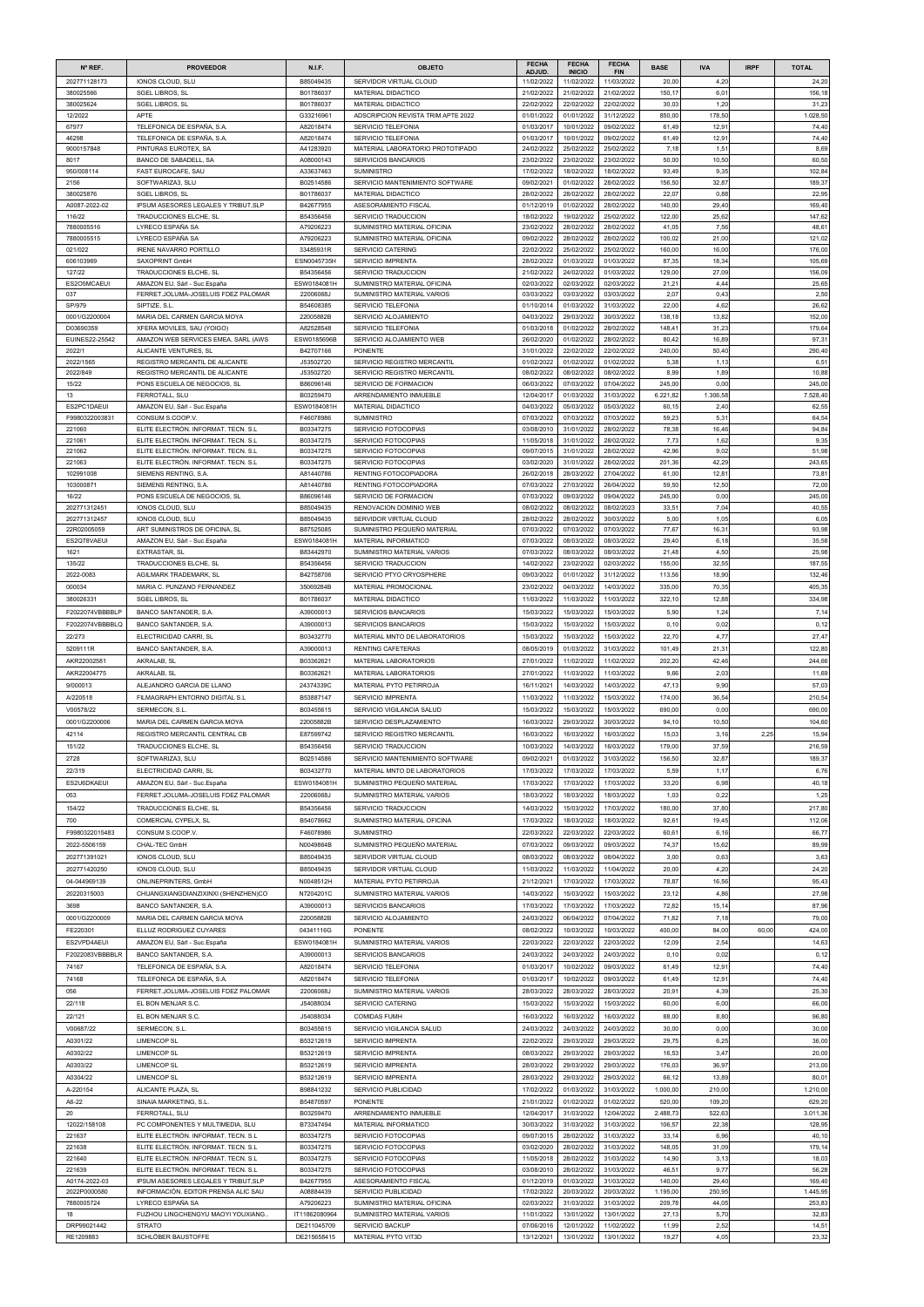| $N^{\circ}$ REF.             | <b>PROVEEDOR</b>                                                             | <b>N.I.F.</b>              | <b>OBJETO</b>                                                    | <b>FECHA</b>             | <b>FECHA</b>                | <b>FECHA</b>             | <b>BASE</b>        | <b>IVA</b>       | <b>IRPF</b> | <b>TOTAL</b>       |
|------------------------------|------------------------------------------------------------------------------|----------------------------|------------------------------------------------------------------|--------------------------|-----------------------------|--------------------------|--------------------|------------------|-------------|--------------------|
| 202771128173                 | IONOS CLOUD, SLU                                                             | B85049435                  | SERVIDOR VIRTUAL CLOUD                                           | ADJUD.<br>11/02/2022     | <b>INICIO</b><br>11/02/2022 | <b>FIN</b><br>11/03/2022 | 20,00              | 4,20             |             | 24,20              |
| 380025566                    | <b>SGEL LIBROS, SL</b>                                                       | B01786037                  | MATERIAL DIDACTICO                                               | 21/02/2022               | 21/02/2022                  | 21/02/2022               | 150,17             | 6,01             |             | 156,18             |
| 380025624                    | <b>SGEL LIBROS, SL</b>                                                       | B01786037                  | MATERIAL DIDACTICO                                               | 22/02/2022               | 22/02/2022                  | 22/02/2022               | 30,03              | 1,20             |             | 31,23              |
| 12/2022<br>67977             | <b>APTE</b><br>TELEFONICA DE ESPAÑA, S.A.                                    | G33216961<br>A82018474     | ADSCRIPCION REVISTA TRIM APTE 2022<br><b>SERVICIO TELEFONIA</b>  | 01/01/2022<br>01/03/2017 | 01/01/2022<br>10/01/2022    | 31/12/2022<br>09/02/2022 | 850,00<br>61,49    | 178,50<br>12,91  |             | 1.028,50<br>74,40  |
| 46298                        | TELEFONICA DE ESPAÑA, S.A.                                                   | A82018474                  | SERVICIO TELEFONIA                                               | 01/03/2017               | 10/01/2022                  | 09/02/2022               | 61,49              | 12,91            |             | 74,40              |
| 9000157848                   | PINTURAS EUROTEX, SA                                                         | A41283920                  | MATERIAL LABORATORIO PROTOTIPADO                                 | 24/02/2022               | 25/02/2022                  | 25/02/2022               | 7,18               | 1,51             |             | 8,69               |
| 8017<br>950/008114           | BANCO DE SABADELL, SA<br>FAST EUROCAFE, SAU                                  | A08000143<br>A33637463     | <b>SERVICIOS BANCARIOS</b><br><b>SUMINISTRO</b>                  | 23/02/2022<br>17/02/2022 | 23/02/2022<br>18/02/2022    | 23/02/2022<br>18/02/2022 | 50,00<br>93,49     | 10,50<br>9,35    |             | 60,50<br>102,84    |
| 2156                         | SOFTWARIZA3, SLU                                                             | B02514586                  | SERVICIO MANTENIMIENTO SOFTWARE                                  | 09/02/2021               | 01/02/2022                  | 28/02/2022               | 156,50             | 32,87            |             | 189,37             |
| 380025876                    | <b>SGEL LIBROS, SL</b>                                                       | B01786037                  | <b>MATERIAL DIDACTICO</b>                                        | 28/02/2022               | 28/02/2022                  | 28/02/2022               | 22,07              | 0,88             |             | 22,95              |
| A0087-2022-02                | IPSUM ASESORES LEGALES Y TRIBUT, SLP                                         | B42677955                  | ASESORAMIENTO FISCAL                                             | 01/12/2019               | 01/02/2022                  | 28/02/2022               | 140,00             | 29,40            |             | 169,40             |
| 116/22<br>7880005516         | TRADUCCIONES ELCHE, SL<br>LYRECO ESPAÑA SA                                   | B54356456<br>A79206223     | <b>SERVICIO TRADUCCION</b><br>SUMINISTRO MATERIAL OFICINA        | 18/02/2022<br>23/02/2022 | 19/02/2022<br>28/02/2022    | 25/02/2022<br>28/02/2022 | 122,00<br>41,0     | 25,62<br>7,56    |             | 147,62<br>48,61    |
| 7880005515                   | LYRECO ESPAÑA SA                                                             | A79206223                  | SUMINISTRO MATERIAL OFICINA                                      | 09/02/2022               | 28/02/2022                  | 28/02/2022               | 100,02             | 21,00            |             | 121,02             |
| 021/022                      | <b>IRENE NAVARRO PORTILLO</b>                                                | 33485931R                  | <b>SERVICIO CATERING</b>                                         | 22/02/2022               | 25/02/2022                  | 25/02/2022               | 160,00             | 16,00            |             | 176,00             |
| 606103969<br>127/22          | SAXOPRINT GmbH<br>TRADUCCIONES ELCHE, SL                                     | ESN0045735H<br>B54356456   | <b>SERVICIO IMPRENTA</b><br>SERVICIO TRADUCCION                  | 28/02/2022<br>21/02/2022 | 01/03/2022<br>24/02/2022    | 01/03/2022<br>01/03/2022 | 87,35<br>129,00    | 18,34<br>27,09   |             | 105,69<br>156,09   |
| ES2O5MCAEUI                  | AMAZON EU, Sàrl - Suc.España                                                 | ESW0184081H                | SUMINISTRO MATERIAL OFICINA                                      | 02/03/2022               | 02/03/2022                  | 02/03/2022               | 21,2'              | 4,44             |             | 25,65              |
| 037                          | FERRET.JOLUMA-JOSELUIS FDEZ PALOMAR                                          | 22006068J                  | SUMINISTRO MATERIAL VARIOS                                       | 03/03/2022               | 03/03/2022                  | 03/03/2022               | 2,07               | 0,43             |             | 2,50               |
| SP/979                       | SIPTIZE, S.L                                                                 | B54608385                  | SERVICIO TELEFONIA                                               | 01/10/2014               | 01/03/2022                  | 31/03/2022               | 22,00              | 4,62             |             | 26,62              |
| 0001/G2200004<br>D03690359   | MARIA DEL CARMEN GARCIA MOYA<br>XFERA MOVILES, SAU (YOIGO)                   | 22005882B<br>A82528548     | SERVICIO ALOJAMIENTO<br>SERVICIO TELEFONIA                       | 04/03/2022<br>01/03/2018 | 29/03/2022<br>01/02/2022    | 30/03/2022<br>28/02/2022 | 138,18<br>148.4    | 13,82<br>31,23   |             | 152,00<br>179,64   |
| EUINES22-25542               | AMAZON WEB SERVICES EMEA, SARL (AWS                                          | ESW0185696B                | SERVICIO ALOJAMIENTO WEB                                         | 26/02/2020               | 01/02/2022                  | 28/02/2022               | 80,42              | 16,89            |             | 97,3'              |
| 2022/1                       | ALICANTE VENTURES, SL                                                        | B42707166                  | <b>PONENTE</b>                                                   | 31/01/2022               | 22/02/2022                  | 22/02/2022               | 240,00             | 50,40            |             | 290,40             |
| 2022/1565<br>2022/849        | REGISTRO MERCANTIL DE ALICANTE<br>REGISTRO MERCANTIL DE ALICANTE             | J53502720<br>J53502720     | SERVICIO REGISTRO MERCANTIL<br>SERVICIO REGISTRO MERCANTIL       | 01/02/2022<br>08/02/2022 | 01/02/2022<br>08/02/2022    | 01/02/2022<br>08/02/2022 | 5,38<br>8,99       | 1,13<br>1,89     |             | 6,51<br>10,88      |
| 15/22                        | PONS ESCUELA DE NEGOCIOS, SL                                                 | B86096146                  | SERVICIO DE FORMACION                                            | 06/03/2022               | 07/03/2022                  | 07/04/2022               | 245,00             | 0,00             |             | 245,00             |
| 13                           | FERROTALL, SLU                                                               | B03259470                  | ARRENDAMIENTO INMUEBLE                                           | 12/04/2017               | 01/03/2022                  | 31/03/2022               | 6.221,82           | 1.306,58         |             | 7.528,40           |
| ES2PC1DAEUI                  | AMAZON EU, Sàrl - Suc.España                                                 | ESW0184081H                | <b>MATERIAL DIDACTICO</b>                                        | 04/03/2022               | 05/03/2022                  | 05/03/2022               | 60,1               | 2,40             |             | 62,55              |
| F9980322003831<br>221060     | CONSUM S.COOP.V.<br>ELITE ELECTRÓN. INFORMAT. TECN. S.L                      | F46078986<br>B03347275     | <b>SUMINISTRO</b><br>SERVICIO FOTOCOPIAS                         | 07/03/2022<br>03/08/2010 | 07/03/2022<br>31/01/2022    | 07/03/2022<br>28/02/2022 | 59,23<br>78,38     | 5,31<br>16,46    |             | 64,54<br>94,84     |
| 221061                       | ELITE ELECTRÓN. INFORMAT. TECN. S.L                                          | B03347275                  | SERVICIO FOTOCOPIAS                                              | 11/05/2018               | 31/01/2022                  | 28/02/2022               | 7,73               | 1,62             |             | 9,35               |
| 221062                       | ELITE ELECTRÓN. INFORMAT. TECN. S.L                                          | B03347275                  | SERVICIO FOTOCOPIAS                                              | 09/07/2015               | 31/01/2022                  | 28/02/2022               | 42,96              | 9,02             |             | 51,98              |
| 221063                       | ELITE ELECTRÓN. INFORMAT. TECN. S.L                                          | B03347275                  | SERVICIO FOTOCOPIAS                                              | 03/02/2020               | 31/01/2022                  | 28/02/2022               | 201,36             | 42,29            |             | 243,65             |
| 102991008<br>103000871       | SIEMENS RENTING, S.A.<br>SIEMENS RENTING, S.A.                               | A81440786<br>A81440786     | RENTING FOTOCOPIADORA<br>RENTING FOTOCOPIADORA                   | 26/02/2018<br>07/03/2022 | 28/03/2022<br>27/03/2022    | 27/04/2022<br>26/04/2022 | 61,00<br>59,50     | 12,81<br>12,50   |             | 73,81<br>72,00     |
| 16/22                        | PONS ESCUELA DE NEGOCIOS. SL                                                 | B86096146                  | SERVICIO DE FORMACION                                            | 07/03/2022               | 09/03/2022                  | 09/04/2022               | 245,00             | 0,00             |             | 245,00             |
| 202771312451                 | IONOS CLOUD, SLU                                                             | B85049435                  | RENOVACION DOMINIO WEB                                           | 08/02/2022               | 08/02/2022                  | 08/02/2023               | 33.5'              | 7,04             |             | 40,55              |
| 202771312457                 | IONOS CLOUD, SLU                                                             | B85049435                  | SERVIDOR VIRTUAL CLOUD                                           | 28/02/2022               | 28/02/2022                  | 30/03/2022               | 5,00               | 1,05             |             | 6,05               |
| 22R02005059<br>ES2Q78VAEUI   | ART SUMINISTROS DE OFICINA, SL<br>AMAZON EU, Sàrl - Suc.España               | B87525085<br>ESW0184081H   | SUMINISTRO PEQUEÑO MATERIAL<br><b>MATERIAL INFORMATICO</b>       | 07/03/2022<br>07/03/2022 | 07/03/2022<br>08/03/2022    | 07/03/2022<br>08/03/2022 | 77,67<br>29,40     | 16,31<br>6,18    |             | 93,98<br>35,58     |
| 1621                         | <b>EXTRASTAR, SL</b>                                                         | B83442970                  | SUMINISTRO MATERIAL VARIOS                                       | 07/03/2022               | 08/03/2022                  | 08/03/2022               | 21,48              | 4,50             |             | 25,98              |
| 135/22                       | TRADUCCIONES ELCHE, SL                                                       | B54356456                  | SERVICIO TRADUCCION                                              | 14/02/2022               | 23/02/2022                  | 02/03/2022               | 155,00             | 32,55            |             | 187,55             |
| 2022-0083                    | AGILMARK TRADEMARK, SL                                                       | B42758706                  | SERVICIO PTYO CRYOSPHERE                                         | 09/03/2022               | 01/01/2022                  | 31/12/2022               | 113,56             | 18,90            |             | 132,46             |
| 000034                       | MARIA C. PUNZANO FERNANDEZ                                                   | 35069284B                  | <b>MATERIAL PROMOCIONAL</b>                                      | 23/02/2022               | 04/03/2022                  | 14/03/2022               | 335,00             | 70,35            |             | 405,35             |
| 380026331<br>F2022074VBBBBLP | <b>SGEL LIBROS, SL</b><br>BANCO SANTANDER, S.A.                              | B01786037<br>A39000013     | MATERIAL DIDACTICO<br>SERVICIOS BANCARIOS                        | 11/03/2022<br>15/03/2022 | 11/03/2022<br>15/03/2022    | 11/03/2022<br>15/03/2022 | 322,10<br>5,90     | 12,88<br>1,24    |             | 334,98<br>7,14     |
| F2022074VBBBBLQ              | BANCO SANTANDER, S.A.                                                        | A39000013                  | <b>SERVICIOS BANCARIOS</b>                                       | 15/03/2022               | 15/03/2022                  | 15/03/2022               | 0,10               | 0,02             |             | 0,12               |
| 22/273                       | ELECTRICIDAD CARRI, SL                                                       | B03432770                  | MATERIAL MNTO DE LABORATORIOS                                    | 15/03/2022               | 15/03/2022                  | 15/03/2022               | 22,70              | 4,77             |             | 27,47              |
| 5209111R                     | BANCO SANTANDER, S.A.                                                        | A39000013                  | <b>RENTING CAFETERAS</b>                                         | 08/05/2019               | 01/03/2022                  | 31/03/2022               | 101,49             | 21,31            |             | 122,80             |
| AKR22002581                  | AKRALAB, SL                                                                  | B03362621                  | <b>MATERIAL LABORATORIOS</b>                                     | 27/01/2022               | 11/02/2022                  | 11/02/2022               | 202,20             | 42,46            |             | 244,66             |
| AKR22004775                  | AKRALAB, SL                                                                  | B03362621                  | <b>MATERIAL LABORATORIOS</b>                                     | 27/01/2022               | 11/03/2022                  | 11/03/2022               | 9,66               | 2,03             |             | 11,69              |
| 9/000013<br>A/220518         | ALEJANDRO GARCIA DE LLANO<br>FILMAGRAPH ENTORNO DIGITAL S.L                  | 24374339C<br>B53887147     | MATERIAL PYTO PETIRROJA<br><b>SERVICIO IMPRENTA</b>              | 16/11/2021<br>11/03/2022 | 14/03/2022<br>11/03/2022    | 14/03/2022<br>15/03/2022 | 47,13<br>174,00    | 9,90<br>36,54    |             | 57,03<br>210,54    |
| V00578/22                    | SERMECON, S.L.                                                               | B03455615                  | SERVICIO VIGILANCIA SALUD                                        | 15/03/2022               | 15/03/2022                  | 15/03/2022               | 690,00             | 0,00             |             | 690,00             |
| 0001/G2200006                | MARIA DEL CARMEN GARCIA MOYA                                                 | 22005882B                  | SERVICIO DESPLAZAMIENTO                                          | 16/03/2022               | 29/03/2022                  | 30/03/2022               | 94,10              | 10,50            |             | 104,60             |
| 42114                        | REGISTRO MERCANTIL CENTRAL CB                                                | E87599742                  | SERVICIO REGISTRO MERCANTIL                                      | 16/03/2022               | 16/03/2022                  | 16/03/2022               | 15,03              | 3,16             | 2,25        | 15,94              |
| 151/22                       | TRADUCCIONES ELCHE, SL                                                       | B54356456                  | SERVICIO TRADUCCION                                              | 10/03/2022               | 14/03/2022                  | 16/03/2022               | 179,00             | 37,59            |             | 216,59             |
| 2728<br>22/319               | SOFTWARIZA3, SLU<br>ELECTRICIDAD CARRI, SL                                   | B02514586<br>B03432770     | SERVICIO MANTENIMIENTO SOFTWARE<br>MATERIAL MNTO DE LABORATORIOS | 09/02/2021<br>17/03/2022 | 01/03/2022<br>17/03/2022    | 31/03/2022<br>17/03/2022 | 156,50             | 32,87<br>1,17    |             | 189,37             |
| ES2U6DKAEUI                  | AMAZON EU, Sàrl - Suc. España                                                | ESW0184081H                | SUMINISTRO PEQUEÑO MATERIAL                                      | 17/03/2022               | 17/03/2022                  | 17/03/2022               | 5,59<br>33,20      | 6,98             |             | 6,76<br>40,18      |
| 053                          | FERRET.JOLUMA-JOSELUIS FDEZ PALOMAR                                          | 22006068J                  | SUMINISTRO MATERIAL VARIOS                                       | 18/03/2022               | 18/03/2022                  | 18/03/2022               | 1,03               | 0,22             |             | 1,25               |
| 154/22                       | TRADUCCIONES ELCHE, SL                                                       | B54356456                  | SERVICIO TRADUCCION                                              | 14/03/2022               | 15/03/2022                  | 17/03/2022               | 180,00             | 37,80            |             | 217,80             |
| 700                          | COMERCIAL CYPELX, SL                                                         | B54078662                  | SUMINISTRO MATERIAL OFICINA                                      | 17/03/2022               | 18/03/2022                  | 18/03/2022               | 92,6               | 19,45            |             | 112,06             |
| F9980322015483               | CONSUM S.COOP.V.                                                             | F46078986                  | <b>SUMINISTRO</b>                                                | 22/03/2022               | 22/03/2022                  | 22/03/2022               | 60,6'              | 6,16             |             | 66,77              |
| 2022-5506159                 | CHAL-TEC GmbH                                                                | N0049864B                  | SUMINISTRO PEQUEÑO MATERIAL                                      | 07/03/2022               | 09/03/2022                  | 09/03/2022               | 74,37              | 15,62            |             | 89,99              |
| 202771391021<br>202771420250 | IONOS CLOUD, SLU<br>IONOS CLOUD, SLU                                         | B85049435<br>B85049435     | SERVIDOR VIRTUAL CLOUD<br>SERVIDOR VIRTUAL CLOUD                 | 08/03/2022<br>11/03/2022 | 08/03/2022<br>11/03/2022    | 08/04/2022<br>11/04/2022 | 3,00<br>20,00      | 0,63<br>4,20     |             | 3,63<br>24,20      |
| 04-044969139                 | ONLINEPRINTERS, GmbH                                                         | N0048512H                  | MATERIAL PYTO PETIRROJA                                          | 21/12/2021               | 17/03/2022                  | 17/03/2022               | 78,87              | 16,56            |             | 95,43              |
| 20220315003                  | CHUANGXIANGDIANZIXINXI (SHENZHEN)CO                                          | N7204201C                  | SUMINISTRO MATERIAL VARIOS                                       | 14/03/2022               | 15/03/2022                  | 15/03/2022               | 23,12              | 4,86             |             | 27,98              |
| 3698                         | BANCO SANTANDER, S.A.                                                        | A39000013                  | SERVICIOS BANCARIOS                                              | 17/03/2022               | 17/03/2022                  | 17/03/2022               | 72,82              | 15,14            |             | 87,96              |
| 0001/G2200009                | MARIA DEL CARMEN GARCIA MOYA                                                 | 22005882B                  | SERVICIO ALOJAMIENTO                                             | 24/03/2022               | 06/04/2022                  | 07/04/2022               | 71,82              | 7,18             |             | 79,00              |
| FE220301<br>ES2VPD4AEUI      | ELLUZ RODRIGUEZ CUYARES<br>AMAZON EU, Sàrl - Suc.España                      | 04341116G<br>ESW0184081H   | <b>PONENTE</b><br>SUMINISTRO MATERIAL VARIOS                     | 08/02/2022<br>22/03/2022 | 10/03/2022<br>22/03/2022    | 10/03/2022<br>22/03/2022 | 400,00<br>12,09    | 84,00<br>2,54    | 60,00       | 424,00<br>14,63    |
| F2022083VBBBBLR              | BANCO SANTANDER, S.A.                                                        | A39000013                  | <b>SERVICIOS BANCARIOS</b>                                       | 24/03/2022               | 24/03/2022                  | 24/03/2022               | 0,10               | 0,02             |             | 0,12               |
| 74167                        | TELEFONICA DE ESPAÑA, S.A.                                                   | A82018474                  | SERVICIO TELEFONIA                                               | 01/03/2017               | 10/02/2022                  | 09/03/2022               | 61,49              | 12,91            |             | 74,40              |
| 74168                        | TELEFONICA DE ESPAÑA, S.A.                                                   | A82018474                  | SERVICIO TELEFONIA                                               | 01/03/2017               | 10/02/2022                  | 09/03/2022               | 61,49              | 12,91            |             | 74,40              |
| 056                          | FERRET.JOLUMA-JOSELUIS FDEZ PALOMAR                                          | 22006068J                  | SUMINISTRO MATERIAL VARIOS                                       | 28/03/2022               | 28/03/2022                  | 28/03/2022               | 20.9 <sup>2</sup>  | 4,39             |             | 25,30              |
| 22/118                       | EL BON MENJAR S.C.                                                           | J54088034                  | SERVICIO CATERING                                                | 15/03/2022               | 15/03/2022                  | 15/03/2022               | 60,00              | 6,00             |             | 66,00              |
| 22/121<br>V00687/22          | EL BON MENJAR S.C.<br>SERMECON, S.L.                                         | J54088034<br>B03455615     | <b>COMIDAS FUMH</b><br>SERVICIO VIGILANCIA SALUD                 | 16/03/2022<br>24/03/2022 | 16/03/2022<br>24/03/2022    | 16/03/2022<br>24/03/2022 | 88,00<br>30,00     | 8,80<br>0,00     |             | 96,80<br>30,00     |
| A0301/22                     | <b>LIMENCOP SL</b>                                                           | B53212619                  | SERVICIO IMPRENTA                                                | 22/02/2022               | 29/03/2022                  | 29/03/2022               | 29,75              | 6,25             |             | 36,00              |
| A0302/22                     | <b>LIMENCOP SL</b>                                                           | B53212619                  | SERVICIO IMPRENTA                                                | 08/03/2022               | 29/03/2022                  | 29/03/2022               | 16,53              | 3,47             |             | 20,00              |
| A0303/22                     | <b>LIMENCOP SL</b>                                                           | B53212619                  | SERVICIO IMPRENTA                                                | 28/03/2022               | 29/03/2022                  | 29/03/2022               | 176,03             | 36,97            |             | 213,00             |
| A0304/22                     | <b>LIMENCOP SL</b>                                                           | B53212619                  | SERVICIO IMPRENTA                                                | 28/03/2022               | 29/03/2022                  | 29/03/2022               | 66,12              | 13,89            |             | 80,01              |
| A-220154                     | ALICANTE PLAZA, SL                                                           | B98841232                  | SERVICIO PUBLICIDAD                                              | 17/02/2022               | 01/03/2022                  | 31/03/2022               | 1.000,00           | 210,00           |             | 1.210,00           |
| A6-22<br>20                  | SINAIA MARKETING, S.L.<br>FERROTALL, SLU                                     | B54870597<br>B03259470     | <b>PONENTE</b><br>ARRENDAMIENTO INMUEBLE                         | 21/01/2022<br>12/04/2017 | 01/02/2022<br>31/03/2022    | 01/02/2022<br>12/04/2022 | 520,00<br>2.488,73 | 109,20<br>522,63 |             | 629,20<br>3.011,36 |
| 12022/158108                 | PC COMPONENTES Y MULTIMEDIA, SLU                                             | B73347494                  | <b>MATERIAL INFORMATICO</b>                                      | 30/03/2022               | 31/03/2022                  | 31/03/2022               | 106,57             | 22,38            |             | 128,95             |
| 221637                       | ELITE ELECTRÓN. INFORMAT. TECN. S.L                                          | B03347275                  | SERVICIO FOTOCOPIAS                                              | 09/07/2015               | 28/02/2022                  | 31/03/2022               | 33,14              | 6,96             |             | 40,10              |
| 221638                       | ELITE ELECTRÓN. INFORMAT. TECN. S.L.                                         | B03347275                  | SERVICIO FOTOCOPIAS                                              | 03/02/2020               | 28/02/2022                  | 31/03/2022               | 148,05             | 31,09            |             | 179,14             |
| 221640<br>221639             | ELITE ELECTRÓN. INFORMAT. TECN. S.L.<br>ELITE ELECTRÓN. INFORMAT. TECN. S.L. | B03347275<br>B03347275     | SERVICIO FOTOCOPIAS<br>SERVICIO FOTOCOPIAS                       | 11/05/2018<br>03/08/2010 | 28/02/2022<br>28/02/2022    | 31/03/2022<br>31/03/2022 | 14,90<br>46,5'     | 3,13<br>9,77     |             | 18,03<br>56,28     |
| A0174-2022-03                | IPSUM ASESORES LEGALES Y TRIBUT, SLP                                         | B42677955                  | ASESORAMIENTO FISCAL                                             | 01/12/2019               | 01/03/2022                  | 31/03/2022               | 140,00             | 29,40            |             | 169,40             |
| 2022P0000580                 | INFORMACIÓN. EDITOR PRENSA ALIC SAU                                          | A08884439                  | SERVICIO PUBLICIDAD                                              | 17/02/2022               | 20/03/2022                  | 20/03/2022               | 1.195,00           | 250,95           |             | 1.445,95           |
| 7880005724                   | LYRECO ESPAÑA SA<br>FUZHOU LINGCHENGYU MAOYI YOUXIANG.                       | A79206223<br>IT11862080964 | SUMINISTRO MATERIAL OFICINA<br>SUMINISTRO MATERIAL VARIOS        | 02/03/2022<br>11/01/2022 | 31/03/2022<br>13/01/2022    | 31/03/2022<br>13/01/2022 | 209,78<br>27,13    | 44,05<br>5,70    |             | 253,83<br>32,83    |
| 18<br>DRP99021442            | <b>STRATO</b>                                                                | DE211045709                | <b>SERVICIO BACKUP</b>                                           | 07/06/2016               | 12/01/2022                  | 11/02/2022               | 11,99              | 2,52             |             | 14,51              |
| RE1209883                    | SCHLÖBER BAUSTOFFE                                                           | DE215658415                | MATERIAL PYTO VIT3D                                              | 13/12/2021               | 13/01/2022                  | 13/01/2022               | 19,27              | 4,05             |             | 23,32              |